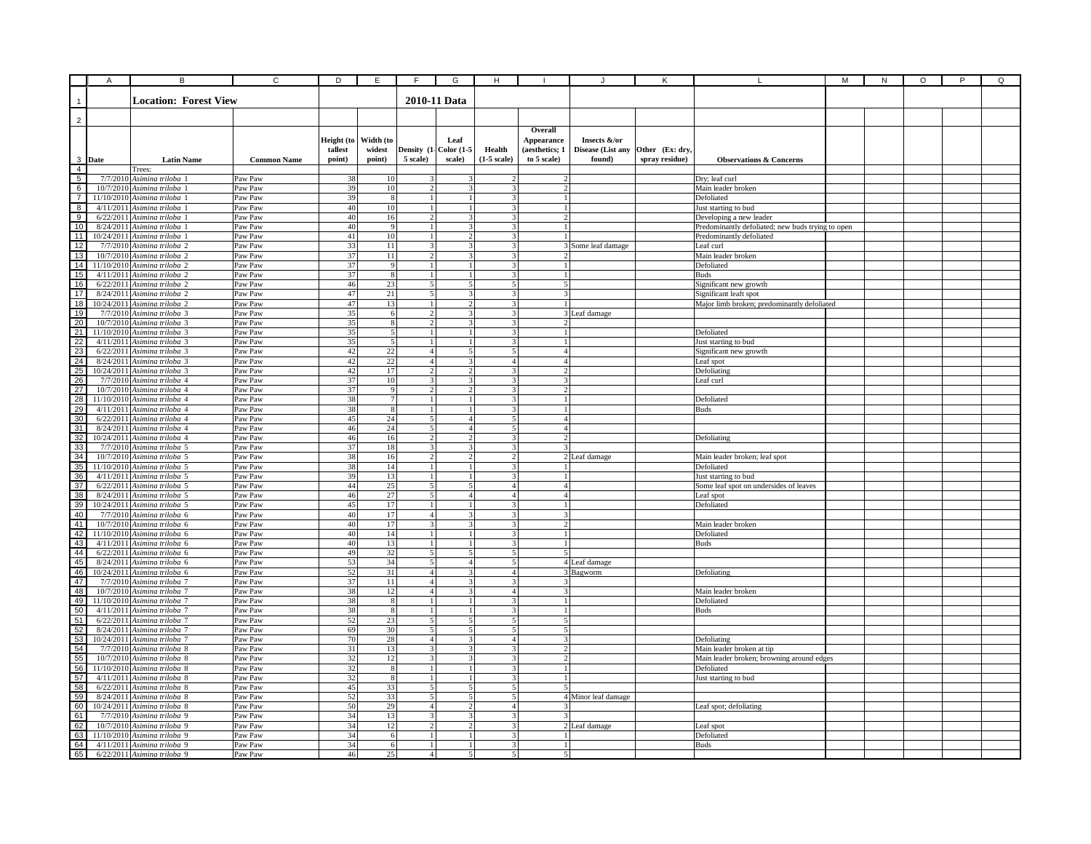|                | Α | В                                                              | C                  | D          | Ε                      | F                              | G                             | н                                                  |                                  |                     |                 |                                                                              | М | N | O | P | Q |
|----------------|---|----------------------------------------------------------------|--------------------|------------|------------------------|--------------------------------|-------------------------------|----------------------------------------------------|----------------------------------|---------------------|-----------------|------------------------------------------------------------------------------|---|---|---|---|---|
|                |   |                                                                |                    |            |                        |                                |                               |                                                    |                                  |                     |                 |                                                                              |   |   |   |   |   |
| 1              |   | <b>Location: Forest View</b>                                   |                    |            |                        |                                | 2010-11 Data                  |                                                    |                                  |                     |                 |                                                                              |   |   |   |   |   |
|                |   |                                                                |                    |            |                        |                                |                               |                                                    |                                  |                     |                 |                                                                              |   |   |   |   |   |
| $\overline{2}$ |   |                                                                |                    |            |                        |                                |                               |                                                    |                                  |                     |                 |                                                                              |   |   |   |   |   |
|                |   |                                                                |                    | Height (to | Width (to              |                                | Leaf                          |                                                    | Overall<br>Appearance            | Insects &/or        |                 |                                                                              |   |   |   |   |   |
|                |   |                                                                |                    | tallest    | widest                 |                                | Density (1- Color (1-5        | Health                                             | (aesthetics; 1                   | Disease (List any   | Other (Ex: dry, |                                                                              |   |   |   |   |   |
| 3 Date         |   | <b>Latin Name</b>                                              | <b>Common Name</b> | point)     | point)                 | 5 scale)                       | scale)                        | $(1-5 \text{ scale})$                              | to 5 scale)                      | found)              | spray residue)  | <b>Observations &amp; Concerns</b>                                           |   |   |   |   |   |
| $\overline{4}$ |   | Trees:                                                         |                    |            |                        |                                |                               |                                                    |                                  |                     |                 |                                                                              |   |   |   |   |   |
| 5              |   | 7/7/2010 Asimina triloba 1                                     | Paw Paw            | 38         | 10                     |                                |                               |                                                    |                                  |                     |                 | Dry; leaf curl                                                               |   |   |   |   |   |
| 6              |   | 10/7/2010 Asimina triloba 1                                    | Paw Paw            | 39         | 10                     | $\mathcal{D}$                  |                               |                                                    |                                  |                     |                 | Main leader broken                                                           |   |   |   |   |   |
| $\overline{7}$ |   | 11/10/2010 Asimina triloba 1                                   | Paw Paw            | 39         | 8                      |                                |                               | 3                                                  |                                  |                     |                 | Defoliated                                                                   |   |   |   |   |   |
| 8              |   | $4/11/2011$ Asimina triloba 1                                  | Paw Paw            | 40         | 10                     | -1<br>$\mathcal{D}$            |                               | 3<br>$\mathbf{3}$                                  | $\mathbf{1}$<br>$\mathcal{D}$    |                     |                 | Just starting to bud                                                         |   |   |   |   |   |
| 9<br>10        |   | $6/22/2011$ Asimina triloba 1<br>$8/24/2011$ Asimina triloba   | Paw Paw<br>Paw Paw | 40<br>40   | 16<br>$\mathbf{Q}$     | $\mathbf{1}$                   | $\mathbf{3}$                  | $\overline{3}$                                     |                                  |                     |                 | Developing a new leader<br>Predominantly defoliated; new buds trying to open |   |   |   |   |   |
| 11             |   | 10/24/2011 Asimina triloba                                     | Paw Paw            | 41         | 10                     | $\mathbf{1}$                   | $\mathcal{L}$                 | $\overline{3}$                                     |                                  |                     |                 | Predominantly defoliated                                                     |   |   |   |   |   |
| 12             |   | 7/7/2010 Asimina triloba 2                                     | Paw Paw            | 33         | 11                     | $\overline{3}$                 | 3                             | $\overline{\mathbf{3}}$                            |                                  | 3 Some leaf damage  |                 | Leaf curl                                                                    |   |   |   |   |   |
| 13             |   | 10/7/2010 Asimina triloba 2                                    | Paw Paw            | 37         | 11                     | $\overline{\phantom{a}}$       | $\mathbf{R}$                  | $\overline{3}$                                     |                                  |                     |                 | Main leader broken                                                           |   |   |   |   |   |
| 14             |   | 11/10/2010 Asimina triloba 2                                   | Paw Paw            | 37         |                        |                                |                               | 3                                                  |                                  |                     |                 | Defoliated                                                                   |   |   |   |   |   |
| 15             |   | 4/11/2011 Asimina triloba 2                                    | Paw Paw            | 37         |                        |                                |                               |                                                    |                                  |                     |                 | <b>Buds</b>                                                                  |   |   |   |   |   |
| 16             |   | $6/22/2011$ Asimina triloba 2                                  | Paw Paw            | 46         | 23                     | 5                              |                               |                                                    | 5                                |                     |                 | Significant new growth                                                       |   |   |   |   |   |
| 17<br>18       |   | 8/24/2011 Asimina triloba 2<br>10/24/2011 Asimina triloba 2    | Paw Paw<br>Paw Paw | 47<br>47   | 21<br>13               | 5<br>$\overline{1}$            | $\overline{2}$                | 3<br>3 <sup>1</sup>                                | 3<br>$\mathbf{1}$                |                     |                 | Significant leaft spot                                                       |   |   |   |   |   |
| 19             |   | 7/7/2010 Asimina triloba 3                                     | Paw Paw            | 35         | -6                     | $\overline{2}$                 | 3                             | 31                                                 |                                  | 3 Leaf damage       |                 | Major limb broken; predominantly defoliated                                  |   |   |   |   |   |
| 20             |   | 10/7/2010 Asimina triloba 3                                    | Paw Paw            | 35         | 8                      | $\overline{2}$                 | 3                             | 31                                                 | 2                                |                     |                 |                                                                              |   |   |   |   |   |
| 21             |   | 11/10/2010 Asimina triloba 3                                   | Paw Paw            | 35         | $\sim$                 | $\mathbf{1}$                   |                               | $\overline{\mathbf{3}}$                            |                                  |                     |                 | Defoliated                                                                   |   |   |   |   |   |
| 22             |   | $4/11/2011$ Asimina triloba 3                                  | Paw Paw            | 35         | $\overline{5}$         | $\mathbf{I}$                   |                               | $\mathbf{a}$                                       |                                  |                     |                 | Just starting to bud                                                         |   |   |   |   |   |
| 23             |   | $6/22/2011$ Asimina triloba 3                                  | Paw Paw            | 42         | 22                     | $\overline{4}$                 | 5                             | $\mathbf{5}$                                       | $\overline{4}$                   |                     |                 | Significant new growth                                                       |   |   |   |   |   |
| 24             |   | 8/24/2011 Asimina triloba 3                                    | Paw Paw            | 42         | 22                     | $\Delta$                       | $\overline{\mathbf{3}}$       | 4 <sup>1</sup>                                     | $\overline{4}$                   |                     |                 | Leaf spot                                                                    |   |   |   |   |   |
| 25<br>26       |   | 10/24/2011 Asimina triloba 3<br>7/7/2010 Asimina triloba 4     | Paw Paw            | 42         | 17                     | $\overline{2}$                 |                               | 3                                                  | 2 <sup>1</sup>                   |                     |                 | Defoliating                                                                  |   |   |   |   |   |
| 27             |   | 10/7/2010 Asimina triloba 4                                    | Paw Paw<br>Paw Paw | 37<br>37   | 10<br>$\mathbf{q}$     | 3<br>$\mathcal{D}$             |                               | 3.                                                 | 3<br>$\overline{2}$              |                     |                 | Leaf curl                                                                    |   |   |   |   |   |
| 28             |   | 11/10/2010 Asimina triloba 4                                   | Paw Paw            | 38         |                        |                                |                               | 3                                                  |                                  |                     |                 | Defoliated                                                                   |   |   |   |   |   |
| 29             |   | $4/11/2011$ Asimina triloba 4                                  | Paw Paw            | 38         | 8                      | $\overline{1}$                 |                               | 3                                                  | -1 <b>1</b>                      |                     |                 | <b>Buds</b>                                                                  |   |   |   |   |   |
| 30             |   | $6/22/2011$ Asimina triloba 4                                  | Paw Paw            | 45         | 24                     | 5                              | 4                             | 5 <sup>1</sup>                                     | 4 <sup>1</sup>                   |                     |                 |                                                                              |   |   |   |   |   |
| 31             |   | $8/24/2011$ Asimina triloba 4                                  | Paw Paw            | 46         | 24                     | 5                              | $\overline{4}$                | 5                                                  | 4 <sup>1</sup>                   |                     |                 |                                                                              |   |   |   |   |   |
| 32             |   | 10/24/2011 Asimina triloba 4                                   | Paw Paw            | 46         | 16                     | $\mathcal{D}$                  |                               | $\mathbf{a}$                                       | $\mathcal{D}$                    |                     |                 | Defoliating                                                                  |   |   |   |   |   |
| 33             |   | 7/7/2010 Asimina triloba 5                                     | Paw Paw            | 37         | 18                     | $\overline{3}$                 | $\mathbf{3}$                  | $\overline{3}$                                     | $\overline{\mathbf{3}}$          |                     |                 |                                                                              |   |   |   |   |   |
| 34<br>35       |   | 10/7/2010 Asimina triloba 5<br>11/10/2010 Asimina triloba 5    | Paw Paw<br>Paw Paw | 38<br>38   | 16<br>14               | $\overline{2}$<br>$\mathbf{1}$ |                               | $\overline{2}$<br>$\overline{3}$                   |                                  | 2 Leaf damage       |                 | Main leader broken; leaf spot<br>Defoliated                                  |   |   |   |   |   |
| 36             |   | $4/11/2011$ Asimina triloba 5                                  | Paw Paw            | 39         | 13                     |                                |                               |                                                    |                                  |                     |                 | Just starting to bud                                                         |   |   |   |   |   |
| 37             |   | 6/22/2011 Asimina triloba 5                                    | Paw Paw            | 44         | 25                     | 5                              |                               | 4                                                  | 4                                |                     |                 | Some leaf spot on undersides of leaves                                       |   |   |   |   |   |
| 38             |   | 8/24/2011 Asimina triloba 5                                    | Paw Paw            | 46         | 27                     | 5                              | $\overline{A}$                | 4                                                  | 4                                |                     |                 | Leaf spot                                                                    |   |   |   |   |   |
| 39             |   | 10/24/2011 Asimina triloba 5                                   | Paw Paw            | 45         | 17                     | $\overline{1}$                 |                               | $\mathbf{R}$                                       | 1 <sup>1</sup>                   |                     |                 | Defoliated                                                                   |   |   |   |   |   |
| 40             |   | 7/7/2010 Asimina triloba 6                                     | Paw Paw            | 40         | 17                     | $\overline{4}$                 | 3                             | $\overline{\mathbf{3}}$                            | 3                                |                     |                 |                                                                              |   |   |   |   |   |
| 41             |   | 10/7/2010 Asimina triloba 6                                    | Paw Paw            | 40         | 17                     | $\mathcal{R}$                  | 3                             | 31                                                 | $\overline{2}$                   |                     |                 | Main leader broken                                                           |   |   |   |   |   |
| 42<br>43       |   | 11/10/2010 Asimina triloba 6                                   | Paw Paw            | 40         | 14                     | $\mathbf{1}$<br>$\mathbf{1}$   | $\mathbf{1}$                  | $\overline{\mathbf{3}}$<br>$\overline{\mathbf{3}}$ | $\mathbf{1}$<br>$\frac{1}{2}$    |                     |                 | Defoliated                                                                   |   |   |   |   |   |
| 44             |   | $4/11/2011$ Asimina triloba 6<br>$6/22/2011$ Asimina triloba 6 | Paw Paw<br>Paw Paw | 40<br>49   | 13<br>32               | $\overline{5}$                 | $\overline{\mathbf{z}}$       | 5 <sub>1</sub>                                     | $\overline{5}$                   |                     |                 | <b>Buds</b>                                                                  |   |   |   |   |   |
| 45             |   | 8/24/2011 Asimina triloba 6                                    | Paw Paw            | 53         | 34                     | $\overline{5}$                 | $\boldsymbol{\Delta}$         | $\overline{5}$                                     |                                  | 4 Leaf damage       |                 |                                                                              |   |   |   |   |   |
| 46             |   | 10/24/2011 Asimina triloba 6                                   | Paw Paw            | 52         | $\overline{31}$        | 4 <sup>1</sup>                 | $\overline{\mathbf{a}}$       | 4 <sup>1</sup>                                     |                                  | 3 Bagworm           |                 | Defoliating                                                                  |   |   |   |   |   |
| 47             |   | 7/7/2010 Asimina triloba 7                                     | Paw Paw            | 37         | 11                     | $\overline{4}$                 |                               | $\overline{\mathbf{3}}$                            | 3                                |                     |                 |                                                                              |   |   |   |   |   |
| 48             |   | 10/7/2010 Asimina triloba 7                                    | Paw Paw            | 38         | 12                     | $\overline{4}$                 |                               | $\overline{4}$                                     | 3                                |                     |                 | Main leader broken                                                           |   |   |   |   |   |
| 49             |   | 11/10/2010 Asimina triloba 7                                   | Paw Paw            | 38         | -8                     |                                |                               |                                                    |                                  |                     |                 | Defoliated                                                                   |   |   |   |   |   |
| 50             |   | 4/11/2011 Asimina triloba 7                                    | Paw Paw            | 38         | 8                      | $\overline{1}$                 |                               | 3                                                  | $\frac{1}{2}$                    |                     |                 | <b>Buds</b>                                                                  |   |   |   |   |   |
| 51             |   | $6/22/2011$ Asimina triloba 7                                  | Paw Paw            | 52         | 23<br>30               | 5 <sup>5</sup><br>5            | 5<br>$\overline{\phantom{0}}$ | 5 <sup>1</sup><br>$\mathbf{5}$                     | 5 <sup>1</sup><br>5 <sup>1</sup> |                     |                 |                                                                              |   |   |   |   |   |
| 52<br>53       |   | 8/24/2011 Asimina triloba 7<br>10/24/2011 Asimina triloba 7    | Paw Paw<br>Paw Paw | 69<br>70   | 28                     | 4 <sup>1</sup>                 | 3                             | $\overline{4}$                                     | $\overline{3}$                   |                     |                 | Defoliating                                                                  |   |   |   |   |   |
| 54             |   | 7/7/2010 Asimina triloba 8                                     | Paw Paw            | 31         | 13                     | $\overline{\mathbf{3}}$        | $\mathbf{3}$                  | $\overline{\mathbf{3}}$                            | 2 <sup>1</sup>                   |                     |                 | Main leader broken at tip                                                    |   |   |   |   |   |
| 55             |   | 10/7/2010 Asimina triloba 8                                    | Paw Paw            | 32         | 12                     | $\overline{\mathcal{R}}$       |                               | $\mathbf{a}$                                       | $\overline{2}$                   |                     |                 | Main leader broken; browning around edges                                    |   |   |   |   |   |
| 56             |   | 11/10/2010 Asimina triloba 8                                   | Paw Paw            | 32         | $\mathbf{\mathcal{R}}$ | $\mathbf{1}$                   |                               | $\overline{3}$                                     | $\mathbf{1}$                     |                     |                 | Defoliated                                                                   |   |   |   |   |   |
| 57             |   | $4/11/2011$ Asimina triloba 8                                  | Paw Paw            | 32         |                        |                                |                               | 3                                                  |                                  |                     |                 | Just starting to bud                                                         |   |   |   |   |   |
| 58             |   | $6/22/2011$ Asimina triloba 8                                  | Paw Paw            | 45         | 33                     |                                |                               |                                                    |                                  |                     |                 |                                                                              |   |   |   |   |   |
| 59             |   | $8/24/2011$ Asimina triloba $8$                                | Paw Paw            | 52         | 33                     | 5                              |                               |                                                    |                                  | 4 Minor leaf damage |                 |                                                                              |   |   |   |   |   |
| 60             |   | 10/24/2011 Asimina triloba 8                                   | Paw Paw            | 50         | 29                     | $\overline{4}$<br>$\mathbf{3}$ |                               | $\overline{4}$                                     | 3                                |                     |                 | Leaf spot; defoliating                                                       |   |   |   |   |   |
| 61<br>62       |   | 7/7/2010 Asimina triloba 9<br>10/7/2010 Asimina triloba 9      | Paw Paw<br>Paw Paw | 34<br>34   | 13<br>12               | $\overline{a}$                 | з<br>$\overline{c}$           | 3<br>$\overline{3}$                                |                                  | 2 Leaf damage       |                 |                                                                              |   |   |   |   |   |
| 63             |   | 11/10/2010 Asimina triloba 9                                   | Paw Paw            | 34         | 6                      |                                |                               | 31                                                 |                                  |                     |                 | Leaf spot<br>Defoliated                                                      |   |   |   |   |   |
| 64             |   | $4/11/2011$ Asimina triloba 9                                  | Paw Paw            | 34         | 6                      |                                |                               | 3                                                  |                                  |                     |                 | <b>Buds</b>                                                                  |   |   |   |   |   |
| 65             |   | $6/22/2011$ Asimina triloba 9                                  | Paw Paw            | 46         | 25                     | $\overline{4}$                 | $\overline{5}$                | $\overline{\mathbf{5}}$                            | 5 <sup>1</sup>                   |                     |                 |                                                                              |   |   |   |   |   |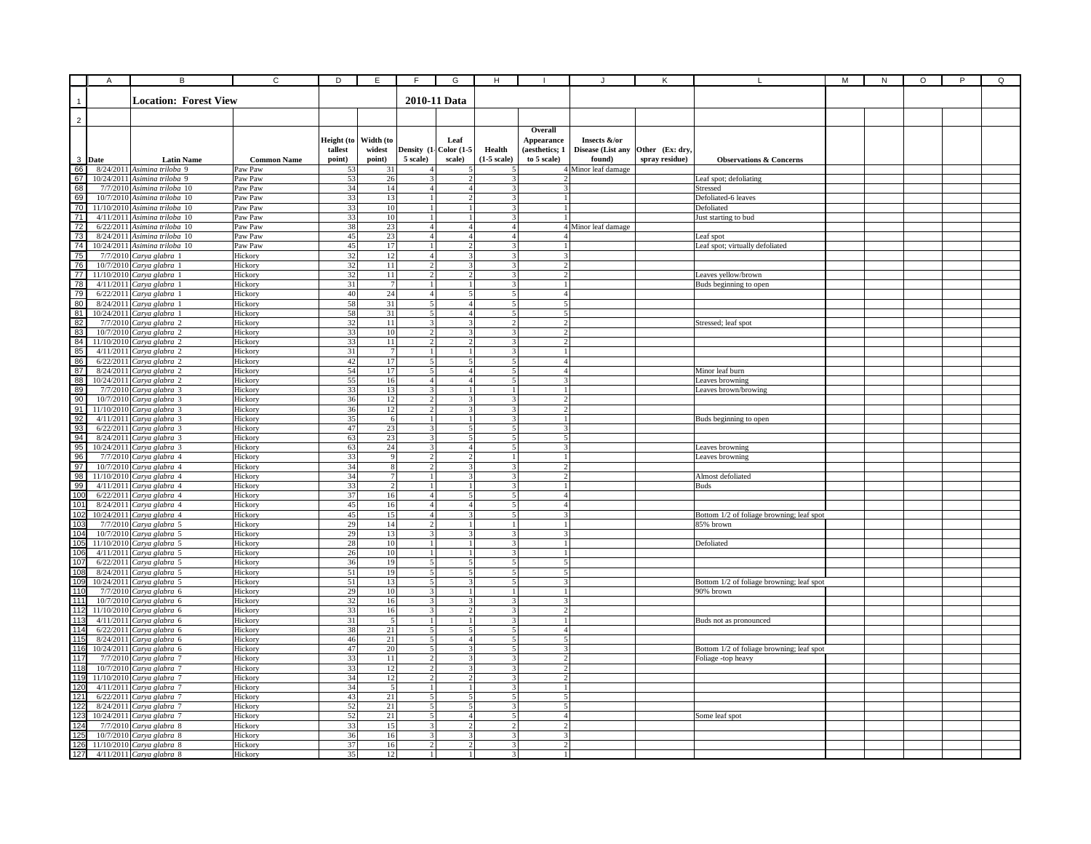|                | $\overline{A}$ | В                                                             | $\overline{c}$     | D                     | E              | F                                         | G                                       | $\mathsf H$                                |                                  |                                   | Κ               |                                                        | M | ${\sf N}$ | O | P | Q |
|----------------|----------------|---------------------------------------------------------------|--------------------|-----------------------|----------------|-------------------------------------------|-----------------------------------------|--------------------------------------------|----------------------------------|-----------------------------------|-----------------|--------------------------------------------------------|---|-----------|---|---|---|
|                |                |                                                               |                    |                       |                |                                           |                                         |                                            |                                  |                                   |                 |                                                        |   |           |   |   |   |
| $\mathbf{1}$   |                | <b>Location: Forest View</b>                                  |                    |                       |                |                                           | 2010-11 Data                            |                                            |                                  |                                   |                 |                                                        |   |           |   |   |   |
|                |                |                                                               |                    |                       |                |                                           |                                         |                                            |                                  |                                   |                 |                                                        |   |           |   |   |   |
| $\overline{2}$ |                |                                                               |                    |                       |                |                                           |                                         |                                            |                                  |                                   |                 |                                                        |   |           |   |   |   |
|                |                |                                                               |                    |                       | Width (to      |                                           |                                         |                                            | Overall                          |                                   |                 |                                                        |   |           |   |   |   |
|                |                |                                                               |                    | Height (to<br>tallest | widest         |                                           | Leaf<br>Density (1- Color (1-5          | Health                                     | Appearance<br>(aesthetics; 1     | Insects &/or<br>Disease (List any | Other (Ex: dry, |                                                        |   |           |   |   |   |
| 3 Date         |                | <b>Latin Name</b>                                             | <b>Common Name</b> | point)                | point)         | 5 scale)                                  | scale)                                  | $(1-5 \text{ scale})$                      | to 5 scale)                      | found)                            | spray residue)  | <b>Observations &amp; Concerns</b>                     |   |           |   |   |   |
| 66             |                | 8/24/2011 Asimina triloba 9                                   | Paw Paw            | 53                    | 31             | 4                                         |                                         |                                            |                                  | 4 Minor leaf damage               |                 |                                                        |   |           |   |   |   |
| 67             |                | 10/24/2011 Asimina triloba 9                                  | Paw Paw            | 53                    | 26             | 3                                         |                                         |                                            |                                  |                                   |                 | Leaf spot; defoliating                                 |   |           |   |   |   |
| 68             |                | 7/7/2010 Asimina triloba 10                                   | Paw Paw            | 34                    | 14             | 4 <sup>1</sup>                            | $\overline{4}$                          | 3                                          | 3I                               |                                   |                 | Stressed                                               |   |           |   |   |   |
| 69             |                | 10/7/2010 Asimina triloba 10                                  | Paw Paw            | 33                    | 13             | $\mathbf{1}$                              | $\overline{2}$                          | $\mathcal{F}$                              | $\mathbf{1}$                     |                                   |                 | Defoliated-6 leaves                                    |   |           |   |   |   |
| 70             |                | 11/10/2010 Asimina triloba 10                                 | Paw Paw            | 33                    | 10             | $\mathbf{1}$                              |                                         | 31                                         | $\mathbf{1}$                     |                                   |                 | Defoliated                                             |   |           |   |   |   |
| 71             |                | $4/11/2011$ Asimina triloba 10                                | Paw Paw            | 33                    | 10             | $\mathbf{1}$                              |                                         | $\overline{\mathbf{3}}$                    |                                  |                                   |                 | Just starting to bud                                   |   |           |   |   |   |
| 72             |                | $6/22/2011$ Asimina triloba 10                                | Paw Paw            | 38                    | 23<br>23       | $\overline{4}$<br>$\overline{4}$          | $\overline{4}$<br>$\boldsymbol{\Delta}$ | $\overline{4}$<br>4 <sup>1</sup>           | $\Delta$                         | 4 Minor leaf damage               |                 |                                                        |   |           |   |   |   |
| 73<br>74       |                | 8/24/2011 Asimina triloba 10<br>10/24/2011 Asimina triloba 10 | Paw Paw<br>Paw Paw | 45<br>45              | 17             | $\mathbf{1}$                              | $\overline{\phantom{a}}$                | 3 <sup>1</sup>                             | $\mathbf{1}$                     |                                   |                 | Leaf spot<br>Leaf spot; virtually defoliated           |   |           |   |   |   |
| 75             |                | 7/7/2010 Carya glabra 1                                       | Hickory            | 32                    | 12             | 4                                         |                                         | 3                                          |                                  |                                   |                 |                                                        |   |           |   |   |   |
| 76             |                | 10/7/2010 Carya glabra 1                                      | Hickory            | 32                    | 11             |                                           |                                         | 3                                          |                                  |                                   |                 |                                                        |   |           |   |   |   |
| 77             |                | 11/10/2010 Carya glabra 1                                     | Hickory            | 32                    | $11\,$         |                                           |                                         | ٩                                          | $\mathcal{P}$                    |                                   |                 | Leaves yellow/brown                                    |   |           |   |   |   |
| 78             |                | 4/11/2011 Carya glabra 1                                      | Hickory            | 31                    |                | $\mathbf{1}$                              |                                         | 3                                          | 1.                               |                                   |                 | Buds beginning to open                                 |   |           |   |   |   |
| 79             |                | 6/22/2011 Carya glabra 1                                      | Hickory            | 40                    | 24             | $\overline{4}$                            | 5                                       | 5 <sup>1</sup>                             | 4 <sup>1</sup>                   |                                   |                 |                                                        |   |           |   |   |   |
| 80             |                | $8/24/2011$ Carya glabra 1                                    | Hickory            | 58                    | 31             | 5                                         | $\overline{4}$                          | 5 <sup>1</sup>                             | 5 <sup>1</sup>                   |                                   |                 |                                                        |   |           |   |   |   |
| 81             |                | 10/24/2011 Carya glabra 1                                     | Hickory            | 58                    | 31             | $\overline{5}$                            | 4 <sup>1</sup>                          | 5 <sup>1</sup>                             | 5 <sup>1</sup>                   |                                   |                 |                                                        |   |           |   |   |   |
| 82<br>83       |                | 7/7/2010 Carya glabra 2<br>10/7/2010 Carya glabra 2           | Hickory<br>Hickory | 32<br>33              | 11<br>10       | $\overline{\mathbf{3}}$<br>$\overline{2}$ | 3<br>$\overline{\mathbf{3}}$            | $\overline{2}$<br>$\overline{\mathcal{R}}$ | 2 <sup>1</sup><br>$\overline{2}$ |                                   |                 | Stressed; leaf spot                                    |   |           |   |   |   |
| 84             |                | 11/10/2010 Carya glabra 2                                     | Hickory            | 33                    | 11             | $\mathcal{L}$                             | $\mathcal{D}$                           | 3                                          | $\overline{2}$                   |                                   |                 |                                                        |   |           |   |   |   |
| 85             |                | 4/11/2011 Carya glabra 2                                      | Hickory            | 31                    | $\overline{7}$ |                                           |                                         | $\mathbf{3}$                               |                                  |                                   |                 |                                                        |   |           |   |   |   |
| 86             |                | $6/22/2011$ Carya glabra 2                                    | Hickory            | 42                    | 17             | 5                                         | 5                                       | 5                                          | $\overline{4}$                   |                                   |                 |                                                        |   |           |   |   |   |
| 87             |                | 8/24/2011 Carya glabra 2                                      | Hickory            | 54                    | 17             | 5                                         | $\overline{4}$                          | 5                                          | 41                               |                                   |                 | Minor leaf burn                                        |   |           |   |   |   |
| 88             |                | 10/24/2011 Carya glabra 2                                     | Hickory            | 55                    | 16             | $\overline{4}$                            | $\overline{4}$                          | 5                                          | 3                                |                                   |                 | Leaves browning                                        |   |           |   |   |   |
| 89             |                | 7/7/2010 Carya glabra 3                                       | Hickory            | 33                    | 13             | 3 <sup>1</sup>                            | -1                                      | $\frac{1}{2}$                              | $1\vert$                         |                                   |                 | Leaves brown/browing                                   |   |           |   |   |   |
| 90             |                | 10/7/2010 Carya glabra 3                                      | Hickory            | 36                    | 12             | $\overline{2}$                            | 3                                       | 3 <sup>1</sup>                             | $\overline{2}$                   |                                   |                 |                                                        |   |           |   |   |   |
| 91<br>92       |                | 11/10/2010 Carya glabra 3<br>$4/11/2011$ Carya glabra 3       | Hickory<br>Hickory | 36<br>35              | 12<br>6        | $\mathcal{D}$<br>$\overline{1}$           | 3                                       | 31<br>3 <sup>1</sup>                       | $\mathcal{D}$<br>$\mathbf{1}$    |                                   |                 |                                                        |   |           |   |   |   |
| 93             |                | $6/22/2011$ Carya glabra 3                                    | Hickory            | 47                    | 23             | $\overline{3}$                            | $\overline{\phantom{a}}$                | 5 <sup>1</sup>                             | $\overline{3}$                   |                                   |                 | Buds beginning to open                                 |   |           |   |   |   |
| 94             |                | 8/24/2011 Carya glabra 3                                      | Hickory            | 63                    | 23             | $\overline{\mathbf{3}}$                   | $\leq$                                  | $\overline{5}$                             | $\overline{5}$                   |                                   |                 |                                                        |   |           |   |   |   |
| 95             |                | 10/24/2011 Carya glabra 3                                     | Hickory            | 63                    | 24             | $\overline{\mathcal{E}}$                  | $\overline{A}$                          | $\overline{5}$                             | $\overline{3}$                   |                                   |                 | Leaves browning                                        |   |           |   |   |   |
| 96             |                | 7/7/2010 Carya glabra 4                                       | Hickory            | 33                    | $\mathbf{Q}$   |                                           |                                         | $\mathbf{1}$                               |                                  |                                   |                 | Leaves browning                                        |   |           |   |   |   |
| 97             |                | 10/7/2010 Carya glabra 4                                      | Hickory            | 34                    |                |                                           |                                         | 3                                          | $\mathcal{P}$                    |                                   |                 |                                                        |   |           |   |   |   |
| 98             |                | 11/10/2010 Carya glabra 4                                     | Hickory            | 34                    |                |                                           |                                         |                                            | $\overline{2}$                   |                                   |                 | Almost defoliated                                      |   |           |   |   |   |
| 99<br>100      |                | 4/11/2011 Carya glabra 4                                      | Hickory            | 33<br>37              |                |                                           |                                         |                                            |                                  |                                   |                 | Buds                                                   |   |           |   |   |   |
| 101            |                | 6/22/2011 Carya glabra 4<br>8/24/2011 Carya glabra 4          | Hickory<br>Hickory | 45                    | 16<br>16       | 4<br>$\overline{4}$                       | 5<br>4                                  | 5<br>5 <sup>1</sup>                        | $\overline{4}$<br>$\Delta$       |                                   |                 |                                                        |   |           |   |   |   |
| 102            |                | $10/24/2011$ Carya glabra 4                                   | Hickory            | 45                    | 15             | $\overline{4}$                            | $\mathbf{3}$                            | 5 <sup>1</sup>                             | 3                                |                                   |                 | Bottom 1/2 of foliage browning; leaf spot              |   |           |   |   |   |
| 103            |                | 7/7/2010 Carya glabra 5                                       | Hickory            | 29                    | 14             | $\overline{2}$                            |                                         | $\mathbf{1}$                               | 1 <sup>1</sup>                   |                                   |                 | 85% brown                                              |   |           |   |   |   |
| 104            |                | 10/7/2010 Carya glabra 5                                      | Hickory            | 29                    | 13             | 3                                         | 3                                       | $\overline{3}$                             | 3                                |                                   |                 |                                                        |   |           |   |   |   |
| 105            |                | 11/10/2010 Carya glabra 5                                     | Hickory            | 28                    | 10             | $\overline{1}$                            |                                         | $\overline{\mathbf{3}}$                    | $\mathbf{1}$                     |                                   |                 | Defoliated                                             |   |           |   |   |   |
| 106            |                | 4/11/2011 Carya glabra 5                                      | Hickory            | 26                    | 10             | $\overline{1}$                            |                                         | $\overline{\mathbf{3}}$                    | $\mathbf{1}$                     |                                   |                 |                                                        |   |           |   |   |   |
| 107            |                | 6/22/2011 Carya glabra 5                                      | Hickory            | 36                    | 19             | $\overline{\phantom{0}}$                  |                                         | 5                                          | 5                                |                                   |                 |                                                        |   |           |   |   |   |
| 108<br>109     |                | 8/24/2011 Carya glabra 5                                      | Hickory            | 51                    | 19             | $\overline{\phantom{0}}$<br>5             |                                         | 5<br>5                                     | 5<br>3 I                         |                                   |                 |                                                        |   |           |   |   |   |
| 110            |                | 10/24/2011 Carya glabra 5<br>7/7/2010 Carya glabra 6          | Hickory<br>Hickory | 51<br>29              | 13<br>10       | 3                                         |                                         | $\mathbf{1}$                               | 1                                |                                   |                 | Bottom 1/2 of foliage browning; leaf spot<br>90% brown |   |           |   |   |   |
| 111            |                | 10/7/2010 Carya glabra 6                                      | Hickory            | 32                    | 16             | 3                                         | 3                                       | $\frac{3}{3}$                              | 3I                               |                                   |                 |                                                        |   |           |   |   |   |
| 112            |                | 11/10/2010 Carya glabra 6                                     | Hickory            | 33                    | 16             | 3                                         | $\mathcal{D}$                           | 3 <sup>1</sup>                             | 2 <sup>1</sup>                   |                                   |                 |                                                        |   |           |   |   |   |
| 113            |                | $4/11/2011$ Carya glabra 6                                    | Hickory            | 31                    | -5             | $\overline{1}$                            |                                         | 3                                          | $\mathbf{1}$                     |                                   |                 | Buds not as pronounced                                 |   |           |   |   |   |
| 114            |                | 6/22/2011 Carya glabra 6                                      | Hickory            | 38                    | 21             | 5 <sup>1</sup>                            | 5                                       | $\overline{\phantom{0}}$                   | 4 <sup>1</sup>                   |                                   |                 |                                                        |   |           |   |   |   |
| 115            |                | $8/24/2011$ Carya glabra 6                                    | Hickory            | 46                    | 21             | 5 <sup>1</sup>                            | 4 <sup>1</sup>                          | 5 <sup>1</sup>                             | 5 <sup>1</sup>                   |                                   |                 |                                                        |   |           |   |   |   |
| 116            |                | 10/24/2011 Carya glabra 6                                     | Hickory            | 47                    | 20             | 5 <sup>1</sup>                            | $\mathbf{3}$                            | $\mathbf{5}$                               | $\overline{3}$                   |                                   |                 | Bottom 1/2 of foliage browning; leaf spot              |   |           |   |   |   |
| 117            |                | 7/7/2010 Carya glabra 7                                       | Hickory            | 33                    | 11             | $\overline{\phantom{a}}$<br>$\mathcal{D}$ | $\mathbf{3}$                            | 3<br>3                                     | $\mathcal{D}$                    |                                   |                 | Foliage -top heavy                                     |   |           |   |   |   |
| 118<br>119     |                | 10/7/2010 Carya glabra 7<br>11/10/2010 Carya glabra 7         | Hickory<br>Hickory | 33<br>34              | 12<br>12       | $\overline{2}$                            |                                         |                                            | $\mathcal{D}$                    |                                   |                 |                                                        |   |           |   |   |   |
| 12C            |                | $4/11/2011$ Carya glabra 7                                    | Hickory            | 34                    |                | 1                                         |                                         |                                            |                                  |                                   |                 |                                                        |   |           |   |   |   |
| 121            |                | 6/22/2011 Carya glabra 7                                      | Hickory            | 43                    | 21             | 5                                         | 5                                       |                                            | 5                                |                                   |                 |                                                        |   |           |   |   |   |
| 122            |                | 8/24/2011 Carya glabra 7                                      | Hickory            | 52                    | 21             | 5 <sub>l</sub>                            | 5                                       | 3                                          | 5                                |                                   |                 |                                                        |   |           |   |   |   |
| 123            |                | 10/24/2011 Carya glabra 7                                     | Hickory            | 52                    | 21             | 5                                         | $\overline{a}$                          | 5 <sup>1</sup>                             | 4 <sup>1</sup>                   |                                   |                 | Some leaf spot                                         |   |           |   |   |   |
| 124            |                | 7/7/2010 Carya glabra 8                                       | Hickory            | 33                    | 15             | $\mathcal{E}$                             | $\overline{2}$                          | 2 <sup>1</sup>                             | 2 <sup>1</sup>                   |                                   |                 |                                                        |   |           |   |   |   |
| 125            |                | 10/7/2010 Carya glabra 8                                      | Hickory            | 36                    | 16             | 3                                         | $\mathbf{3}$                            | $\overline{\mathbf{3}}$                    | 3                                |                                   |                 |                                                        |   |           |   |   |   |
| 126            |                | 11/10/2010 Carya glabra 8                                     | Hickory            | 37                    | 16             | $\mathcal{D}$                             |                                         | $\overline{\mathbf{3}}$                    |                                  |                                   |                 |                                                        |   |           |   |   |   |
| 127            |                | 4/11/2011 Carya glabra 8                                      | Hickory            | 35                    | 12             | $\mathbf{1}$                              | $\mathbf{1}$                            | $\overline{\mathcal{L}}$                   |                                  |                                   |                 |                                                        |   |           |   |   |   |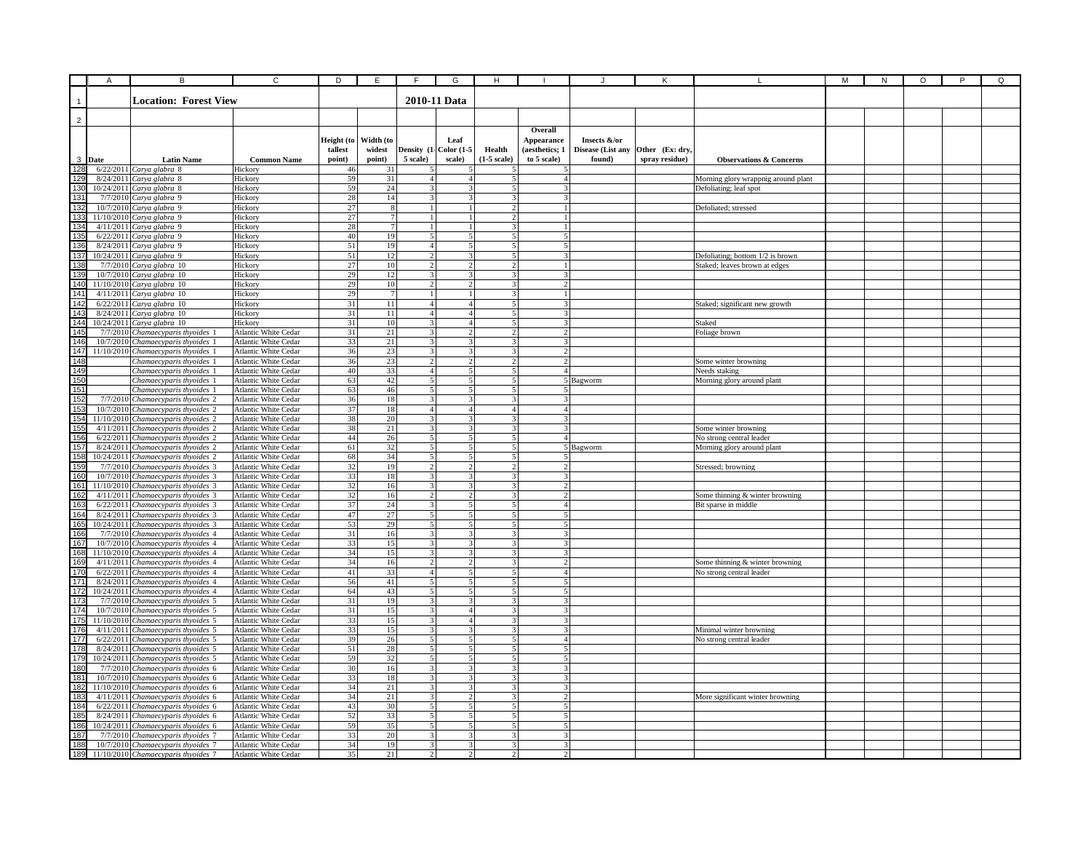|                                        | A      | B                                                                         | C                                                   | D            | Ε               | F                                         | G                                                    | н                               |                                           |                   |                 |                                                                   | М | ${\sf N}$ | O | P | Q |
|----------------------------------------|--------|---------------------------------------------------------------------------|-----------------------------------------------------|--------------|-----------------|-------------------------------------------|------------------------------------------------------|---------------------------------|-------------------------------------------|-------------------|-----------------|-------------------------------------------------------------------|---|-----------|---|---|---|
|                                        |        |                                                                           |                                                     |              |                 |                                           |                                                      |                                 |                                           |                   |                 |                                                                   |   |           |   |   |   |
|                                        |        | <b>Location: Forest View</b>                                              |                                                     |              |                 |                                           | 2010-11 Data                                         |                                 |                                           |                   |                 |                                                                   |   |           |   |   |   |
|                                        |        |                                                                           |                                                     |              |                 |                                           |                                                      |                                 |                                           |                   |                 |                                                                   |   |           |   |   |   |
| $\overline{c}$                         |        |                                                                           |                                                     |              |                 |                                           |                                                      |                                 |                                           |                   |                 |                                                                   |   |           |   |   |   |
|                                        |        |                                                                           |                                                     |              |                 |                                           |                                                      |                                 | Overall                                   |                   |                 |                                                                   |   |           |   |   |   |
|                                        |        |                                                                           |                                                     | Height (to   | Width (to       |                                           | Leaf                                                 |                                 | Appearance                                | Insects &/or      |                 |                                                                   |   |           |   |   |   |
|                                        | 3 Date |                                                                           | <b>Common Name</b>                                  | tallest      | widest          | 5 scale)                                  | Density (1- Color (1-5<br>scale)                     | Health<br>$(1-5)$ scale)        | (aesthetics; 1<br>to 5 scale)             | Disease (List any | Other (Ex: dry, | <b>Observations &amp; Concerns</b>                                |   |           |   |   |   |
| $\frac{1}{28}$                         |        | <b>Latin Name</b><br>$6/22/2011$ Carya glabra 8                           | Hickory                                             | point)<br>46 | point)<br>31    |                                           |                                                      |                                 |                                           | found)            | spray residue)  |                                                                   |   |           |   |   |   |
| 12 <sup>c</sup>                        |        | 8/24/2011 Carya glabra 8                                                  | Hickory                                             | 59           | 31              |                                           | $\overline{4}$                                       |                                 |                                           |                   |                 | Morning glory wrappnig around plant                               |   |           |   |   |   |
| 130                                    |        | 10/24/2011 Carya glabra 8                                                 | Hickory                                             | 59           | 24              | $\mathcal{R}$                             | з                                                    | 5                               | 31                                        |                   |                 | Defoliating; leaf spot                                            |   |           |   |   |   |
| 131                                    |        | 7/7/2010 Carya glabra 9                                                   | Hickory                                             | 28           | 14              | $\mathcal{E}$                             | 3                                                    | 3 <sup>1</sup>                  | 31                                        |                   |                 |                                                                   |   |           |   |   |   |
|                                        |        | 10/7/2010 Carya glabra 9                                                  | Hickory                                             | 27           | 8               | $\overline{1}$                            |                                                      | $\overline{2}$                  |                                           |                   |                 | Defoliated; stressed                                              |   |           |   |   |   |
|                                        |        | 11/10/2010 Carya glabra 9                                                 | Hickory                                             | 27           | $7\phantom{.0}$ | $\mathbf{1}$                              |                                                      | $\overline{2}$                  | $\mathbf{1}$                              |                   |                 |                                                                   |   |           |   |   |   |
|                                        |        | $4/11/2011$ Carya glabra 9                                                | Hickory                                             | 28           | $7\phantom{.0}$ | $\mathbf{1}$                              |                                                      | 3                               | $\mathbf{1}$                              |                   |                 |                                                                   |   |           |   |   |   |
| 132<br>133<br>134<br>135<br>136        |        | 6/22/2011 Carya glabra 9                                                  | Hickory                                             | 40           | 19              | $\overline{5}$                            | $\overline{\phantom{a}}$<br>$\overline{\phantom{a}}$ | $\overline{5}$                  | $\overline{5}$                            |                   |                 |                                                                   |   |           |   |   |   |
| 137                                    |        | 8/24/2011 Carya glabra 9<br>10/24/2011 Carya glabra 9                     | Hickory<br>Hickory                                  | 51<br>51     | 19<br>12        | $\overline{4}$<br>$\mathfrak{D}$          |                                                      | 5<br>5                          | $\overline{5}$<br>3                       |                   |                 |                                                                   |   |           |   |   |   |
|                                        |        | 7/7/2010 Carya glabra 10                                                  | Hickory                                             | 27           | 10              | $\overline{c}$                            |                                                      | $\overline{c}$                  |                                           |                   |                 | Defoliating; bottom 1/2 is brown<br>Staked; leaves brown at edges |   |           |   |   |   |
| $\frac{138}{139}$                      |        | 10/7/2010 Carya glabra 10                                                 | Hickory                                             | 29           | 12              | 3                                         |                                                      |                                 | 3                                         |                   |                 |                                                                   |   |           |   |   |   |
| 140                                    |        | 11/10/2010 Carya glabra 10                                                | Hickory                                             | 29           | $10\,$          | 2                                         |                                                      |                                 | 2                                         |                   |                 |                                                                   |   |           |   |   |   |
| $\frac{141}{142}$                      |        | $4/11/2011$ Carya glabra 10                                               | Hickory                                             | 29           | $\overline{7}$  | $\overline{1}$                            |                                                      | 3                               | $\mathbf{1}$                              |                   |                 |                                                                   |   |           |   |   |   |
|                                        |        | $6/22/2011$ Carya glabra 10                                               | Hickory                                             | 31           | 11              | $\overline{4}$                            | 4 <sup>1</sup>                                       | 5                               | 3I                                        |                   |                 | Staked; significant new growth                                    |   |           |   |   |   |
|                                        |        | 8/24/2011 Carya glabra 10                                                 | Hickory                                             | 31           | 11              | $\overline{4}$                            | $\overline{4}$                                       | 5                               | 3                                         |                   |                 |                                                                   |   |           |   |   |   |
|                                        |        | 10/24/2011 Carya glabra 10                                                | Hickory                                             | 31           | 10              | $\overline{\mathbf{3}}$                   | $\overline{4}$                                       | 5                               | 3                                         |                   |                 | Staked                                                            |   |           |   |   |   |
|                                        |        | 7/7/2010 Chamaecyparis thyoides 1                                         | Atlantic White Cedar                                | 31           | 21<br>21        | $\overline{3}$<br>$\overline{\mathbf{3}}$ | $\overline{\mathbf{3}}$                              | $\mathcal{P}$<br>$\overline{3}$ | 2 <sup>1</sup><br>$\mathbf{3}$            |                   |                 | Foliage brown                                                     |   |           |   |   |   |
| 143<br>144<br>145<br>146<br>147        |        | 10/7/2010 Chamaecyparis thyoides 1<br>11/10/2010 Chamaecyparis thyoides 1 | Atlantic White Cedar<br><b>Atlantic White Cedar</b> | 33<br>36     |                 | 3                                         |                                                      | 3                               | $\mathcal{P}$                             |                   |                 |                                                                   |   |           |   |   |   |
| 148                                    |        | Chamaecyparis thyoides 1                                                  | Atlantic White Cedar                                | 36           | $\frac{23}{23}$ | $\overline{c}$                            |                                                      |                                 | 2                                         |                   |                 | Some winter browning                                              |   |           |   |   |   |
| 149                                    |        | Chamaecyparis thyoides 1                                                  | Atlantic White Cedar                                | 40           | 33              | $\overline{4}$                            |                                                      | 5                               | 41                                        |                   |                 | Needs staking                                                     |   |           |   |   |   |
| $\frac{150}{151}$                      |        | Chamaecyparis thyoides 1                                                  | Atlantic White Cedar                                | 63           | $42\,$          | 5 <sub>5</sub>                            |                                                      | 5                               |                                           | 5 Bagworm         |                 | Morning glory around plant                                        |   |           |   |   |   |
|                                        |        | Chamaecyparis thyoides 1                                                  | Atlantic White Cedar                                | 63           | 46              | 5 <sup>1</sup>                            | 5                                                    | 5 <sup>1</sup>                  | 5 <sup>1</sup>                            |                   |                 |                                                                   |   |           |   |   |   |
|                                        |        | 7/7/2010 Chamaecyparis thyoides 2                                         | Atlantic White Cedar                                | 36           | 18              | $\overline{\mathbf{3}}$                   | 3                                                    | $\overline{3}$                  | 3I                                        |                   |                 |                                                                   |   |           |   |   |   |
|                                        |        | 10/7/2010 Chamaecyparis thyoides 2                                        | Atlantic White Cedar                                | 37           | 18              | $\overline{4}$                            | $\overline{4}$                                       | $\overline{4}$                  | 4 <sup>1</sup>                            |                   |                 |                                                                   |   |           |   |   |   |
| 153<br>153<br>154<br>155<br>156<br>157 |        | 11/10/2010 Chamaecyparis thyoides 2                                       | Atlantic White Cedar                                | 38           | 20              | $\overline{\mathbf{3}}$<br>$\overline{3}$ | 3<br>$\mathbf{3}$                                    | $\overline{3}$<br>$\mathbf{3}$  | 3 <sup>1</sup><br>$\overline{\mathbf{3}}$ |                   |                 |                                                                   |   |           |   |   |   |
|                                        |        | 4/11/2011 Chamaecyparis thyoides 2<br>6/22/2011 Chamaecyparis thyoides 2  | Atlantic White Cedar<br>Atlantic White Cedar        | 38<br>44     | 21<br>26        | $\overline{5}$                            | $\overline{\phantom{a}}$                             | $\overline{5}$                  | 4 <sup>1</sup>                            |                   |                 | Some winter browning<br>No strong central leader                  |   |           |   |   |   |
|                                        |        | 8/24/2011 Chamaecyparis thyoides 2                                        | Atlantic White Cedar                                | 61           | 32              | $\overline{5}$                            | 5                                                    | 5 <sub>l</sub>                  |                                           | 5 Bagworm         |                 | Morning glory around plant                                        |   |           |   |   |   |
| 158                                    |        | 10/24/2011 Chamaecyparis thyoides 2                                       | Atlantic White Cedar                                | 68           | 34              | 5                                         |                                                      | 5                               | 51                                        |                   |                 |                                                                   |   |           |   |   |   |
| 159<br>160                             |        | 7/7/2010 Chamaecyparis thyoides 3                                         | Atlantic White Cedar                                | 32           | 19              | $\overline{c}$                            |                                                      |                                 | $\overline{2}$                            |                   |                 | Stressed; browning                                                |   |           |   |   |   |
|                                        |        | 10/7/2010 Chamaecyparis thyoides 3                                        | Atlantic White Cedar                                | 33           | 18              | 3                                         |                                                      |                                 |                                           |                   |                 |                                                                   |   |           |   |   |   |
| $\frac{161}{162}$                      |        | 11/10/2010 Chamaecyparis thyoides 3                                       | Atlantic White Cedar                                | 32           | 16              | 3                                         |                                                      | 3                               | $\overline{2}$                            |                   |                 |                                                                   |   |           |   |   |   |
|                                        |        | 4/11/2011 Chamaecyparis thyoides 3                                        | Atlantic White Cedar                                | 32           | 16              | $\overline{2}$                            | $\overline{2}$                                       | 3                               | $\overline{2}$                            |                   |                 | Some thinning & winter browning                                   |   |           |   |   |   |
|                                        |        | 6/22/2011 Chamaecyparis thyoides 3                                        | Atlantic White Cedar                                | 37<br>47     | 24              | 3<br>5                                    | 5<br>$\overline{\phantom{0}}$                        | 5<br>$\overline{\phantom{0}}$   | 4 <sup>1</sup>                            |                   |                 | Bit sparse in middle                                              |   |           |   |   |   |
| 163<br>164<br>165<br>166<br>167        |        | 8/24/2011 Chamaecyparis thyoides 3<br>10/24/2011 Chamaecyparis thyoides 3 | Atlantic White Cedar<br>Atlantic White Cedar        | 53           | 27<br>29        | 5 <sup>1</sup>                            | $\leq$                                               | $\overline{5}$                  | 5 <sup>1</sup><br>$\overline{5}$          |                   |                 |                                                                   |   |           |   |   |   |
|                                        |        | 7/7/2010 Chamaecyparis thyoides 4                                         | Atlantic White Cedar                                | 31           | 16              | $\overline{3}$                            | $\mathbf{3}$                                         | 3                               | 3 <sup>1</sup>                            |                   |                 |                                                                   |   |           |   |   |   |
|                                        |        | 10/7/2010 Chamaecyparis thyoides 4                                        | Atlantic White Cedar                                | 33           | 15              | 3                                         |                                                      | 3                               | $\overline{3}$                            |                   |                 |                                                                   |   |           |   |   |   |
| 168                                    |        | 11/10/2010 Chamaecyparis thyoides 4                                       | Atlantic White Cedar                                | 34           | 15              | 3                                         |                                                      | ٩                               | 3                                         |                   |                 |                                                                   |   |           |   |   |   |
| <b>169</b>                             |        | 4/11/2011 Chamaecyparis thyoides 4                                        | <b>Atlantic White Cedar</b>                         | 34           | 16              | $\overline{a}$                            |                                                      |                                 | $\overline{2}$                            |                   |                 | Some thinning & winter browning                                   |   |           |   |   |   |
| $\frac{170}{171}$ $\frac{172}{173}$    |        | 6/22/2011 Chamaecyparis thyoides 4                                        | Atlantic White Cedar                                | 41           | 33              | $\overline{4}$                            |                                                      | 5                               | $\overline{4}$                            |                   |                 | No strong central leader                                          |   |           |   |   |   |
|                                        |        | 8/24/2011 Chamaecyparis thyoides 4                                        | Atlantic White Cedar                                | 56           | 41              | 5 <sup>1</sup>                            | 5                                                    | 5                               | 5 <sup>1</sup>                            |                   |                 |                                                                   |   |           |   |   |   |
|                                        |        | 10/24/2011 Chamaecyparis thyoides 4                                       | Atlantic White Cedar                                | 64<br>31     | 43              | 5 <sup>1</sup><br>$\overline{\mathbf{3}}$ | $\overline{\phantom{0}}$<br>3                        | 5 <sup>1</sup>                  | 5 <sup>1</sup><br>3 <sup>1</sup>          |                   |                 |                                                                   |   |           |   |   |   |
|                                        |        | 7/7/2010 Chamaecyparis thyoides 5<br>10/7/2010 Chamaecyparis thyoides 5   | Atlantic White Cedar<br>Atlantic White Cedar        | 31           | 19<br>15        | $\overline{3}$                            | $\overline{a}$                                       | 3 <br>$\overline{\mathbf{3}}$   | $\mathcal{R}$                             |                   |                 |                                                                   |   |           |   |   |   |
| 174<br>175<br>176<br>177<br>178        |        | 11/10/2010 Chamaecyparis thyoides 5                                       | Atlantic White Cedar                                | 33           | 15              | $\overline{3}$                            | $\boldsymbol{\Delta}$                                | $\overline{3}$                  | $\overline{3}$                            |                   |                 |                                                                   |   |           |   |   |   |
|                                        |        | 4/11/2011 Chamaecyparis thyoides 5                                        | Atlantic White Cedar                                | 33           | 15              | $\overline{3}$                            | $\mathbf{3}$                                         | $\mathbf{3}$                    | $\overline{3}$                            |                   |                 | Minimal winter browning                                           |   |           |   |   |   |
|                                        |        | 6/22/2011 Chamaecyparis thyoides 5                                        | Atlantic White Cedar                                | 39           | 26              | $\overline{5}$                            | $\overline{5}$                                       | $\overline{5}$                  | $\overline{4}$                            |                   |                 | No strong central leader                                          |   |           |   |   |   |
|                                        |        | 8/24/2011 Chamaecyparis thyoides 5                                        | Atlantic White Cedar                                | 51           | 28              | $\varsigma$                               |                                                      | $\overline{\phantom{a}}$        | $\leq$                                    |                   |                 |                                                                   |   |           |   |   |   |
|                                        |        | 10/24/2011 Chamaecyparis thyoides 5                                       | <b>Atlantic White Cedar</b>                         | 59           | 32              | $\varsigma$                               |                                                      |                                 | 5                                         |                   |                 |                                                                   |   |           |   |   |   |
|                                        |        | 7/7/2010 Chamaecyparis thyoides 6                                         | Atlantic White Cedar                                | 30           | 16              | 3                                         |                                                      |                                 | 3                                         |                   |                 |                                                                   |   |           |   |   |   |
|                                        |        | 10/7/2010 Chamaecyparis thyoides 6                                        | Atlantic White Cedar                                | 33<br>34     | 18<br>21        | 3<br>3                                    | З                                                    | 3                               | ٩<br>3                                    |                   |                 |                                                                   |   |           |   |   |   |
| 179<br>180<br>181<br>182<br>183        |        | 11/10/2010 Chamaecyparis thyoides 6<br>4/11/2011 Chamaecyparis thyoides 6 | Atlantic White Cedar<br>Atlantic White Cedar        | 34           | 21              | 3                                         | $\mathfrak{D}$                                       | 3                               | $\mathcal{D}$                             |                   |                 | More significant winter browning                                  |   |           |   |   |   |
|                                        |        | 6/22/2011 Chamaecyparis thyoides 6                                        | Atlantic White Cedar                                | 43           | 30              | 5                                         | 5                                                    | 5                               | 5                                         |                   |                 |                                                                   |   |           |   |   |   |
| 184<br>185<br>186<br>187<br>188<br>189 |        | 8/24/2011 Chamaecyparis thyoides 6                                        | Atlantic White Cedar                                | 52           | 33              | 5                                         |                                                      | 5                               | 5 <sup>1</sup>                            |                   |                 |                                                                   |   |           |   |   |   |
|                                        |        | 10/24/2011 Chamaecyparis thyoides 6                                       | Atlantic White Cedar                                | 59           | 35              | 5 <sup>1</sup>                            | $\varsigma$                                          | 5                               | $\mathbf{I}$                              |                   |                 |                                                                   |   |           |   |   |   |
|                                        |        | 7/7/2010 Chamaecyparis thyoides 7                                         | Atlantic White Cedar                                | 33           | 20              | $\overline{3}$                            | $\overline{\mathbf{3}}$                              | $\overline{\mathbf{3}}$         | $\mathbf{R}$                              |                   |                 |                                                                   |   |           |   |   |   |
|                                        |        | 10/7/2010 Chamaecyparis thyoides 7                                        | Atlantic White Cedar                                | 34           | 19              | $\mathbf{3}$                              |                                                      |                                 |                                           |                   |                 |                                                                   |   |           |   |   |   |
|                                        |        | 11/10/2010 Chamaecyparis thyoides 7                                       | Atlantic White Cedar                                | 35           | 21              | 2                                         |                                                      |                                 |                                           |                   |                 |                                                                   |   |           |   |   |   |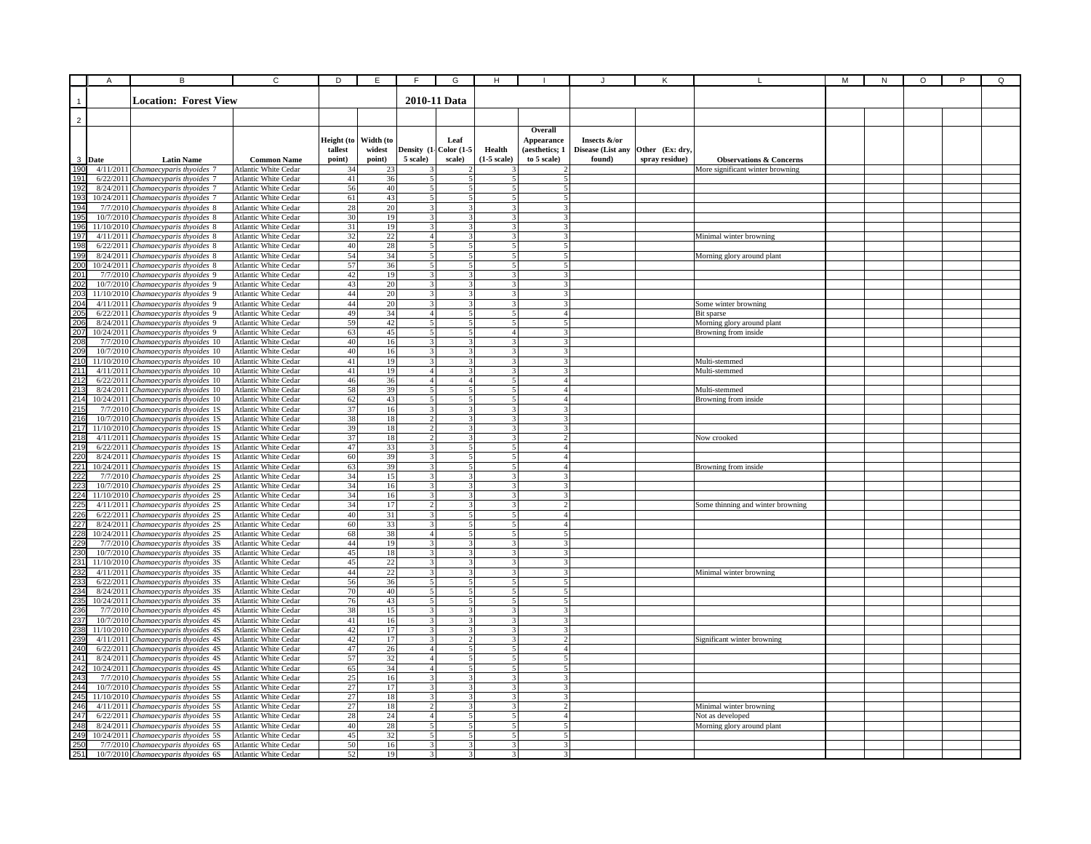|                   | A      | В                                                                           | $\overline{c}$                               | D                               | E                             | F                                                  | G                               | н                                                   |                                                        |                                             |                                   |                                    | М | N | O | P | Q |
|-------------------|--------|-----------------------------------------------------------------------------|----------------------------------------------|---------------------------------|-------------------------------|----------------------------------------------------|---------------------------------|-----------------------------------------------------|--------------------------------------------------------|---------------------------------------------|-----------------------------------|------------------------------------|---|---|---|---|---|
|                   |        | <b>Location: Forest View</b>                                                |                                              |                                 |                               |                                                    | 2010-11 Data                    |                                                     |                                                        |                                             |                                   |                                    |   |   |   |   |   |
| $\overline{2}$    |        |                                                                             |                                              |                                 |                               |                                                    |                                 |                                                     |                                                        |                                             |                                   |                                    |   |   |   |   |   |
|                   | 3 Date | <b>Latin Name</b>                                                           | <b>Common Name</b>                           | Height (to<br>tallest<br>point) | Width (to<br>widest<br>point) | Density (1-<br>5 scale)                            | Leaf<br>Color $(1-5)$<br>scale) | Health<br>$(1-5 \text{ scale})$                     | Overall<br>Appearance<br>(aesthetics; 1<br>to 5 scale) | Insects &/or<br>Disease (List any<br>found) | Other (Ex: dry,<br>spray residue) | <b>Observations &amp; Concerns</b> |   |   |   |   |   |
| 190               |        | 4/11/2011 Chamaecyparis thyoides 7                                          | Atlantic White Cedar                         | 34                              | 23                            |                                                    |                                 |                                                     |                                                        |                                             |                                   | More significant winter browning   |   |   |   |   |   |
| 191               |        | 6/22/2011 Chamaecyparis thyoides 7                                          | Atlantic White Cedar                         | $41\,$                          | 36                            | 5                                                  |                                 |                                                     | 5                                                      |                                             |                                   |                                    |   |   |   |   |   |
| 192               |        | 8/24/2011 Chamaecyparis thyoides 7                                          | Atlantic White Cedar                         | 56                              | 40                            | 5 <sub>l</sub>                                     | 5                               | $\mathbf{5}$                                        | 5                                                      |                                             |                                   |                                    |   |   |   |   |   |
| 193               |        | 10/24/2011 Chamaecyparis thyoides 7                                         | Atlantic White Cedar                         | 61                              | 43                            | 5 <sup>1</sup>                                     | 5 <sup>1</sup>                  | 5 <sup>1</sup>                                      | 5 <sup>1</sup>                                         |                                             |                                   |                                    |   |   |   |   |   |
| 194               |        | 7/7/2010 Chamaecyparis thyoides 8                                           | Atlantic White Cedar                         | 28                              | 20                            | 3                                                  | 3<br>$\mathbf{R}$               | $\overline{\mathbf{3}}$                             | $\overline{\mathbf{3}}$                                |                                             |                                   |                                    |   |   |   |   |   |
|                   |        | 10/7/2010 Chamaecyparis thyoides 8                                          | Atlantic White Cedar                         | 30                              | 19<br>19                      | $\overline{\mathbf{3}}$<br>$\overline{3}$          | $\overline{\mathbf{3}}$         | $\overline{\mathbf{3}}$<br>$\overline{\mathcal{L}}$ | $\overline{\mathbf{3}}$<br>$\overline{\mathbf{3}}$     |                                             |                                   |                                    |   |   |   |   |   |
| 195<br>196<br>197 |        | 11/10/2010 Chamaecyparis thyoides 8<br>4/11/2011 Chamaecyparis thyoides 8   | Atlantic White Cedar<br>Atlantic White Cedar | $31\,$<br>32                    | 22                            | $\overline{4}$                                     | $\mathbf{R}$                    | 3                                                   | $\overline{3}$                                         |                                             |                                   | Minimal winter browning            |   |   |   |   |   |
| 198               |        | 6/22/2011 Chamaecyparis thyoides 8                                          | Atlantic White Cedar                         | 40                              | $\overline{28}$               | 5 <sub>l</sub>                                     | 5                               | 5                                                   | 5 <sub>1</sub>                                         |                                             |                                   |                                    |   |   |   |   |   |
|                   |        | 8/24/2011 Chamaecyparis thyoides 8                                          | Atlantic White Cedar                         | 54                              | 34                            | 5                                                  |                                 |                                                     | 5                                                      |                                             |                                   | Morning glory around plant         |   |   |   |   |   |
|                   |        | 10/24/2011 Chamaecyparis thyoides 8                                         | <b>Atlantic White Cedar</b>                  | 57                              | 36                            |                                                    |                                 |                                                     | 5                                                      |                                             |                                   |                                    |   |   |   |   |   |
|                   |        | 7/7/2010 Chamaecyparis thyoides 9                                           | Atlantic White Cedar                         | $42\,$                          | 19                            | 3                                                  |                                 |                                                     | $\mathbf{3}$                                           |                                             |                                   |                                    |   |   |   |   |   |
|                   |        | 10/7/2010 Chamaecyparis thyoides 9                                          | Atlantic White Cedar                         | 43                              | 20                            | 3 <sup>1</sup>                                     | 3                               | 3                                                   | 3                                                      |                                             |                                   |                                    |   |   |   |   |   |
|                   |        | 11/10/2010 Chamaecyparis thyoides 9                                         | Atlantic White Cedar                         | 44                              | 20                            | $\overline{3}$                                     | 3                               | $\overline{\mathbf{3}}$                             | 3                                                      |                                             |                                   |                                    |   |   |   |   |   |
|                   |        | 4/11/2011 Chamaecyparis thyoides 9                                          | Atlantic White Cedar                         | 44                              | 20                            | 3                                                  | 3                               | 31                                                  | 3                                                      |                                             |                                   | Some winter browning               |   |   |   |   |   |
|                   |        | 6/22/2011 Chamaecyparis thyoides 9                                          | Atlantic White Cedar                         | 49                              | 34                            | $\overline{4}$                                     | 5                               | 5                                                   | 41                                                     |                                             |                                   | Bit sparse                         |   |   |   |   |   |
|                   |        | 8/24/2011 Chamaecyparis thyoides 9                                          | Atlantic White Cedar                         | 59                              | 42                            | 5                                                  | $\overline{\phantom{a}}$        | $\overline{\phantom{0}}$                            | 5                                                      |                                             |                                   | Morning glory around plant         |   |   |   |   |   |
|                   |        | 10/24/2011 Chamaecyparis thyoides 9                                         | Atlantic White Cedar                         | 63                              | 45                            | $\overline{5}$                                     | $\overline{\phantom{a}}$        | $\overline{4}$                                      | $\mathbf{R}$                                           |                                             |                                   | Browning from inside               |   |   |   |   |   |
|                   |        | 7/7/2010 Chamaecyparis thyoides 10                                          | Atlantic White Cedar                         | 40                              | 16                            | $\overline{\mathbf{3}}$                            | $\overline{\mathbf{3}}$         | 3                                                   | ٦I                                                     |                                             |                                   |                                    |   |   |   |   |   |
|                   |        | 10/7/2010 Chamaecyparis thyoides 10                                         | Atlantic White Cedar                         | 40                              | 16                            |                                                    |                                 |                                                     | 3                                                      |                                             |                                   |                                    |   |   |   |   |   |
|                   |        | 11/10/2010 Chamaecyparis thyoides 10<br>4/11/2011 Chamaecyparis thyoides 10 | Atlantic White Cedar<br>Atlantic White Cedar | 41<br>41                        | 19                            | $\overline{4}$                                     |                                 | 3                                                   | 3                                                      |                                             |                                   | Multi-stemmed<br>Multi-stemmed     |   |   |   |   |   |
|                   |        | 6/22/2011 Chamaecyparis thyoides 10                                         | Atlantic White Cedar                         | 46                              | 19<br>36                      | $\overline{4}$                                     | $\overline{4}$                  | 5                                                   | 4                                                      |                                             |                                   |                                    |   |   |   |   |   |
|                   |        | 8/24/2011 Chamaecyparis thyoides 10                                         | Atlantic White Cedar                         | 58                              | 39                            | 5 <sub>l</sub>                                     | 5                               | 5                                                   | 4 <sup>1</sup>                                         |                                             |                                   | Multi-stemmed                      |   |   |   |   |   |
|                   |        | 10/24/2011 Chamaecyparis thyoides 10                                        | Atlantic White Cedar                         | 62                              | 43                            | $\overline{5}$                                     | 5                               | 5 <sup>1</sup>                                      | 4 <sup>1</sup>                                         |                                             |                                   | Browning from inside               |   |   |   |   |   |
|                   |        | 7/7/2010 Chamaecyparis thyoides 1S                                          | Atlantic White Cedar                         | 37                              | 16                            | $\overline{3}$                                     | 3                               | 3 <sup>1</sup>                                      | 3I                                                     |                                             |                                   |                                    |   |   |   |   |   |
|                   |        | 10/7/2010 Chamaecyparis thyoides 1S                                         | Atlantic White Cedar                         | 38                              | 18                            | $\overline{2}$                                     | 3                               | $\overline{\mathbf{3}}$                             | $\overline{\mathbf{3}}$                                |                                             |                                   |                                    |   |   |   |   |   |
|                   |        | 11/10/2010 Chamaecyparis thyoides 1S                                        | Atlantic White Cedar                         | 39                              | 18                            | $\overline{c}$                                     | $\mathbf{3}$                    | $\overline{3}$                                      | 31                                                     |                                             |                                   |                                    |   |   |   |   |   |
|                   |        | 4/11/2011 Chamaecyparis thyoides 1S                                         | Atlantic White Cedar                         | 37                              | 18                            | $\overline{2}$                                     | $\overline{\mathbf{3}}$         | $\overline{\mathbf{3}}$                             | $\overline{2}$                                         |                                             |                                   | Now crooked                        |   |   |   |   |   |
|                   |        | 6/22/2011 Chamaecyparis thyoides 1S                                         | Atlantic White Cedar                         | 47                              | 33                            | $\overline{3}$                                     | $\overline{\phantom{a}}$        | 5 <sub>l</sub>                                      | $\mathbf{A}$                                           |                                             |                                   |                                    |   |   |   |   |   |
|                   |        | 8/24/2011 Chamaecyparis thyoides 1S                                         | Atlantic White Cedar                         | 60                              | 39                            | $\mathbf{3}$                                       | $\leq$                          | 5                                                   | $\mathbf{A}$                                           |                                             |                                   |                                    |   |   |   |   |   |
|                   |        | 10/24/2011 Chamaecyparis thyoides 1S                                        | Atlantic White Cedar                         | 63                              | 39                            | $\overline{\mathbf{3}}$                            |                                 | 5                                                   | 41                                                     |                                             |                                   | Browning from inside               |   |   |   |   |   |
|                   |        | 7/7/2010 Chamaecyparis thyoides 2S                                          | Atlantic White Cedar                         | 34                              | 15                            |                                                    |                                 |                                                     |                                                        |                                             |                                   |                                    |   |   |   |   |   |
|                   |        | 10/7/2010 Chamaecyparis thyoides 2S                                         | Atlantic White Cedar                         | 34                              | 16                            | 3                                                  |                                 |                                                     |                                                        |                                             |                                   |                                    |   |   |   |   |   |
|                   |        | 11/10/2010 Chamaecyparis thyoides 2S                                        | Atlantic White Cedar                         | 34                              | 16                            | 3                                                  | 3                               | 3                                                   | 3                                                      |                                             |                                   |                                    |   |   |   |   |   |
|                   |        | 4/11/2011 Chamaecyparis thyoides 2S                                         | Atlantic White Cedar                         | 34                              | 17                            | $\mathcal{D}$<br>3                                 | 3<br>5                          | $\mathcal{F}$<br>5                                  | $\mathcal{P}$<br>4                                     |                                             |                                   | Some thinning and winter browning  |   |   |   |   |   |
|                   |        | 6/22/2011 Chamaecyparis thyoides 2S<br>8/24/2011 Chamaecyparis thyoides 2S  | Atlantic White Cedar<br>Atlantic White Cedar | 40<br>60                        | 31<br>33                      | 3                                                  | $\overline{\phantom{a}}$        | 5                                                   | $\overline{a}$                                         |                                             |                                   |                                    |   |   |   |   |   |
|                   |        | 10/24/2011 Chamaecyparis thyoides 2S                                        | Atlantic White Cedar                         | 68                              | 38                            | 4 <sup>1</sup>                                     | $\overline{\phantom{a}}$        | $\mathbf{I}$                                        | 5                                                      |                                             |                                   |                                    |   |   |   |   |   |
|                   |        | 7/7/2010 Chamaecyparis thyoides 3S                                          | Atlantic White Cedar                         | 44                              | 19                            | $\overline{\mathbf{3}}$                            | $\overline{\mathbf{3}}$         | $\mathbf{3}$                                        | रा                                                     |                                             |                                   |                                    |   |   |   |   |   |
|                   |        | 10/7/2010 Chamaecyparis thyoides 3S                                         | Atlantic White Cedar                         | $45\,$                          | $18\,$                        |                                                    | $\overline{\mathbf{a}}$         | $\mathbf{3}$                                        | $\overline{\mathbf{3}}$                                |                                             |                                   |                                    |   |   |   |   |   |
|                   |        | 11/10/2010 Chamaecyparis thyoides 3S                                        | Atlantic White Cedar                         | 45                              | 22                            | $\mathbf{3}$                                       |                                 | $\mathbf{3}$                                        | $\mathbf{3}$                                           |                                             |                                   |                                    |   |   |   |   |   |
|                   |        | 4/11/2011 Chamaecyparis thyoides 3S                                         | <b>Atlantic White Cedar</b>                  | 44                              | $\overline{22}$               |                                                    |                                 |                                                     | $\mathbf{3}$                                           |                                             |                                   | Minimal winter browning            |   |   |   |   |   |
|                   |        | $6/22/2011$ Chamaecyparis thyoides 3S                                       | Atlantic White Cedar                         | 56                              | 36                            | 5                                                  |                                 | 5                                                   | 5                                                      |                                             |                                   |                                    |   |   |   |   |   |
|                   |        | 8/24/2011 Chamaecyparis thyoides 3S                                         | Atlantic White Cedar                         | 70                              | $40\,$                        | 5 <sub>l</sub>                                     |                                 | 5                                                   | 5 <sup>1</sup>                                         |                                             |                                   |                                    |   |   |   |   |   |
|                   |        | 10/24/2011 Chamaecyparis thyoides 3S                                        | Atlantic White Cedar                         | 76                              | 43                            | 5 <sup>1</sup>                                     | 5                               | 5                                                   | 5 <sup>1</sup>                                         |                                             |                                   |                                    |   |   |   |   |   |
|                   |        | 7/7/2010 Chamaecyparis thyoides 4S                                          | Atlantic White Cedar                         | 38                              | 15                            | 3                                                  | 3                               | 3 <sup>1</sup>                                      | $\mathbf{3}$                                           |                                             |                                   |                                    |   |   |   |   |   |
|                   |        | 10/7/2010 Chamaecyparis thyoides 4S                                         | Atlantic White Cedar                         | 41                              | 16                            | 3                                                  | 3                               | $\mathcal{F}$                                       | 3I                                                     |                                             |                                   |                                    |   |   |   |   |   |
|                   |        | 11/10/2010 Chamaecyparis thyoides 4S                                        | Atlantic White Cedar                         | 42                              | 17                            | $\overline{\mathbf{3}}$<br>$\overline{\mathbf{3}}$ | $\overline{c}$                  | 3<br>3                                              | $\overline{3}$                                         |                                             |                                   |                                    |   |   |   |   |   |
|                   |        | 4/11/2011 Chamaecyparis thyoides 4S                                         | Atlantic White Cedar                         | 42<br>47                        | 17<br>26                      | $\overline{4}$                                     | $\varsigma$                     | $\overline{5}$                                      | 2 <sup>1</sup><br>4 <sup>1</sup>                       |                                             |                                   | Significant winter browning        |   |   |   |   |   |
|                   |        | 6/22/2011 Chamaecyparis thyoides 4S<br>8/24/2011 Chamaecyparis thyoides 4S  | Atlantic White Cedar                         | 57                              | 32                            | $\overline{4}$                                     |                                 | 5                                                   | 5                                                      |                                             |                                   |                                    |   |   |   |   |   |
|                   |        | 10/24/2011 Chamaecyparis thyoides 4S                                        | Atlantic White Cedar<br>Atlantic White Cedar | 65                              | 34                            | $\mathbf{4}$                                       |                                 | 5                                                   | 5                                                      |                                             |                                   |                                    |   |   |   |   |   |
|                   |        | 7/7/2010 Chamaecyparis thyoides 5S                                          | <b>Atlantic White Cedar</b>                  | 25                              | 16                            | $\overline{\mathbf{3}}$                            |                                 |                                                     | $\mathbf{3}$                                           |                                             |                                   |                                    |   |   |   |   |   |
|                   |        | 10/7/2010 Chamaecyparis thyoides 5S                                         | Atlantic White Cedar                         | 27                              | 17                            | 3                                                  | 3                               |                                                     | 3                                                      |                                             |                                   |                                    |   |   |   |   |   |
|                   |        | 11/10/2010 Chamaecyparis thyoides 5S                                        | Atlantic White Cedar                         | 27                              | 18                            | 3                                                  |                                 |                                                     | 3                                                      |                                             |                                   |                                    |   |   |   |   |   |
|                   |        | 4/11/2011 Chamaecyparis thyoides 5S                                         | Atlantic White Cedar                         | 27                              | 18                            | $\overline{2}$                                     | 3                               | 3                                                   | $\overline{2}$                                         |                                             |                                   | Minimal winter browning            |   |   |   |   |   |
|                   |        | 6/22/2011 Chamaecyparis thyoides 5S                                         | Atlantic White Cedar                         | 28                              | 24                            | $\overline{4}$                                     | 5                               | 5                                                   | 4 <sup>1</sup>                                         |                                             |                                   | Not as developed                   |   |   |   |   |   |
|                   |        | 8/24/2011 Chamaecyparis thyoides 5S                                         | Atlantic White Cedar                         | 40                              | $\sqrt{28}$                   | $\varsigma$                                        | 5                               | $\sim$                                              | 5 <sup>1</sup>                                         |                                             |                                   | Morning glory around plant         |   |   |   |   |   |
|                   |        | 10/24/2011 Chamaecyparis thyoides 5S                                        | Atlantic White Cedar                         | 45                              | 32                            | $\varsigma$                                        | $\overline{\phantom{0}}$        | 5                                                   | $\sim$                                                 |                                             |                                   |                                    |   |   |   |   |   |
|                   |        | 7/7/2010 Chamaecyparis thyoides 6S                                          | Atlantic White Cedar                         | 50                              | 16                            | $\mathcal{R}$                                      | $\mathbf{3}$                    |                                                     |                                                        |                                             |                                   |                                    |   |   |   |   |   |
|                   |        | 10/7/2010 Chamaecyparis thyoides 6S                                         | Atlantic White Cedar                         | 52                              | 19                            | $\overline{\mathcal{L}}$                           | $\overline{\mathbf{3}}$         | $\mathbf{R}$                                        |                                                        |                                             |                                   |                                    |   |   |   |   |   |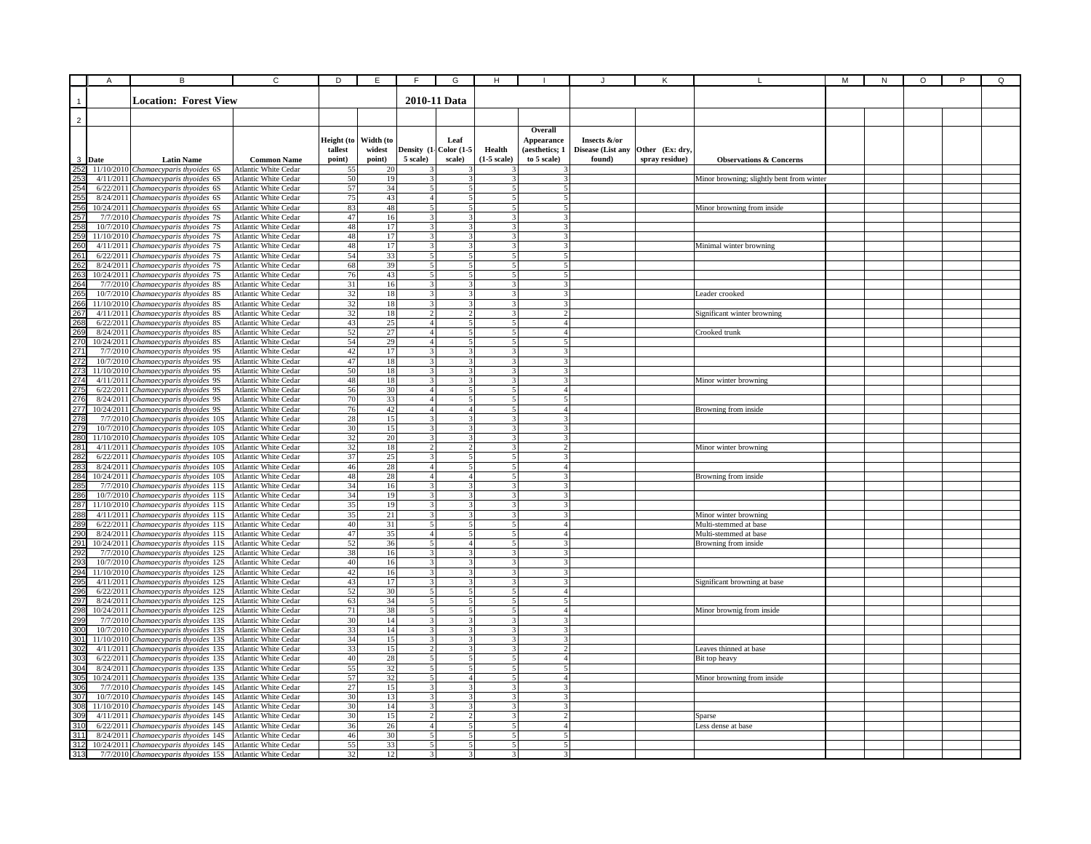|                                                      | A      | в                                                                             | $\overline{c}$                                      | D                               | E                             | F                                | G                                          | н                               |                                                        |                                             | К                                 |                                                | М | ${\sf N}$ | O | P | Q |
|------------------------------------------------------|--------|-------------------------------------------------------------------------------|-----------------------------------------------------|---------------------------------|-------------------------------|----------------------------------|--------------------------------------------|---------------------------------|--------------------------------------------------------|---------------------------------------------|-----------------------------------|------------------------------------------------|---|-----------|---|---|---|
|                                                      |        | <b>Location: Forest View</b>                                                  |                                                     |                                 |                               |                                  | 2010-11 Data                               |                                 |                                                        |                                             |                                   |                                                |   |           |   |   |   |
| $\overline{2}$                                       |        |                                                                               |                                                     |                                 |                               |                                  |                                            |                                 |                                                        |                                             |                                   |                                                |   |           |   |   |   |
|                                                      | 3 Date | <b>Latin Name</b>                                                             | <b>Common Name</b>                                  | Height (to<br>tallest<br>point) | Width (to<br>widest<br>point) | Density (1<br>5 scale)           | Leaf<br>Color (1-5<br>scale)               | Health<br>$(1-5 \text{ scale})$ | Overall<br>Appearance<br>(aesthetics; 1<br>to 5 scale) | Insects &/or<br>Disease (List any<br>found) | Other (Ex: dry.<br>spray residue) | <b>Observations &amp; Concerns</b>             |   |           |   |   |   |
|                                                      |        | 11/10/2010 Chamaecyparis thyoides 6S                                          | Atlantic White Cedar                                | 55                              | 20                            |                                  |                                            |                                 |                                                        |                                             |                                   |                                                |   |           |   |   |   |
|                                                      |        | 4/11/2011 Chamaecyparis thyoides 6S                                           | Atlantic White Cedar                                | 50                              | 19                            | 3                                |                                            |                                 |                                                        |                                             |                                   | Minor browning; slightly bent from winter      |   |           |   |   |   |
|                                                      |        | 6/22/2011 Chamaecyparis thyoides 6S                                           | Atlantic White Cedar                                | 57                              | 34                            | 5 <sub>l</sub>                   | 5<br>5                                     |                                 | 5                                                      |                                             |                                   |                                                |   |           |   |   |   |
|                                                      |        | 8/24/2011 Chamaecyparis thyoides 6S<br>10/24/2011 Chamaecyparis thyoides 6S   | Atlantic White Cedar                                | 75<br>83                        | 43<br>48                      | $\overline{4}$<br>5 <sup>1</sup> | 5 <sup>1</sup>                             |                                 | 5<br>5                                                 |                                             |                                   |                                                |   |           |   |   |   |
|                                                      |        | 7/7/2010 Chamaecyparis thyoides 7S                                            | Atlantic White Cedar<br>Atlantic White Cedar        | 47                              | 16                            | $\overline{3}$                   | 3                                          |                                 | $\mathbf{a}$                                           |                                             |                                   | Minor browning from inside                     |   |           |   |   |   |
|                                                      |        | 10/7/2010 Chamaecyparis thyoides 7S                                           | Atlantic White Cedar                                | 48                              | 17                            | $\overline{3}$                   | $\overline{\mathbf{3}}$                    |                                 | $\overline{\mathbf{3}}$                                |                                             |                                   |                                                |   |           |   |   |   |
|                                                      |        | 11/10/2010 Chamaecyparis thyoides 7S                                          | Atlantic White Cedar                                | 48                              | 17                            | $\overline{3}$                   | $\mathbf{3}$                               |                                 | 3                                                      |                                             |                                   |                                                |   |           |   |   |   |
|                                                      |        | 4/11/2011 Chamaecyparis thyoides 7S                                           | Atlantic White Cedar                                | 48                              | 17                            | $\overline{\mathbf{3}}$          | 3                                          |                                 | $\mathbf{R}$                                           |                                             |                                   | Minimal winter browning                        |   |           |   |   |   |
|                                                      |        | 6/22/2011 Chamaecyparis thyoides 7S                                           | Atlantic White Cedar                                | 54                              | 33                            | 5                                | 5                                          |                                 |                                                        |                                             |                                   |                                                |   |           |   |   |   |
|                                                      |        | 8/24/2011 Chamaecyparis thyoides 7S                                           | Atlantic White Cedar                                | 68                              | 39                            |                                  |                                            |                                 |                                                        |                                             |                                   |                                                |   |           |   |   |   |
|                                                      |        | 10/24/2011 Chamaecyparis thyoides 7S                                          | Atlantic White Cedar                                | 76                              | 43                            | 5                                | 5                                          |                                 |                                                        |                                             |                                   |                                                |   |           |   |   |   |
|                                                      |        | 7/7/2010 Chamaecyparis thyoides 8S                                            | Atlantic White Cedar                                | 31                              | 16                            | $\overline{3}$                   | 3                                          |                                 | $\mathbf{3}$                                           |                                             |                                   |                                                |   |           |   |   |   |
|                                                      |        | 10/7/2010 Chamaecyparis thyoides 8S                                           | Atlantic White Cedar                                | $32\,$                          | 18                            | $\overline{3}$                   | 3                                          |                                 | 3                                                      |                                             |                                   | Leader crooked                                 |   |           |   |   |   |
|                                                      |        | 11/10/2010 Chamaecyparis thyoides 8S                                          | Atlantic White Cedar                                | 32                              | 18                            | $\overline{\mathbf{3}}$          | 3                                          |                                 |                                                        |                                             |                                   |                                                |   |           |   |   |   |
|                                                      |        | 4/11/2011 Chamaecyparis thyoides 8S                                           | Atlantic White Cedar                                | 32                              | 18                            | $\overline{2}$                   | 2                                          |                                 | $\mathcal{P}$                                          |                                             |                                   | Significant winter browning                    |   |           |   |   |   |
|                                                      |        | 6/22/2011 Chamaecyparis thyoides 8S                                           | Atlantic White Cedar                                | 43                              | 25                            | 4 <sup>1</sup>                   | 5                                          |                                 | $\mathbf{A}$                                           |                                             |                                   |                                                |   |           |   |   |   |
|                                                      |        | 8/24/2011 Chamaecyparis thyoides 8S                                           | Atlantic White Cedar                                | 52                              | 27                            | $\overline{4}$<br>$\overline{4}$ | $\overline{5}$<br>$\overline{\phantom{0}}$ |                                 | $\leq$                                                 |                                             |                                   | Crooked trunk                                  |   |           |   |   |   |
|                                                      |        | 10/24/2011 Chamaecyparis thyoides 8S<br>7/7/2010 Chamaecyparis thyoides 9S    | Atlantic White Cedar                                | 54                              | 29<br>17                      | 3                                |                                            |                                 |                                                        |                                             |                                   |                                                |   |           |   |   |   |
|                                                      |        | 10/7/2010 Chamaecyparis thyoides 9S                                           | <b>Atlantic White Cedar</b><br>Atlantic White Cedar | 42<br>47                        | 18                            | 3                                |                                            |                                 |                                                        |                                             |                                   |                                                |   |           |   |   |   |
|                                                      |        | 11/10/2010 Chamaecyparis thyoides 9S                                          | Atlantic White Cedar                                | 50                              | 18                            | 3                                |                                            |                                 |                                                        |                                             |                                   |                                                |   |           |   |   |   |
|                                                      |        | 4/11/2011 Chamaecyparis thyoides 9S                                           | Atlantic White Cedar                                | 48                              | 18                            | $\overline{\mathbf{3}}$          | 3                                          |                                 |                                                        |                                             |                                   | Minor winter browning                          |   |           |   |   |   |
|                                                      |        | 6/22/2011 Chamaecyparis thyoides 9S                                           | Atlantic White Cedar                                | 56                              | 30                            | $\overline{4}$                   | 5                                          |                                 | 4                                                      |                                             |                                   |                                                |   |           |   |   |   |
|                                                      |        | 8/24/2011 Chamaecyparis thyoides 9S                                           | Atlantic White Cedar                                | 70                              | 33                            | $\overline{4}$                   | 5                                          |                                 | 5                                                      |                                             |                                   |                                                |   |           |   |   |   |
|                                                      |        | 10/24/2011 Chamaecyparis thyoides 9S                                          | Atlantic White Cedar                                | 76                              | 42                            | $\overline{4}$                   | 4 <sup>1</sup>                             |                                 | $\overline{4}$                                         |                                             |                                   | Browning from inside                           |   |           |   |   |   |
|                                                      |        | 7/7/2010 Chamaecyparis thyoides 10S                                           | Atlantic White Cedar                                | 28                              | 15                            | $\overline{\mathbf{3}}$          | 3                                          |                                 | 3                                                      |                                             |                                   |                                                |   |           |   |   |   |
|                                                      |        | 10/7/2010 Chamaecyparis thyoides 10S                                          | Atlantic White Cedar                                | 30                              | 15                            | 3 <sup>1</sup>                   | 3                                          |                                 | 3                                                      |                                             |                                   |                                                |   |           |   |   |   |
|                                                      |        | 11/10/2010 Chamaecyparis thyoides 10S                                         | Atlantic White Cedar                                | 32                              | 20                            | $\overline{3}$                   | $\overline{\mathbf{3}}$                    |                                 | $\mathbf{3}$                                           |                                             |                                   |                                                |   |           |   |   |   |
|                                                      |        | 4/11/2011 Chamaecyparis thyoides 10S                                          | Atlantic White Cedar                                | 32                              | 18                            | 2                                | $\overline{2}$                             |                                 | $\mathcal{D}$                                          |                                             |                                   | Minor winter browning                          |   |           |   |   |   |
|                                                      |        | 6/22/2011 Chamaecyparis thyoides 10S                                          | Atlantic White Cedar                                | 37                              | 25                            | $\mathbf{3}$                     | 5                                          |                                 |                                                        |                                             |                                   |                                                |   |           |   |   |   |
|                                                      |        | 8/24/2011 Chamaecyparis thyoides 10S                                          | Atlantic White Cedar                                | 46                              | 28                            | $\overline{4}$                   | 5                                          |                                 |                                                        |                                             |                                   |                                                |   |           |   |   |   |
|                                                      |        | 10/24/2011 Chamaecyparis thyoides 10S                                         | Atlantic White Cedar                                | 48                              | 28                            | 4 <sup>1</sup>                   | $\overline{4}$                             |                                 |                                                        |                                             |                                   | Browning from inside                           |   |           |   |   |   |
|                                                      |        | 7/7/2010 Chamaecyparis thyoides 11S                                           | Atlantic White Cedar                                | 34                              | 16                            | 3                                | 3                                          |                                 |                                                        |                                             |                                   |                                                |   |           |   |   |   |
|                                                      |        | 10/7/2010 Chamaecyparis thyoides 11S                                          | Atlantic White Cedar                                | 34                              | 19                            | $\overline{3}$                   | 3                                          |                                 | $\mathbf{R}$                                           |                                             |                                   |                                                |   |           |   |   |   |
|                                                      |        | 11/10/2010 Chamaecyparis thyoides 11S                                         | Atlantic White Cedar                                | 35                              | 19                            | 3 <sup>1</sup>                   | 3                                          |                                 |                                                        |                                             |                                   |                                                |   |           |   |   |   |
|                                                      |        | 4/11/2011 Chamaecyparis thyoides 11S                                          | Atlantic White Cedar                                | 35                              | 21                            | $\overline{3}$                   | 3                                          |                                 |                                                        |                                             |                                   | Minor winter browning                          |   |           |   |   |   |
|                                                      |        | 6/22/2011 Chamaecyparis thyoides 11S                                          | Atlantic White Cedar<br>Atlantic White Cedar        | 40<br>47                        | 31<br>35                      | $\overline{5}$<br>4 <sup>1</sup> | 5<br>5                                     |                                 | $\overline{A}$<br>$\mathbf{A}$                         |                                             |                                   | Multi-stemmed at base<br>Multi-stemmed at base |   |           |   |   |   |
|                                                      |        | 8/24/2011 Chamaecyparis thyoides 11S<br>10/24/2011 Chamaecyparis thyoides 11S | Atlantic White Cedar                                | 52                              | 36                            | $\overline{5}$                   | $\overline{4}$                             |                                 | $\mathbf{3}$                                           |                                             |                                   | Browning from inside                           |   |           |   |   |   |
|                                                      |        | 7/7/2010 Chamaecyparis thyoides 12S                                           | Atlantic White Cedar                                | 38                              | 16                            | $\overline{3}$                   | 3                                          |                                 | 3                                                      |                                             |                                   |                                                |   |           |   |   |   |
|                                                      |        | 10/7/2010 Chamaecyparis thyoides 12S                                          | Atlantic White Cedar                                | $40\,$                          | 16                            | $\overline{\mathbf{3}}$          | R                                          |                                 |                                                        |                                             |                                   |                                                |   |           |   |   |   |
|                                                      |        | 11/10/2010 Chamaecyparis thyoides 12S                                         | <b>Atlantic White Cedar</b>                         | 42                              | 16                            | 3                                | $\mathbf{3}$                               |                                 |                                                        |                                             |                                   |                                                |   |           |   |   |   |
|                                                      |        | 4/11/2011 Chamaecyparis thyoides 12S                                          | Atlantic White Cedar                                | 43                              | 17                            | 3                                | 3                                          |                                 |                                                        |                                             |                                   | Significant browning at base                   |   |           |   |   |   |
|                                                      |        | 6/22/2011 Chamaecyparis thyoides 12S                                          | Atlantic White Cedar                                | $52\,$                          | 30                            | 5 <sub>l</sub>                   | 5                                          |                                 | $\overline{4}$                                         |                                             |                                   |                                                |   |           |   |   |   |
|                                                      |        | 8/24/2011 Chamaecyparis thyoides 12S                                          | Atlantic White Cedar                                | 63                              | 34                            | $\mathfrak{S}$                   | 5                                          |                                 | 5                                                      |                                             |                                   |                                                |   |           |   |   |   |
|                                                      |        | 10/24/2011 Chamaecyparis thyoides 12S                                         | Atlantic White Cedar                                | 71                              | 38                            | 5 <sup>1</sup>                   | 5 <sup>1</sup>                             | $\sim$                          | $\Delta$                                               |                                             |                                   | Minor brownig from inside                      |   |           |   |   |   |
|                                                      |        | 7/7/2010 Chamaecyparis thyoides 13S                                           | Atlantic White Cedar                                | 30                              | 14                            | 3 <sup>1</sup>                   | 3                                          |                                 | 3                                                      |                                             |                                   |                                                |   |           |   |   |   |
|                                                      |        | 10/7/2010 Chamaecyparis thyoides 13S                                          | Atlantic White Cedar                                | 33                              | 14                            | $\overline{3}$                   | 3                                          |                                 | $\mathbf{R}$                                           |                                             |                                   |                                                |   |           |   |   |   |
|                                                      |        | 11/10/2010 Chamaecyparis thyoides 13S                                         | Atlantic White Cedar                                | 34                              | 15                            | $\overline{\mathbf{3}}$          | 3                                          |                                 | 3                                                      |                                             |                                   |                                                |   |           |   |   |   |
|                                                      |        | 4/11/2011 Chamaecyparis thyoides 13S                                          | Atlantic White Cedar                                | 33                              | 15                            | $\overline{2}$                   | $\mathbf{3}$                               |                                 | $\mathcal{D}$                                          |                                             |                                   | Leaves thinned at base                         |   |           |   |   |   |
|                                                      |        | 6/22/2011 Chamaecyparis thyoides 13S                                          | Atlantic White Cedar                                | 40                              | 28                            | $\overline{5}$                   | $\overline{5}$                             |                                 | $\Delta$                                               |                                             |                                   | Bit top heavy                                  |   |           |   |   |   |
|                                                      |        | 8/24/2011 Chamaecyparis thyoides 13S                                          | Atlantic White Cedar                                | 55                              | 32                            |                                  |                                            |                                 |                                                        |                                             |                                   |                                                |   |           |   |   |   |
|                                                      |        | 10/24/2011 Chamaecyparis thyoides 13S                                         | Atlantic White Cedar                                | 57                              | 32                            | 5                                | $\overline{4}$                             |                                 |                                                        |                                             |                                   | Minor browning from inside                     |   |           |   |   |   |
|                                                      |        | 7/7/2010 Chamaecyparis thyoides 14S                                           | Atlantic White Cedar                                | 27                              | 15                            | 3                                |                                            |                                 |                                                        |                                             |                                   |                                                |   |           |   |   |   |
|                                                      |        | 10/7/2010 Chamaecyparis thyoides 14S                                          | Atlantic White Cedar                                | 30                              | 13                            | 3<br>3                           | 3<br>3                                     |                                 | 3                                                      |                                             |                                   |                                                |   |           |   |   |   |
|                                                      |        | 11/10/2010 Chamaecyparis thyoides 14S<br>4/11/2011 Chamaecyparis thyoides 14S | Atlantic White Cedar<br>Atlantic White Cedar        | 30<br>30                        | 14<br>15                      | $\overline{2}$                   | $\overline{c}$                             |                                 | $\gamma$                                               |                                             |                                   |                                                |   |           |   |   |   |
|                                                      |        | 6/22/2011 Chamaecyparis thyoides 14S                                          | Atlantic White Cedar                                | 36                              | 26                            | $\overline{4}$                   | 5                                          |                                 | $\boldsymbol{\Delta}$                                  |                                             |                                   | Sparse<br>Less dense at base                   |   |           |   |   |   |
|                                                      |        | 8/24/2011 Chamaecyparis thyoides 14S                                          | Atlantic White Cedar                                | 46                              | 30                            | $\overline{5}$                   | 5                                          |                                 | 5                                                      |                                             |                                   |                                                |   |           |   |   |   |
|                                                      |        | 10/24/2011 Chamaecyparis thyoides 14S                                         | Atlantic White Cedar                                | 55                              | 33                            | $\overline{5}$                   | 5                                          |                                 |                                                        |                                             |                                   |                                                |   |           |   |   |   |
| 306<br>307<br>308<br>310<br>311<br>311<br>311<br>313 |        | 7/7/2010 Chamaecyparis thyoides 15S                                           | Atlantic White Cedar                                | 32                              | 12                            | $\overline{3}$                   | $\mathbf{R}$                               |                                 | $\mathbf{R}$                                           |                                             |                                   |                                                |   |           |   |   |   |
|                                                      |        |                                                                               |                                                     |                                 |                               |                                  |                                            |                                 |                                                        |                                             |                                   |                                                |   |           |   |   |   |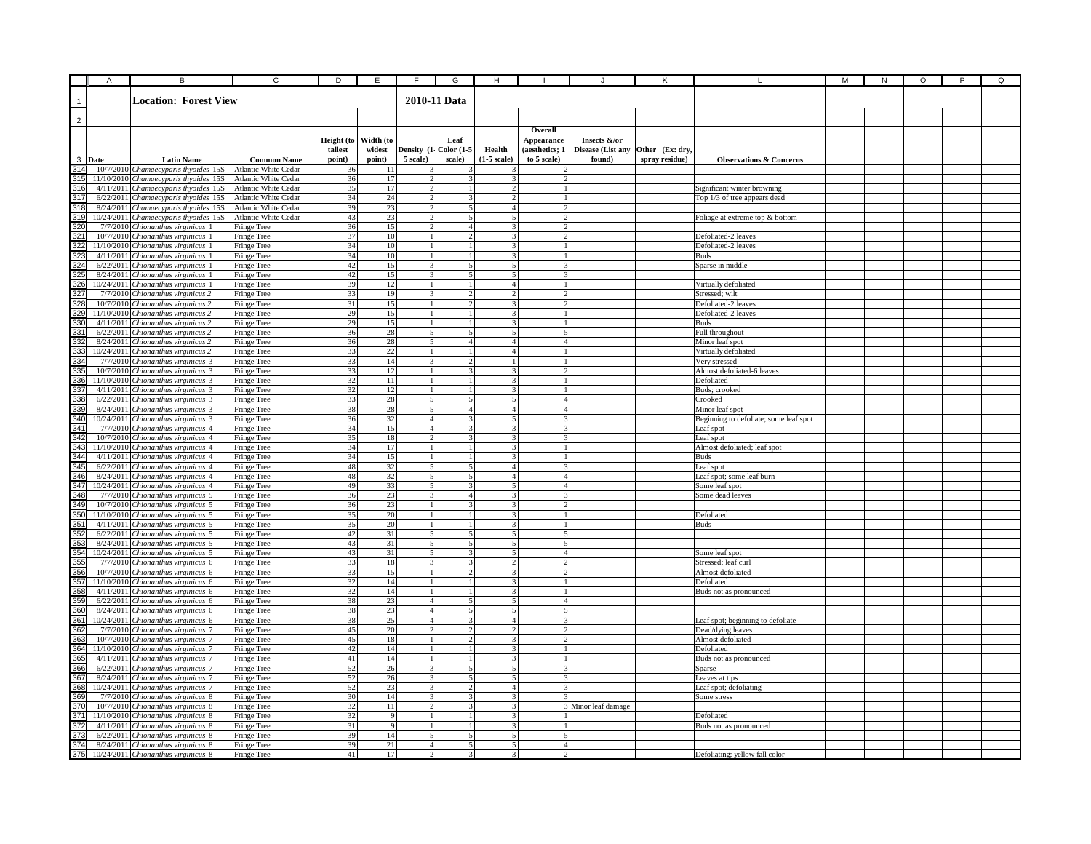|                       | Α      | В                                                                             | C                                            | D                     | E                              | E                                | G                                        | н                                |                                  |                     | Κ               |                                                     | М | N | $\circ$ | P | Q |
|-----------------------|--------|-------------------------------------------------------------------------------|----------------------------------------------|-----------------------|--------------------------------|----------------------------------|------------------------------------------|----------------------------------|----------------------------------|---------------------|-----------------|-----------------------------------------------------|---|---|---------|---|---|
|                       |        |                                                                               |                                              |                       |                                |                                  |                                          |                                  |                                  |                     |                 |                                                     |   |   |         |   |   |
|                       |        | <b>Location: Forest View</b>                                                  |                                              |                       |                                |                                  | 2010-11 Data                             |                                  |                                  |                     |                 |                                                     |   |   |         |   |   |
|                       |        |                                                                               |                                              |                       |                                |                                  |                                          |                                  |                                  |                     |                 |                                                     |   |   |         |   |   |
| $\overline{2}$        |        |                                                                               |                                              |                       |                                |                                  |                                          |                                  | Overall                          |                     |                 |                                                     |   |   |         |   |   |
|                       |        |                                                                               |                                              | Height (to            | Width (to                      |                                  | Leaf                                     |                                  | <b>Appearance</b>                | Insects &/or        |                 |                                                     |   |   |         |   |   |
|                       |        |                                                                               |                                              | tallest               | widest                         | Density (1- Color (1-5           |                                          | Health                           | (aesthetics; 1                   | Disease (List any   | Other (Ex: dry. |                                                     |   |   |         |   |   |
|                       | 3 Date | <b>Latin Name</b>                                                             | <b>Common Name</b>                           | point)                | point)                         | 5 scale)                         | scale)                                   | $(1-5 scale)$                    | to 5 scale)                      | found)              | spray residue)  | <b>Observations &amp; Concerns</b>                  |   |   |         |   |   |
| 314                   |        | 10/7/2010 Chamaecyparis thyoides 15S                                          | Atlantic White Cedar                         | 36                    | 11                             |                                  |                                          |                                  |                                  |                     |                 |                                                     |   |   |         |   |   |
| 315                   |        | 11/10/2010 Chamaecyparis thyoides 15S                                         | Atlantic White Cedar                         | 36                    | 17                             | $\overline{2}$                   | 3                                        |                                  |                                  |                     |                 |                                                     |   |   |         |   |   |
| 316                   |        | 4/11/2011 Chamaecyparis thyoides 15S Atlantic White Cedar                     |                                              | 35                    | 17                             | $\overline{c}$                   | $\mathbf{1}$                             | 2                                |                                  |                     |                 | Significant winter browning                         |   |   |         |   |   |
| 317<br>318            |        | 6/22/2011 Chamaecyparis thyoides 15S                                          | Atlantic White Cedar                         | 34<br>39              | 24                             | $\overline{2}$<br>$\overline{2}$ | 3                                        | 2                                | $\mathbf{1}$<br>$\overline{2}$   |                     |                 | Top 1/3 of tree appears dead                        |   |   |         |   |   |
| 319                   |        | 8/24/2011 Chamaecyparis thyoides 15S<br>10/24/2011 Chamaecyparis thyoides 15S | Atlantic White Cedar<br>Atlantic White Cedar | 43                    | 23<br>23                       | $\overline{\phantom{a}}$         | $\mathbf{5}$<br>$\overline{\phantom{0}}$ | $\overline{4}$<br>$\leq$         | $\mathcal{D}$                    |                     |                 | Foliage at extreme top & bottom                     |   |   |         |   |   |
| 32 <sub>0</sub>       |        | 7/7/2010 Chionanthus virginicus 1                                             | Fringe Tree                                  | 36                    | 15                             | $\overline{2}$                   | $\overline{4}$                           | 3 <sup>1</sup>                   | $\overline{2}$                   |                     |                 |                                                     |   |   |         |   |   |
| 321                   |        | 10/7/2010 Chionanthus virginicus 1                                            | Fringe Tree                                  | 37                    | 10                             | $\mathbf{1}$                     | $\mathcal{L}$                            | $\mathbf{3}$                     | $\mathfrak{D}$                   |                     |                 | Defoliated-2 leaves                                 |   |   |         |   |   |
| 322                   |        | 11/10/2010 Chionanthus virginicus 1                                           | Fringe Tree                                  | 34                    | 10                             | $\mathbf{1}$                     | $\mathbf{1}$                             | $\overline{3}$                   |                                  |                     |                 | Defoliated-2 leaves                                 |   |   |         |   |   |
| 32 <sup>2</sup>       |        | 4/11/2011 Chionanthus virginicus 1                                            | Fringe Tree                                  | 34                    | 10                             | $\mathbf{1}$                     | $\mathbf{1}$                             | 2                                | $\mathbf{1}$                     |                     |                 | <b>Buds</b>                                         |   |   |         |   |   |
| 324                   |        | 6/22/2011 Chionanthus virginicus 1                                            | Fringe Tree                                  | 42                    | 15                             | $\overline{\mathbf{3}}$          | 5                                        |                                  |                                  |                     |                 | Sparse in middle                                    |   |   |         |   |   |
| 325<br>326            |        | 8/24/2011 Chionanthus virginicus 1<br>10/24/2011 Chionanthus virginicus 1     | Fringe Tree<br>Fringe Tree                   | 42<br>39              | 15<br>12                       | 3<br>$\mathbf{1}$                | 5<br>$\mathbf{1}$                        | $\overline{4}$                   |                                  |                     |                 | Virtually defoliated                                |   |   |         |   |   |
| 327                   |        | 7/7/2010 Chionanthus virginicus 2                                             | Fringe Tree                                  | 33                    | 19                             | 3                                | 2                                        | $\overline{2}$                   | $\overline{2}$                   |                     |                 | Stressed; wilt                                      |   |   |         |   |   |
| 328                   |        | 10/7/2010 Chionanthus virginicus 2                                            | Fringe Tree                                  | 31                    | 15                             | $\mathbf{1}$                     | $\overline{2}$                           | 3                                | $\overline{2}$                   |                     |                 | Defoliated-2 leaves                                 |   |   |         |   |   |
| 329                   |        | 11/10/2010 Chionanthus virginicus 2                                           | Fringe Tree                                  | 29                    | 15                             | $\mathbf{1}$                     | $\frac{1}{2}$                            | 3                                |                                  |                     |                 | Defoliated-2 leaves                                 |   |   |         |   |   |
| 330                   |        | 4/11/2011 Chionanthus virginicus 2                                            | Fringe Tree                                  | 29                    | 15                             | $\mathbf{1}$                     | $\mathbf{1}$                             | $\mathbf{R}$                     |                                  |                     |                 | <b>Buds</b>                                         |   |   |         |   |   |
| 33 <sup>2</sup>       |        | 6/22/2011 Chionanthus virginicus 2                                            | Fringe Tree                                  | 36                    | 28                             | $\overline{5}$                   | $\overline{5}$                           | 5 <sup>1</sup>                   | $\overline{5}$                   |                     |                 | Full throughout                                     |   |   |         |   |   |
| 33                    |        | 8/24/2011 Chionanthus virginicus 2                                            | Fringe Tree                                  | 36<br>$\overline{33}$ | $\sqrt{28}$<br>$\overline{22}$ | 5 <sup>1</sup><br>1 <sup>1</sup> | 4<br>$\mathbf{1}$                        | 4 <sup>1</sup><br>4 <sup>1</sup> | 4 <sup>1</sup><br>$\mathbf{1}$   |                     |                 | Minor leaf spot                                     |   |   |         |   |   |
| 33<br>33 <sub>°</sub> |        | 10/24/2011 Chionanthus virginicus 2<br>7/7/2010 Chionanthus virginicus 3      | Fringe Tree<br>Fringe Tree                   | 33                    | 14                             | $\overline{3}$                   | $\mathbf{2}$                             |                                  |                                  |                     |                 | Virtually defoliated<br>Very stressed               |   |   |         |   |   |
| 335                   |        | 10/7/2010 Chionanthus virginicus 3                                            | Fringe Tree                                  | 33                    | 12                             | $\mathbf{1}$                     | 3                                        | 3                                | $\overline{c}$                   |                     |                 | Almost defoliated-6 leaves                          |   |   |         |   |   |
| 336                   |        | 11/10/2010 Chionanthus virginicus 3                                           | Fringe Tree                                  | 32                    | 11                             | $\mathbf{1}$                     | $\mathbf{1}$                             | 3                                |                                  |                     |                 | Defoliated                                          |   |   |         |   |   |
| 337                   |        | 4/11/2011 Chionanthus virginicus 3                                            | Fringe Tree                                  | 32                    | 12                             | $\mathbf{1}$                     | $\mathbf{1}$                             | 3                                |                                  |                     |                 | Buds; crooked                                       |   |   |         |   |   |
| 338<br>339            |        | 6/22/2011 Chionanthus virginicus 3                                            | Fringe Tree                                  | 33                    | 28                             | 5 <sup>1</sup>                   | 5                                        | 5 <sup>1</sup>                   | $\overline{4}$                   |                     |                 | Crooked                                             |   |   |         |   |   |
|                       |        | 8/24/2011 Chionanthus virginicus 3                                            | Fringe Tree                                  | 38                    | 28                             | $\mathbf{5}$                     | 4                                        | 4 <sup>1</sup>                   | 4                                |                     |                 | Minor leaf spot                                     |   |   |         |   |   |
| 340<br>34             |        | 10/24/2011 Chionanthus virginicus 3<br>7/7/2010 Chionanthus virginicus 4      | Fringe Tree<br>Fringe Tree                   | 36<br>34              | 32<br>15                       | 4 <sup>1</sup><br>4 <sup>1</sup> | $\overline{3}$<br>3                      | 5<br>3 <sup>1</sup>              | 3<br>$\mathbf{R}$                |                     |                 | Beginning to defoliate; some leaf spot<br>Leaf spot |   |   |         |   |   |
| 34                    |        | 10/7/2010 Chionanthus virginicus 4                                            | Fringe Tree                                  | 35                    | 18                             | $\overline{2}$                   | $\mathbf{3}$                             | $\mathbf{3}$                     | $\mathbf{3}$                     |                     |                 | Leaf spot                                           |   |   |         |   |   |
| 343                   |        | 11/10/2010 Chionanthus virginicus 4                                           | Fringe Tree                                  | 34                    | 17                             | $\overline{1}$                   | $\overline{1}$                           | $\overline{\mathbf{3}}$          |                                  |                     |                 | Almost defoliated; leaf spot                        |   |   |         |   |   |
| 344                   |        | 4/11/2011 Chionanthus virginicus 4                                            | Fringe Tree                                  | 34                    | 15                             | $\mathbf{1}$                     | $\frac{1}{2}$                            | $\overline{3}$                   | $\mathbf{1}$                     |                     |                 | <b>Buds</b>                                         |   |   |         |   |   |
| 345                   |        | 6/22/2011 Chionanthus virginicus 4                                            | Fringe Tree                                  | 48                    | 32                             | $\overline{5}$                   | 5                                        | $\Delta$                         | $\mathbf{3}$                     |                     |                 | Leaf spot                                           |   |   |         |   |   |
| 346                   |        | 8/24/2011 Chionanthus virginicus 4                                            | Fringe Tree                                  | 48                    | 32                             | 5                                |                                          |                                  | $\overline{A}$                   |                     |                 | Leaf spot; some leaf burn                           |   |   |         |   |   |
| 347<br>348            |        | 10/24/2011 Chionanthus virginicus 4<br>7/7/2010 Chionanthus virginicus 5      | Fringe Tree                                  | 49<br>36              | 33<br>23                       | 5 <sup>1</sup><br>$\overline{3}$ | 3<br>$\overline{4}$                      | 5<br>3                           | $\overline{4}$<br>3              |                     |                 | Some leaf spot                                      |   |   |         |   |   |
| 349                   |        | 10/7/2010 Chionanthus virginicus 5                                            | Fringe Tree<br>Fringe Tree                   | 36                    | 23                             | $\mathbf{1}$                     | 3                                        | 3                                | $\overline{c}$                   |                     |                 | Some dead leaves                                    |   |   |         |   |   |
| 350                   |        | 11/10/2010 Chionanthus virginicus 5                                           | Fringe Tree                                  | 35                    | 20                             | $\mathbf{1}$                     | $\mathbf{1}$                             | 3                                |                                  |                     |                 | Defoliated                                          |   |   |         |   |   |
| 35 <sup>′</sup>       |        | 4/11/2011 Chionanthus virginicus 5                                            | Fringe Tree                                  | 35                    | 20                             | $\overline{1}$                   | $\mathbf{1}$                             | $\mathbf{3}$                     | $\mathbf{1}$                     |                     |                 | <b>Buds</b>                                         |   |   |         |   |   |
| 35                    |        | 6/22/2011 Chionanthus virginicus 5                                            | Fringe Tree                                  | 42                    | 31                             | 5 <sup>1</sup>                   | $\overline{5}$                           | 5 <sup>1</sup>                   | 5                                |                     |                 |                                                     |   |   |         |   |   |
| 35                    |        | 8/24/2011 Chionanthus virginicus 5                                            | Fringe Tree                                  | 43                    | 31                             | 5 <sup>1</sup>                   | $\varsigma$                              | 5                                | $\leq$                           |                     |                 |                                                     |   |   |         |   |   |
| $35 -$<br>355         |        | 10/24/2011 Chionanthus virginicus 5                                           | Fringe Tree                                  | 43<br>33              | 31                             | $\overline{5}$<br>$\overline{3}$ | $\overline{3}$<br>3                      | $\overline{5}$<br>$\overline{2}$ | 4<br>$\overline{2}$              |                     |                 | Some leaf spot                                      |   |   |         |   |   |
| 356                   |        | 7/7/2010 Chionanthus virginicus 6<br>10/7/2010 Chionanthus virginicus 6       | Fringe Tree<br>Fringe Tree                   | 33                    | 18<br>15                       | $\mathbf{1}$                     | $\overline{c}$                           |                                  | $\mathcal{D}$                    |                     |                 | Stressed; leaf curl<br>Almost defoliated            |   |   |         |   |   |
| 357                   |        | 11/10/2010 Chionanthus virginicus 6                                           | Fringe Tree                                  | 32                    | 14                             | $\mathbf{1}$                     | $\mathbf{1}$                             | 3                                |                                  |                     |                 | Defoliated                                          |   |   |         |   |   |
| 358                   |        | 4/11/2011 Chionanthus virginicus 6                                            | Fringe Tree                                  | 32                    | 14                             | $\mathbf{1}$                     | $\mathbf{1}$                             | 3                                |                                  |                     |                 | Buds not as pronounced                              |   |   |         |   |   |
| 359                   |        | 6/22/2011 Chionanthus virginicus 6                                            | Fringe Tree                                  | 38                    | 23                             | $\overline{4}$                   | 5                                        | 5                                | $\overline{4}$                   |                     |                 |                                                     |   |   |         |   |   |
| 360                   |        | 8/24/2011 Chionanthus virginicus 6                                            | Fringe Tree                                  | 38                    | 23                             | 4 <sup>1</sup>                   | $\frac{5}{3}$                            | 5                                | 5                                |                     |                 |                                                     |   |   |         |   |   |
| 361                   |        | 10/24/2011 Chionanthus virginicus 6                                           | Fringe Tree                                  | 38                    | 25                             | 4 <sup>1</sup>                   | $\overline{\mathbf{3}}$                  | 4 <sup>1</sup><br>$\mathcal{D}$  | $\mathbf{3}$                     |                     |                 | Leaf spot; beginning to defoliate                   |   |   |         |   |   |
| 36<br>36              |        | 7/7/2010 Chionanthus virginicus 7<br>10/7/2010 Chionanthus virginicus 7       | Fringe Tree<br>Fringe Tree                   | 45<br>45              | 20<br>18                       | $\overline{2}$<br>$\mathbf{1}$   | $\overline{2}$<br>$\overline{2}$         | 3                                | $\overline{2}$<br>$\overline{c}$ |                     |                 | Dead/dving leaves<br>Almost defoliated              |   |   |         |   |   |
| 364                   |        | 11/10/2010 Chionanthus virginicus 7                                           | Fringe Tree                                  | 42                    | 14                             | $\mathbf{1}$                     | $\overline{1}$                           | $\overline{\mathbf{3}}$          |                                  |                     |                 | Defoliated                                          |   |   |         |   |   |
| 365                   |        | 4/11/2011 Chionanthus virginicus 7                                            | Fringe Tree                                  | 41                    | 14                             | $\mathbf{1}$                     | $\frac{1}{2}$                            | 3                                | $\mathbf{1}$                     |                     |                 | Buds not as pronounced                              |   |   |         |   |   |
| 366                   |        | 6/22/2011 Chionanthus virginicus 7                                            | Fringe Tree                                  | 52                    | 26                             | $\overline{3}$                   | 5                                        |                                  | 3                                |                     |                 | Sparse                                              |   |   |         |   |   |
| 367                   |        | 8/24/2011 Chionanthus virginicus 7                                            | Fringe Tree                                  | 52                    | 26                             | $\overline{\mathbf{3}}$          | 5                                        |                                  |                                  |                     |                 | Leaves at tips                                      |   |   |         |   |   |
| 36                    |        | 10/24/2011 Chionanthus virginicus 7                                           | Fringe Tree                                  | 52                    | 23                             | $\overline{3}$                   | 2                                        | $\overline{4}$                   | 3                                |                     |                 | Leaf spot; defoliating                              |   |   |         |   |   |
| 369<br>370            |        | 7/7/2010 Chionanthus virginicus 8                                             | Fringe Tree                                  | 30<br>32              | 14<br>11                       | $\overline{3}$<br>$\overline{2}$ | 3<br>3                                   | 3<br>3                           |                                  |                     |                 | Some stress                                         |   |   |         |   |   |
| 371                   |        | 10/7/2010 Chionanthus virginicus 8<br>11/10/2010 Chionanthus virginicus 8     | Fringe Tree<br>Fringe Tree                   | 32                    | 9                              | $\overline{1}$                   | $\frac{1}{2}$                            | 3                                | $\overline{1}$                   | 3 Minor leaf damage |                 | Defoliated                                          |   |   |         |   |   |
|                       |        | 4/11/2011 Chionanthus virginicus 8                                            | Fringe Tree                                  | 31                    | 9                              | $\overline{1}$                   | $\mathbf{1}$                             | $\mathbf{3}$                     |                                  |                     |                 | Buds not as pronounced                              |   |   |         |   |   |
|                       |        | 6/22/2011 Chionanthus virginicus 8                                            | Fringe Tree                                  | 39                    | 14                             | 5 <sup>1</sup>                   | 5                                        | 5                                | 5                                |                     |                 |                                                     |   |   |         |   |   |
| 374                   |        | 8/24/2011 Chionanthus virginicus 8                                            | Fringe Tree                                  | 39                    | 21                             | $\overline{4}$                   | 5                                        | 5                                | $\overline{A}$                   |                     |                 |                                                     |   |   |         |   |   |
| 375                   |        | 10/24/2011 Chionanthus virginicus 8                                           | Fringe Tree                                  | 41                    | 17                             | $\overline{2}$                   | $\overline{\mathbf{3}}$                  | $\overline{\mathbf{3}}$          |                                  |                     |                 | Defoliating; yellow fall color                      |   |   |         |   |   |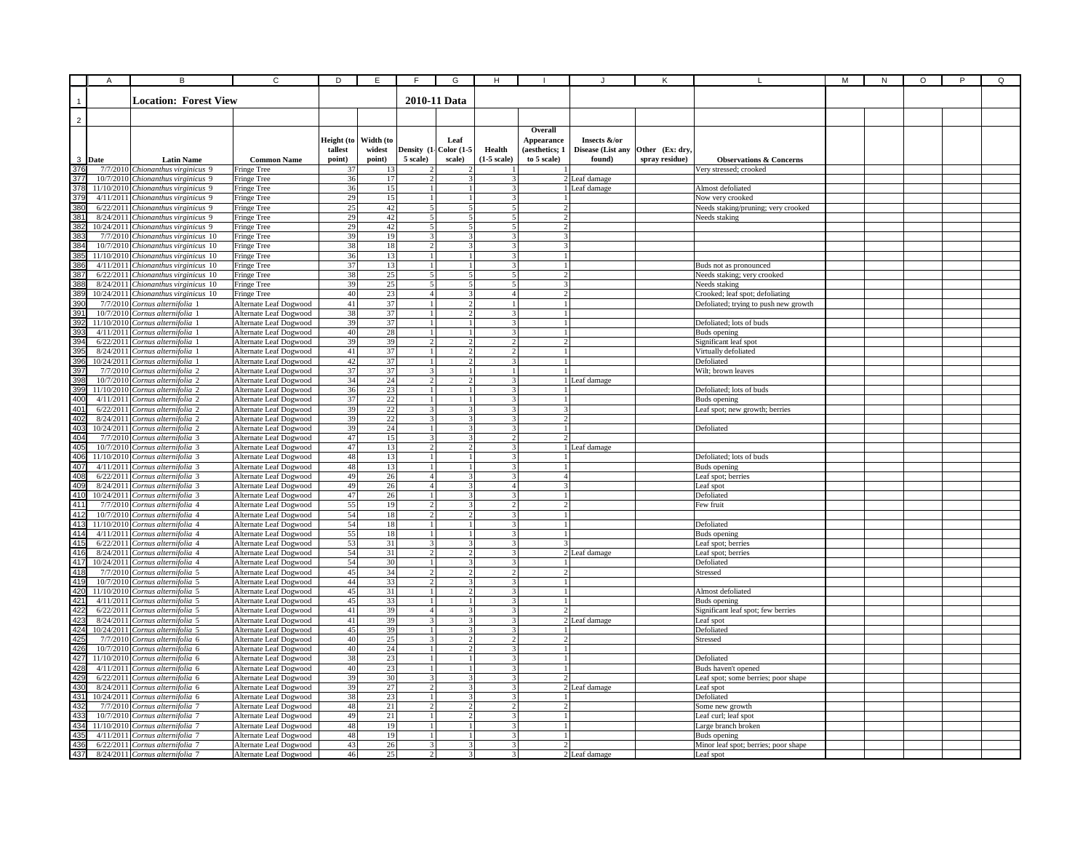| <b>Location: Forest View</b><br>2010-11 Data<br>$\overline{2}$<br>Overall<br>Width (to<br>Height (to<br>Leaf<br>Appearance<br>Insects &/or<br>Disease (List any<br>tallest<br>widest<br>Density (1<br><b>Color (1-5</b><br>Health<br>(aesthetics; 1<br>Other (Ex: dry<br>3 Date<br>5 scale)<br><b>Latin Name</b><br><b>Common Name</b><br>point)<br>point)<br>scale)<br>$(1-5 \text{ scale})$<br>to 5 scale)<br>found)<br>spray residue)<br><b>Observations &amp; Concerns</b><br>376<br>7/7/2010 Chionanthus virginicus 9<br>Very stressed; crooked<br>Fringe Tree<br>37<br>13<br>377<br>36<br>17<br>2 Leaf damage<br>10/7/2010 Chionanthus virginicus 9<br>Fringe Tree<br>3<br>2<br>36<br>378<br>15<br>11/10/2010 Chionanthus virginicus 9<br>1 Leaf damage<br>Almost defoliated<br>Fringe Tree<br>1 <sub>1</sub><br>$\mathbf{1}$<br>3 <sup>1</sup><br>379<br>29<br>4/11/2011 Chionanthus virginicus 9<br>15<br>$\overline{\mathbf{3}}$<br>Now very crooked<br>Fringe Tree<br>$\overline{1}$<br>$\mathbf{1}$<br>$\mathbf{1}$<br>380<br>25<br>42<br>5 <sup>1</sup><br>5 <sup>1</sup><br>6/22/2011 Chionanthus virginicus 9<br>Fringe Tree<br>$\frac{5}{3}$<br>$\overline{2}$<br>Veeds staking/pruning; very crooked<br>29<br>42<br>38<br>8/24/2011 Chionanthus virginicus 9<br>5 <sup>1</sup><br>5<br>5 <sup>1</sup><br>$\overline{2}$<br>Fringe Tree<br>Needs staking<br>29<br>42<br>$\overline{\mathbf{5}}$<br>38<br>10/24/2011 Chionanthus virginicus 9<br>5 <sub>l</sub><br>$\overline{\phantom{0}}$<br>$\overline{2}$<br>Fringe Tree<br>39<br>19<br>$\overline{3}$<br>$\mathbf{3}$<br>$\overline{\mathbf{3}}$<br>$\mathbf{3}$<br>383<br>7/7/2010<br>Chionanthus virginicus 10<br>Fringe Tree<br>384<br>38<br>18<br>$\overline{2}$<br>$\overline{3}$<br>$\overline{\mathbf{3}}$<br>3<br>10/7/2010 Chionanthus virginicus 10<br>Fringe Tree<br>36<br>385<br>13<br>3<br>11/10/2010 Chionanthus virginicus 10<br>Fringe Tree<br>1<br>37<br>386<br>4/11/2011 Chionanthus virginicus 10<br>13<br>3<br>Fringe Tree<br>1<br>$\mathbf{1}$<br>Buds not as pronounced<br>387<br>6/22/2011 Chionanthus virginicus 10<br>38<br>25<br>5<br>5<br>5<br>$\mathfrak{D}$<br>Veeds staking; very crooked<br>Fringe Tree<br>388<br>39<br>25<br>5<br>8/24/2011 Chionanthus virginicus 10<br>5 <sup>1</sup><br>5<br>$\mathcal{R}$<br>Needs staking<br>Fringe Tree<br>23<br>389<br>40<br>4 <sup>1</sup><br>10/24/2011 Chionanthus virginicus 10<br>4 <sup>1</sup><br>$\overline{\mathbf{3}}$<br>$\overline{2}$<br>Crooked; leaf spot; defoliating<br>Fringe Tree<br>41<br>37<br>7/7/2010 Cornus alternifolia 1<br>Alternate Leaf Dogwood<br>$\overline{2}$<br>1 <sup>1</sup><br>Defoliated; trying to push new growth<br>390<br>$\overline{1}$<br>$\mathbf{1}$<br>39<br>Alternate Leaf Dogwood<br>38<br>37<br>$\overline{\mathbf{3}}$<br>10/7/2010 Cornus alternifolia 1<br>$\overline{1}$<br>$\overline{2}$<br>$\mathbf{1}$<br>39<br>37<br>$\overline{3}$<br>11/10/2010 Cornus alternifolia 1<br>Alternate Leaf Dogwood<br>$\mathbf{1}$<br>$\mathbf{1}$<br>$\mathbf{1}$<br>Defoliated; lots of buds<br>$40\,$<br>28<br>Cornus alternifolia 1<br>Alternate Leaf Dogwood<br>$\overline{1}$<br>$\overline{1}$<br>$\overline{3}$<br>39<br>4/11/2011<br><b>Buds</b> opening<br>39<br>39<br>$\overline{2}$<br>$\overline{2}$<br>$\overline{2}$<br>$\overline{2}$<br>39 <sub>0</sub><br>6/22/2011<br>Cornus alternifolia 1<br>Alternate Leaf Dogwood<br>Significant leaf spot<br>$\overline{37}$<br>41<br>$\overline{2}$<br>395<br>8/24/2011 Cornus alternifolia 1<br>Alternate Leaf Dogwood<br>$\overline{c}$<br>Virtually defoliated<br>37<br>42<br>396<br>10/24/2011 Cornus alternifolia 1<br>Alternate Leaf Dogwood<br>$\overline{c}$<br>3<br>Defoliated<br>1<br>37<br>37<br>39<br>7/7/2010 Cornus alternifolia 2<br>Alternate Leaf Dogwood<br>3<br>1 <sup>1</sup><br>Wilt; brown leaves<br>1<br>398<br>34<br>24<br>10/7/2010 Cornus alternifolia 2<br>Alternate Leaf Dogwood<br>$\overline{2}$<br>$\overline{\mathbf{3}}$<br>2<br>1 Leaf damage<br>36<br>399<br>23<br>Alternate Leaf Dogwood<br>11/10/2010 Cornus alternifolia 2<br>3<br>Defoliated; lots of buds<br>1<br>1<br>400<br>37<br>22<br>Alternate Leaf Dogwood<br>3 <sup>1</sup><br>4/11/2011 Cornus alternifolia 2<br>$\mathbf{1}$<br>$\frac{1}{2}$<br>$\mathbf{1}$<br>Buds opening<br>401<br>39<br>22<br>6/22/2011 Cornus alternifolia 2<br>Alternate Leaf Dogwood<br>$\overline{3}$<br>$\overline{3}$<br>3 <sup>1</sup><br>3<br>Leaf spot; new growth; berries<br>$\overline{22}$<br>402<br>39<br>8/24/2011 Cornus alternifolia 2<br>Alternate Leaf Dogwood<br>$\overline{\mathbf{3}}$<br>3 <sup>1</sup><br>3<br>$\overline{2}$<br>40<br>39<br>24<br>10/24/2011 Cornus alternifolia 2<br>Alternate Leaf Dogwood<br>$\mathbf{1}$<br>3<br>3 <sup>1</sup><br>Defoliated<br>40<br>47<br>15<br>$\overline{3}$<br>$\overline{\mathbf{3}}$<br>$\overline{2}$<br>7/7/2010<br>Cornus alternifolia 3<br>Alternate Leaf Dogwood<br>405<br>47<br>13<br>$\overline{2}$<br>$\overline{2}$<br>$\overline{3}$<br>10/7/2010<br>Cornus alternifolia 3<br>Alternate Leaf Dogwood<br>1 Leaf damage<br>406<br>48<br>13<br>11/10/2010<br>Cornus alternifolia 3<br>Alternate Leaf Dogwood<br>$\mathbf{1}$<br>$\mathbf{R}$<br>Defoliated; lots of buds<br>407<br>Cornus alternifolia 3<br>Alternate Leaf Dogwood<br>48<br>13<br>3<br>4/11/2011<br>1<br><b>Buds</b> opening<br>49<br>26<br>408<br>6/22/2011 Cornus alternifolia 3<br>Alternate Leaf Dogwood<br>$\overline{4}$<br>3<br>$\overline{4}$<br>Leaf spot; berries<br>3<br>49<br>409<br>8/24/2011 Cornus alternifolia 3<br>Alternate Leaf Dogwood<br>26<br>4<br>$\overline{4}$<br>eaf spot<br>410<br>47<br>26<br>10/24/2011 Cornus alternifolia 3<br>Alternate Leaf Dogwood<br>3<br>3<br>$\mathbf{1}$<br>$\mathbf{1}$<br>Defoliated<br>41 <sup>°</sup><br>55<br>19<br>7/7/2010 Cornus alternifolia 4<br>Alternate Leaf Dogwood<br>$\overline{2}$<br>3<br>2 <sup>1</sup><br>$\overline{2}$<br>Few fruit<br>412<br>54<br>10/7/2010 Cornus alternifolia 4<br>Alternate Leaf Dogwood<br>18<br>$\overline{2}$<br>3 <sup>1</sup><br>$\overline{2}$<br>$\mathbf{1}$<br>41<br>54<br>18<br>11/10/2010 Cornus alternifolia 4<br>Alternate Leaf Dogwood<br>$\mathbf{1}$<br>$\mathbf{1}$<br>3 <sup>1</sup><br>$\mathbf{1}$<br>Defoliated<br>41<br>55<br>18<br>$\overline{3}$<br>4/11/2011 Cornus alternifolia 4<br>Alternate Leaf Dogwood<br>$\mathbf{1}$<br>$\mathbf{1}$<br>$\mathbf{1}$<br>Buds opening<br>41<br>53<br>31<br>$\overline{\mathbf{3}}$<br>$\overline{\mathbf{3}}$<br>$\overline{3}$<br>6/22/2011 Cornus alternifolia 4<br>Alternate Leaf Dogwood<br>eaf spot; berries<br>54<br>416<br>417<br>31<br>$\overline{2}$<br>$\overline{2}$<br>$\overline{3}$<br>2 Leaf damage<br>8/24/2011<br>Cornus alternifolia 4<br>Alternate Leaf Dogwood<br>Leaf spot; berries<br>54<br>30<br>$\overline{3}$<br>$\mathbf{3}$<br>10/24/2011 Cornus alternifolia 4<br>Alternate Leaf Dogwood<br>$\mathbf{1}$<br>Defoliated<br>45<br>7/7/2010 Cornus alternifolia 5<br>Alternate Leaf Dogwood<br>34<br>418<br>$\overline{2}$<br>$\overline{c}$<br>$\overline{2}$<br>Stressed<br>$\overline{2}$<br>419<br>44<br>33<br>$\overline{2}$<br>10/7/2010 Cornus alternifolia 5<br>Alternate Leaf Dogwood<br>3<br>3<br>$\mathbf{1}$<br>420<br>45<br>31<br>11/10/2010 Cornus alternifolia 5<br>Alternate Leaf Dogwood<br>3<br>$\mathbf{1}$<br>$\overline{2}$<br>Almost defoliated<br>421<br>45<br>33<br>4/11/2011 Cornus alternifolia 5<br>Alternate Leaf Dogwood<br>3<br>1<br>$\mathbf{1}$<br>1<br>Buds opening<br>$42^{2}$<br>$42^{3}$<br>41<br>39<br>6/22/2011 Cornus alternifolia 5<br>Alternate Leaf Dogwood<br>4 <sup>1</sup><br>$\overline{\mathbf{3}}$<br>3 <sup>1</sup><br>Significant leaf spot; few berries<br>$\mathcal{P}$<br>41<br>8/24/2011 Cornus alternifolia 5<br>Alternate Leaf Dogwood<br>39<br>$\mathcal{E}$<br>3 <sup>1</sup><br>2 Leaf damage<br>3<br>Leaf spot<br>42<br>45<br>39<br>$\overline{3}$<br>10/24/2011 Cornus alternifolia 5<br>Alternate Leaf Dogwood<br>$\mathbf{1}$<br>3<br>Defoliated<br>40<br>25<br>42<br>7/7/2010<br>Cornus alternifolia 6<br>Alternate Leaf Dogwood<br>3 <sup>1</sup><br>$\overline{2}$<br>2 <sup>1</sup><br>Stressed<br>$\overline{2}$<br>426<br>24<br>$\overline{3}$<br>40<br>$\mathbf{1}$<br>$\mathcal{L}$<br>10/7/2010<br>Cornus alternifolia 6<br>Alternate Leaf Dogwood<br>$\frac{42}{428}$<br>38<br>$\overline{23}$<br>$\overline{3}$<br>11/10/2010<br>Cornus alternifolia 6<br>Alternate Leaf Dogwood<br>$\mathbf{1}$<br>$\mathbf{1}$<br>Defoliated<br>23<br>40<br>4/11/2011<br>Cornus alternifolia 6<br>Alternate Leaf Dogwood<br>3<br>Buds haven't opened<br>$\mathbf{1}$<br>429<br>6/22/2011 Cornus alternifolia 6<br>Alternate Leaf Dogwood<br>39<br>30<br>$\mathcal{E}$<br>3<br>3<br>Leaf spot; some berries; poor shape<br>39<br>27<br>430<br>8/24/2011 Cornus alternifolia 6<br>Alternate Leaf Dogwood<br>$\overline{2}$<br>3<br>3<br>2 Leaf damage<br>eaf spot<br>431<br>38<br>10/24/2011 Cornus alternifolia 6<br>23<br>Alternate Leaf Dogwood<br>3<br>3<br>Defoliated<br>1<br>432<br>48<br>21<br>Alternate Leaf Dogwood<br>$\overline{2}$<br>$\overline{c}$<br>2 <sup>1</sup><br>7/7/2010 Cornus alternifolia 7<br>2<br>Some new growth<br>43<br>49<br>21<br>10/7/2010 Cornus alternifolia 7<br>Alternate Leaf Dogwood<br>$\mathbf{1}$<br>2<br>$\overline{\mathbf{3}}$<br>$\mathbf{1}$<br>Leaf curl; leaf spot<br>434<br>Alternate Leaf Dogwood<br>48<br>19<br>$\overline{\mathbf{3}}$<br>11/10/2010 Cornus alternifolia 7<br>$\frac{1}{2}$<br>$\mathbf{1}$<br>$\mathbf{1}$<br>arge branch broken<br>48<br>19<br>$\overline{3}$<br>435<br>4/11/2011 Cornus alternifolia 7<br>Alternate Leaf Dogwood<br>$\mathbf{1}$<br>$\mathbf{1}$<br>$\mathbf{1}$<br><b>Buds</b> opening<br>436<br>6/22/2011 Cornus alternifolia 7<br>Alternate Leaf Dogwood<br>43<br>26<br>$\mathbf{3}$<br>$\mathbf{3}$<br>$\overline{3}$<br>$\mathcal{D}$<br>Minor leaf spot; berries; poor shape<br>$\overline{3}$<br>8/24/2011 Cornus alternifolia 7<br>$\overline{2}$ |     | Α | В | $\overline{c}$         | D  | $\overline{E}$ | F | G                        | н |               |           | М | N | O | P | Q |
|-----------------------------------------------------------------------------------------------------------------------------------------------------------------------------------------------------------------------------------------------------------------------------------------------------------------------------------------------------------------------------------------------------------------------------------------------------------------------------------------------------------------------------------------------------------------------------------------------------------------------------------------------------------------------------------------------------------------------------------------------------------------------------------------------------------------------------------------------------------------------------------------------------------------------------------------------------------------------------------------------------------------------------------------------------------------------------------------------------------------------------------------------------------------------------------------------------------------------------------------------------------------------------------------------------------------------------------------------------------------------------------------------------------------------------------------------------------------------------------------------------------------------------------------------------------------------------------------------------------------------------------------------------------------------------------------------------------------------------------------------------------------------------------------------------------------------------------------------------------------------------------------------------------------------------------------------------------------------------------------------------------------------------------------------------------------------------------------------------------------------------------------------------------------------------------------------------------------------------------------------------------------------------------------------------------------------------------------------------------------------------------------------------------------------------------------------------------------------------------------------------------------------------------------------------------------------------------------------------------------------------------------------------------------------------------------------------------------------------------------------------------------------------------------------------------------------------------------------------------------------------------------------------------------------------------------------------------------------------------------------------------------------------------------------------------------------------------------------------------------------------------------------------------------------------------------------------------------------------------------------------------------------------------------------------------------------------------------------------------------------------------------------------------------------------------------------------------------------------------------------------------------------------------------------------------------------------------------------------------------------------------------------------------------------------------------------------------------------------------------------------------------------------------------------------------------------------------------------------------------------------------------------------------------------------------------------------------------------------------------------------------------------------------------------------------------------------------------------------------------------------------------------------------------------------------------------------------------------------------------------------------------------------------------------------------------------------------------------------------------------------------------------------------------------------------------------------------------------------------------------------------------------------------------------------------------------------------------------------------------------------------------------------------------------------------------------------------------------------------------------------------------------------------------------------------------------------------------------------------------------------------------------------------------------------------------------------------------------------------------------------------------------------------------------------------------------------------------------------------------------------------------------------------------------------------------------------------------------------------------------------------------------------------------------------------------------------------------------------------------------------------------------------------------------------------------------------------------------------------------------------------------------------------------------------------------------------------------------------------------------------------------------------------------------------------------------------------------------------------------------------------------------------------------------------------------------------------------------------------------------------------------------------------------------------------------------------------------------------------------------------------------------------------------------------------------------------------------------------------------------------------------------------------------------------------------------------------------------------------------------------------------------------------------------------------------------------------------------------------------------------------------------------------------------------------------------------------------------------------------------------------------------------------------------------------------------------------------------------------------------------------------------------------------------------------------------------------------------------------------------------------------------------------------------------------------------------------------------------------------------------------------------------------------------------------------------------------------------------------------------------------------------------------------------------------------------------------------------------------------------------------------------------------------------------------------------------------------------------------------------------------------------------------------------------------------------------------------------------------------------------------------------------------------------------------------------------------------------------------------------------------------------------------------------------------------------------------------------------------------------------------------------------------------------------------------------------------------------------------------------------------------------------------------------------------------------------------------------------------------------------------------------------------------------------------------------------------------------------------------------------------------------------------------------------------------------------------------------------------------------------------------------------------------------------------------------------------------------------------------------------------------------------------------------------------------------------------------------------------------------------------------------------------------------------------------------------------------------------------------------------------------------------------------------------------------------------------------------------------------------------------------------------------------------------------------------------------------------------------------------------------------------------------------------------------------------------------------------------------------------------------------------------------------------------------------------------------------------------------------------------------------------------------------------------------------------------------------------------------------------------------------------------------------------------------------------------------------------------------------------------------------------------------------------------------------------------------------------------------------------------------------------------------------------------------------------------------------------------------------------------------------------------------------------------------------------------------------------------------------------------------------------------------------------------------------------------------------------------------------------------------------------------------------------------------------------------------------------------------------------------------------------------------------------------------------------------------------------------------------------------------------------------------------------------------------------|-----|---|---|------------------------|----|----------------|---|--------------------------|---|---------------|-----------|---|---|---|---|---|
|                                                                                                                                                                                                                                                                                                                                                                                                                                                                                                                                                                                                                                                                                                                                                                                                                                                                                                                                                                                                                                                                                                                                                                                                                                                                                                                                                                                                                                                                                                                                                                                                                                                                                                                                                                                                                                                                                                                                                                                                                                                                                                                                                                                                                                                                                                                                                                                                                                                                                                                                                                                                                                                                                                                                                                                                                                                                                                                                                                                                                                                                                                                                                                                                                                                                                                                                                                                                                                                                                                                                                                                                                                                                                                                                                                                                                                                                                                                                                                                                                                                                                                                                                                                                                                                                                                                                                                                                                                                                                                                                                                                                                                                                                                                                                                                                                                                                                                                                                                                                                                                                                                                                                                                                                                                                                                                                                                                                                                                                                                                                                                                                                                                                                                                                                                                                                                                                                                                                                                                                                                                                                                                                                                                                                                                                                                                                                                                                                                                                                                                                                                                                                                                                                                                                                                                                                                                                                                                                                                                                                                                                                                                                                                                                                                                                                                                                                                                                                                                                                                                                                                                                                                                                                                                                                                                                                                                                                                                                                                                                                                                                                                                                                                                                                                                                                                                                                                                                                                                                                                                                                                                                                                                                                                                                                                                                                                                                                                                                                                                                                                                                                                                                                                                                                                                                                                                                                                                                                                                                                                                                                                                                                                                                                                                                                                                                                                                                                                                                                                                                                                                                       |     |   |   |                        |    |                |   |                          |   |               |           |   |   |   |   |   |
|                                                                                                                                                                                                                                                                                                                                                                                                                                                                                                                                                                                                                                                                                                                                                                                                                                                                                                                                                                                                                                                                                                                                                                                                                                                                                                                                                                                                                                                                                                                                                                                                                                                                                                                                                                                                                                                                                                                                                                                                                                                                                                                                                                                                                                                                                                                                                                                                                                                                                                                                                                                                                                                                                                                                                                                                                                                                                                                                                                                                                                                                                                                                                                                                                                                                                                                                                                                                                                                                                                                                                                                                                                                                                                                                                                                                                                                                                                                                                                                                                                                                                                                                                                                                                                                                                                                                                                                                                                                                                                                                                                                                                                                                                                                                                                                                                                                                                                                                                                                                                                                                                                                                                                                                                                                                                                                                                                                                                                                                                                                                                                                                                                                                                                                                                                                                                                                                                                                                                                                                                                                                                                                                                                                                                                                                                                                                                                                                                                                                                                                                                                                                                                                                                                                                                                                                                                                                                                                                                                                                                                                                                                                                                                                                                                                                                                                                                                                                                                                                                                                                                                                                                                                                                                                                                                                                                                                                                                                                                                                                                                                                                                                                                                                                                                                                                                                                                                                                                                                                                                                                                                                                                                                                                                                                                                                                                                                                                                                                                                                                                                                                                                                                                                                                                                                                                                                                                                                                                                                                                                                                                                                                                                                                                                                                                                                                                                                                                                                                                                                                                                                                       |     |   |   |                        |    |                |   |                          |   |               |           |   |   |   |   |   |
|                                                                                                                                                                                                                                                                                                                                                                                                                                                                                                                                                                                                                                                                                                                                                                                                                                                                                                                                                                                                                                                                                                                                                                                                                                                                                                                                                                                                                                                                                                                                                                                                                                                                                                                                                                                                                                                                                                                                                                                                                                                                                                                                                                                                                                                                                                                                                                                                                                                                                                                                                                                                                                                                                                                                                                                                                                                                                                                                                                                                                                                                                                                                                                                                                                                                                                                                                                                                                                                                                                                                                                                                                                                                                                                                                                                                                                                                                                                                                                                                                                                                                                                                                                                                                                                                                                                                                                                                                                                                                                                                                                                                                                                                                                                                                                                                                                                                                                                                                                                                                                                                                                                                                                                                                                                                                                                                                                                                                                                                                                                                                                                                                                                                                                                                                                                                                                                                                                                                                                                                                                                                                                                                                                                                                                                                                                                                                                                                                                                                                                                                                                                                                                                                                                                                                                                                                                                                                                                                                                                                                                                                                                                                                                                                                                                                                                                                                                                                                                                                                                                                                                                                                                                                                                                                                                                                                                                                                                                                                                                                                                                                                                                                                                                                                                                                                                                                                                                                                                                                                                                                                                                                                                                                                                                                                                                                                                                                                                                                                                                                                                                                                                                                                                                                                                                                                                                                                                                                                                                                                                                                                                                                                                                                                                                                                                                                                                                                                                                                                                                                                                                                       |     |   |   |                        |    |                |   |                          |   |               |           |   |   |   |   |   |
|                                                                                                                                                                                                                                                                                                                                                                                                                                                                                                                                                                                                                                                                                                                                                                                                                                                                                                                                                                                                                                                                                                                                                                                                                                                                                                                                                                                                                                                                                                                                                                                                                                                                                                                                                                                                                                                                                                                                                                                                                                                                                                                                                                                                                                                                                                                                                                                                                                                                                                                                                                                                                                                                                                                                                                                                                                                                                                                                                                                                                                                                                                                                                                                                                                                                                                                                                                                                                                                                                                                                                                                                                                                                                                                                                                                                                                                                                                                                                                                                                                                                                                                                                                                                                                                                                                                                                                                                                                                                                                                                                                                                                                                                                                                                                                                                                                                                                                                                                                                                                                                                                                                                                                                                                                                                                                                                                                                                                                                                                                                                                                                                                                                                                                                                                                                                                                                                                                                                                                                                                                                                                                                                                                                                                                                                                                                                                                                                                                                                                                                                                                                                                                                                                                                                                                                                                                                                                                                                                                                                                                                                                                                                                                                                                                                                                                                                                                                                                                                                                                                                                                                                                                                                                                                                                                                                                                                                                                                                                                                                                                                                                                                                                                                                                                                                                                                                                                                                                                                                                                                                                                                                                                                                                                                                                                                                                                                                                                                                                                                                                                                                                                                                                                                                                                                                                                                                                                                                                                                                                                                                                                                                                                                                                                                                                                                                                                                                                                                                                                                                                                                                       |     |   |   |                        |    |                |   |                          |   |               |           |   |   |   |   |   |
|                                                                                                                                                                                                                                                                                                                                                                                                                                                                                                                                                                                                                                                                                                                                                                                                                                                                                                                                                                                                                                                                                                                                                                                                                                                                                                                                                                                                                                                                                                                                                                                                                                                                                                                                                                                                                                                                                                                                                                                                                                                                                                                                                                                                                                                                                                                                                                                                                                                                                                                                                                                                                                                                                                                                                                                                                                                                                                                                                                                                                                                                                                                                                                                                                                                                                                                                                                                                                                                                                                                                                                                                                                                                                                                                                                                                                                                                                                                                                                                                                                                                                                                                                                                                                                                                                                                                                                                                                                                                                                                                                                                                                                                                                                                                                                                                                                                                                                                                                                                                                                                                                                                                                                                                                                                                                                                                                                                                                                                                                                                                                                                                                                                                                                                                                                                                                                                                                                                                                                                                                                                                                                                                                                                                                                                                                                                                                                                                                                                                                                                                                                                                                                                                                                                                                                                                                                                                                                                                                                                                                                                                                                                                                                                                                                                                                                                                                                                                                                                                                                                                                                                                                                                                                                                                                                                                                                                                                                                                                                                                                                                                                                                                                                                                                                                                                                                                                                                                                                                                                                                                                                                                                                                                                                                                                                                                                                                                                                                                                                                                                                                                                                                                                                                                                                                                                                                                                                                                                                                                                                                                                                                                                                                                                                                                                                                                                                                                                                                                                                                                                                                                       |     |   |   |                        |    |                |   |                          |   |               |           |   |   |   |   |   |
|                                                                                                                                                                                                                                                                                                                                                                                                                                                                                                                                                                                                                                                                                                                                                                                                                                                                                                                                                                                                                                                                                                                                                                                                                                                                                                                                                                                                                                                                                                                                                                                                                                                                                                                                                                                                                                                                                                                                                                                                                                                                                                                                                                                                                                                                                                                                                                                                                                                                                                                                                                                                                                                                                                                                                                                                                                                                                                                                                                                                                                                                                                                                                                                                                                                                                                                                                                                                                                                                                                                                                                                                                                                                                                                                                                                                                                                                                                                                                                                                                                                                                                                                                                                                                                                                                                                                                                                                                                                                                                                                                                                                                                                                                                                                                                                                                                                                                                                                                                                                                                                                                                                                                                                                                                                                                                                                                                                                                                                                                                                                                                                                                                                                                                                                                                                                                                                                                                                                                                                                                                                                                                                                                                                                                                                                                                                                                                                                                                                                                                                                                                                                                                                                                                                                                                                                                                                                                                                                                                                                                                                                                                                                                                                                                                                                                                                                                                                                                                                                                                                                                                                                                                                                                                                                                                                                                                                                                                                                                                                                                                                                                                                                                                                                                                                                                                                                                                                                                                                                                                                                                                                                                                                                                                                                                                                                                                                                                                                                                                                                                                                                                                                                                                                                                                                                                                                                                                                                                                                                                                                                                                                                                                                                                                                                                                                                                                                                                                                                                                                                                                                                       |     |   |   |                        |    |                |   |                          |   |               |           |   |   |   |   |   |
|                                                                                                                                                                                                                                                                                                                                                                                                                                                                                                                                                                                                                                                                                                                                                                                                                                                                                                                                                                                                                                                                                                                                                                                                                                                                                                                                                                                                                                                                                                                                                                                                                                                                                                                                                                                                                                                                                                                                                                                                                                                                                                                                                                                                                                                                                                                                                                                                                                                                                                                                                                                                                                                                                                                                                                                                                                                                                                                                                                                                                                                                                                                                                                                                                                                                                                                                                                                                                                                                                                                                                                                                                                                                                                                                                                                                                                                                                                                                                                                                                                                                                                                                                                                                                                                                                                                                                                                                                                                                                                                                                                                                                                                                                                                                                                                                                                                                                                                                                                                                                                                                                                                                                                                                                                                                                                                                                                                                                                                                                                                                                                                                                                                                                                                                                                                                                                                                                                                                                                                                                                                                                                                                                                                                                                                                                                                                                                                                                                                                                                                                                                                                                                                                                                                                                                                                                                                                                                                                                                                                                                                                                                                                                                                                                                                                                                                                                                                                                                                                                                                                                                                                                                                                                                                                                                                                                                                                                                                                                                                                                                                                                                                                                                                                                                                                                                                                                                                                                                                                                                                                                                                                                                                                                                                                                                                                                                                                                                                                                                                                                                                                                                                                                                                                                                                                                                                                                                                                                                                                                                                                                                                                                                                                                                                                                                                                                                                                                                                                                                                                                                                                       |     |   |   |                        |    |                |   |                          |   |               |           |   |   |   |   |   |
|                                                                                                                                                                                                                                                                                                                                                                                                                                                                                                                                                                                                                                                                                                                                                                                                                                                                                                                                                                                                                                                                                                                                                                                                                                                                                                                                                                                                                                                                                                                                                                                                                                                                                                                                                                                                                                                                                                                                                                                                                                                                                                                                                                                                                                                                                                                                                                                                                                                                                                                                                                                                                                                                                                                                                                                                                                                                                                                                                                                                                                                                                                                                                                                                                                                                                                                                                                                                                                                                                                                                                                                                                                                                                                                                                                                                                                                                                                                                                                                                                                                                                                                                                                                                                                                                                                                                                                                                                                                                                                                                                                                                                                                                                                                                                                                                                                                                                                                                                                                                                                                                                                                                                                                                                                                                                                                                                                                                                                                                                                                                                                                                                                                                                                                                                                                                                                                                                                                                                                                                                                                                                                                                                                                                                                                                                                                                                                                                                                                                                                                                                                                                                                                                                                                                                                                                                                                                                                                                                                                                                                                                                                                                                                                                                                                                                                                                                                                                                                                                                                                                                                                                                                                                                                                                                                                                                                                                                                                                                                                                                                                                                                                                                                                                                                                                                                                                                                                                                                                                                                                                                                                                                                                                                                                                                                                                                                                                                                                                                                                                                                                                                                                                                                                                                                                                                                                                                                                                                                                                                                                                                                                                                                                                                                                                                                                                                                                                                                                                                                                                                                                                       |     |   |   |                        |    |                |   |                          |   |               |           |   |   |   |   |   |
|                                                                                                                                                                                                                                                                                                                                                                                                                                                                                                                                                                                                                                                                                                                                                                                                                                                                                                                                                                                                                                                                                                                                                                                                                                                                                                                                                                                                                                                                                                                                                                                                                                                                                                                                                                                                                                                                                                                                                                                                                                                                                                                                                                                                                                                                                                                                                                                                                                                                                                                                                                                                                                                                                                                                                                                                                                                                                                                                                                                                                                                                                                                                                                                                                                                                                                                                                                                                                                                                                                                                                                                                                                                                                                                                                                                                                                                                                                                                                                                                                                                                                                                                                                                                                                                                                                                                                                                                                                                                                                                                                                                                                                                                                                                                                                                                                                                                                                                                                                                                                                                                                                                                                                                                                                                                                                                                                                                                                                                                                                                                                                                                                                                                                                                                                                                                                                                                                                                                                                                                                                                                                                                                                                                                                                                                                                                                                                                                                                                                                                                                                                                                                                                                                                                                                                                                                                                                                                                                                                                                                                                                                                                                                                                                                                                                                                                                                                                                                                                                                                                                                                                                                                                                                                                                                                                                                                                                                                                                                                                                                                                                                                                                                                                                                                                                                                                                                                                                                                                                                                                                                                                                                                                                                                                                                                                                                                                                                                                                                                                                                                                                                                                                                                                                                                                                                                                                                                                                                                                                                                                                                                                                                                                                                                                                                                                                                                                                                                                                                                                                                                                                       |     |   |   |                        |    |                |   |                          |   |               |           |   |   |   |   |   |
|                                                                                                                                                                                                                                                                                                                                                                                                                                                                                                                                                                                                                                                                                                                                                                                                                                                                                                                                                                                                                                                                                                                                                                                                                                                                                                                                                                                                                                                                                                                                                                                                                                                                                                                                                                                                                                                                                                                                                                                                                                                                                                                                                                                                                                                                                                                                                                                                                                                                                                                                                                                                                                                                                                                                                                                                                                                                                                                                                                                                                                                                                                                                                                                                                                                                                                                                                                                                                                                                                                                                                                                                                                                                                                                                                                                                                                                                                                                                                                                                                                                                                                                                                                                                                                                                                                                                                                                                                                                                                                                                                                                                                                                                                                                                                                                                                                                                                                                                                                                                                                                                                                                                                                                                                                                                                                                                                                                                                                                                                                                                                                                                                                                                                                                                                                                                                                                                                                                                                                                                                                                                                                                                                                                                                                                                                                                                                                                                                                                                                                                                                                                                                                                                                                                                                                                                                                                                                                                                                                                                                                                                                                                                                                                                                                                                                                                                                                                                                                                                                                                                                                                                                                                                                                                                                                                                                                                                                                                                                                                                                                                                                                                                                                                                                                                                                                                                                                                                                                                                                                                                                                                                                                                                                                                                                                                                                                                                                                                                                                                                                                                                                                                                                                                                                                                                                                                                                                                                                                                                                                                                                                                                                                                                                                                                                                                                                                                                                                                                                                                                                                                                       |     |   |   |                        |    |                |   |                          |   |               |           |   |   |   |   |   |
|                                                                                                                                                                                                                                                                                                                                                                                                                                                                                                                                                                                                                                                                                                                                                                                                                                                                                                                                                                                                                                                                                                                                                                                                                                                                                                                                                                                                                                                                                                                                                                                                                                                                                                                                                                                                                                                                                                                                                                                                                                                                                                                                                                                                                                                                                                                                                                                                                                                                                                                                                                                                                                                                                                                                                                                                                                                                                                                                                                                                                                                                                                                                                                                                                                                                                                                                                                                                                                                                                                                                                                                                                                                                                                                                                                                                                                                                                                                                                                                                                                                                                                                                                                                                                                                                                                                                                                                                                                                                                                                                                                                                                                                                                                                                                                                                                                                                                                                                                                                                                                                                                                                                                                                                                                                                                                                                                                                                                                                                                                                                                                                                                                                                                                                                                                                                                                                                                                                                                                                                                                                                                                                                                                                                                                                                                                                                                                                                                                                                                                                                                                                                                                                                                                                                                                                                                                                                                                                                                                                                                                                                                                                                                                                                                                                                                                                                                                                                                                                                                                                                                                                                                                                                                                                                                                                                                                                                                                                                                                                                                                                                                                                                                                                                                                                                                                                                                                                                                                                                                                                                                                                                                                                                                                                                                                                                                                                                                                                                                                                                                                                                                                                                                                                                                                                                                                                                                                                                                                                                                                                                                                                                                                                                                                                                                                                                                                                                                                                                                                                                                                                                       |     |   |   |                        |    |                |   |                          |   |               |           |   |   |   |   |   |
|                                                                                                                                                                                                                                                                                                                                                                                                                                                                                                                                                                                                                                                                                                                                                                                                                                                                                                                                                                                                                                                                                                                                                                                                                                                                                                                                                                                                                                                                                                                                                                                                                                                                                                                                                                                                                                                                                                                                                                                                                                                                                                                                                                                                                                                                                                                                                                                                                                                                                                                                                                                                                                                                                                                                                                                                                                                                                                                                                                                                                                                                                                                                                                                                                                                                                                                                                                                                                                                                                                                                                                                                                                                                                                                                                                                                                                                                                                                                                                                                                                                                                                                                                                                                                                                                                                                                                                                                                                                                                                                                                                                                                                                                                                                                                                                                                                                                                                                                                                                                                                                                                                                                                                                                                                                                                                                                                                                                                                                                                                                                                                                                                                                                                                                                                                                                                                                                                                                                                                                                                                                                                                                                                                                                                                                                                                                                                                                                                                                                                                                                                                                                                                                                                                                                                                                                                                                                                                                                                                                                                                                                                                                                                                                                                                                                                                                                                                                                                                                                                                                                                                                                                                                                                                                                                                                                                                                                                                                                                                                                                                                                                                                                                                                                                                                                                                                                                                                                                                                                                                                                                                                                                                                                                                                                                                                                                                                                                                                                                                                                                                                                                                                                                                                                                                                                                                                                                                                                                                                                                                                                                                                                                                                                                                                                                                                                                                                                                                                                                                                                                                                                       |     |   |   |                        |    |                |   |                          |   |               |           |   |   |   |   |   |
|                                                                                                                                                                                                                                                                                                                                                                                                                                                                                                                                                                                                                                                                                                                                                                                                                                                                                                                                                                                                                                                                                                                                                                                                                                                                                                                                                                                                                                                                                                                                                                                                                                                                                                                                                                                                                                                                                                                                                                                                                                                                                                                                                                                                                                                                                                                                                                                                                                                                                                                                                                                                                                                                                                                                                                                                                                                                                                                                                                                                                                                                                                                                                                                                                                                                                                                                                                                                                                                                                                                                                                                                                                                                                                                                                                                                                                                                                                                                                                                                                                                                                                                                                                                                                                                                                                                                                                                                                                                                                                                                                                                                                                                                                                                                                                                                                                                                                                                                                                                                                                                                                                                                                                                                                                                                                                                                                                                                                                                                                                                                                                                                                                                                                                                                                                                                                                                                                                                                                                                                                                                                                                                                                                                                                                                                                                                                                                                                                                                                                                                                                                                                                                                                                                                                                                                                                                                                                                                                                                                                                                                                                                                                                                                                                                                                                                                                                                                                                                                                                                                                                                                                                                                                                                                                                                                                                                                                                                                                                                                                                                                                                                                                                                                                                                                                                                                                                                                                                                                                                                                                                                                                                                                                                                                                                                                                                                                                                                                                                                                                                                                                                                                                                                                                                                                                                                                                                                                                                                                                                                                                                                                                                                                                                                                                                                                                                                                                                                                                                                                                                                                                       |     |   |   |                        |    |                |   |                          |   |               |           |   |   |   |   |   |
|                                                                                                                                                                                                                                                                                                                                                                                                                                                                                                                                                                                                                                                                                                                                                                                                                                                                                                                                                                                                                                                                                                                                                                                                                                                                                                                                                                                                                                                                                                                                                                                                                                                                                                                                                                                                                                                                                                                                                                                                                                                                                                                                                                                                                                                                                                                                                                                                                                                                                                                                                                                                                                                                                                                                                                                                                                                                                                                                                                                                                                                                                                                                                                                                                                                                                                                                                                                                                                                                                                                                                                                                                                                                                                                                                                                                                                                                                                                                                                                                                                                                                                                                                                                                                                                                                                                                                                                                                                                                                                                                                                                                                                                                                                                                                                                                                                                                                                                                                                                                                                                                                                                                                                                                                                                                                                                                                                                                                                                                                                                                                                                                                                                                                                                                                                                                                                                                                                                                                                                                                                                                                                                                                                                                                                                                                                                                                                                                                                                                                                                                                                                                                                                                                                                                                                                                                                                                                                                                                                                                                                                                                                                                                                                                                                                                                                                                                                                                                                                                                                                                                                                                                                                                                                                                                                                                                                                                                                                                                                                                                                                                                                                                                                                                                                                                                                                                                                                                                                                                                                                                                                                                                                                                                                                                                                                                                                                                                                                                                                                                                                                                                                                                                                                                                                                                                                                                                                                                                                                                                                                                                                                                                                                                                                                                                                                                                                                                                                                                                                                                                                                                       |     |   |   |                        |    |                |   |                          |   |               |           |   |   |   |   |   |
|                                                                                                                                                                                                                                                                                                                                                                                                                                                                                                                                                                                                                                                                                                                                                                                                                                                                                                                                                                                                                                                                                                                                                                                                                                                                                                                                                                                                                                                                                                                                                                                                                                                                                                                                                                                                                                                                                                                                                                                                                                                                                                                                                                                                                                                                                                                                                                                                                                                                                                                                                                                                                                                                                                                                                                                                                                                                                                                                                                                                                                                                                                                                                                                                                                                                                                                                                                                                                                                                                                                                                                                                                                                                                                                                                                                                                                                                                                                                                                                                                                                                                                                                                                                                                                                                                                                                                                                                                                                                                                                                                                                                                                                                                                                                                                                                                                                                                                                                                                                                                                                                                                                                                                                                                                                                                                                                                                                                                                                                                                                                                                                                                                                                                                                                                                                                                                                                                                                                                                                                                                                                                                                                                                                                                                                                                                                                                                                                                                                                                                                                                                                                                                                                                                                                                                                                                                                                                                                                                                                                                                                                                                                                                                                                                                                                                                                                                                                                                                                                                                                                                                                                                                                                                                                                                                                                                                                                                                                                                                                                                                                                                                                                                                                                                                                                                                                                                                                                                                                                                                                                                                                                                                                                                                                                                                                                                                                                                                                                                                                                                                                                                                                                                                                                                                                                                                                                                                                                                                                                                                                                                                                                                                                                                                                                                                                                                                                                                                                                                                                                                                                                       |     |   |   |                        |    |                |   |                          |   |               |           |   |   |   |   |   |
|                                                                                                                                                                                                                                                                                                                                                                                                                                                                                                                                                                                                                                                                                                                                                                                                                                                                                                                                                                                                                                                                                                                                                                                                                                                                                                                                                                                                                                                                                                                                                                                                                                                                                                                                                                                                                                                                                                                                                                                                                                                                                                                                                                                                                                                                                                                                                                                                                                                                                                                                                                                                                                                                                                                                                                                                                                                                                                                                                                                                                                                                                                                                                                                                                                                                                                                                                                                                                                                                                                                                                                                                                                                                                                                                                                                                                                                                                                                                                                                                                                                                                                                                                                                                                                                                                                                                                                                                                                                                                                                                                                                                                                                                                                                                                                                                                                                                                                                                                                                                                                                                                                                                                                                                                                                                                                                                                                                                                                                                                                                                                                                                                                                                                                                                                                                                                                                                                                                                                                                                                                                                                                                                                                                                                                                                                                                                                                                                                                                                                                                                                                                                                                                                                                                                                                                                                                                                                                                                                                                                                                                                                                                                                                                                                                                                                                                                                                                                                                                                                                                                                                                                                                                                                                                                                                                                                                                                                                                                                                                                                                                                                                                                                                                                                                                                                                                                                                                                                                                                                                                                                                                                                                                                                                                                                                                                                                                                                                                                                                                                                                                                                                                                                                                                                                                                                                                                                                                                                                                                                                                                                                                                                                                                                                                                                                                                                                                                                                                                                                                                                                                                       |     |   |   |                        |    |                |   |                          |   |               |           |   |   |   |   |   |
|                                                                                                                                                                                                                                                                                                                                                                                                                                                                                                                                                                                                                                                                                                                                                                                                                                                                                                                                                                                                                                                                                                                                                                                                                                                                                                                                                                                                                                                                                                                                                                                                                                                                                                                                                                                                                                                                                                                                                                                                                                                                                                                                                                                                                                                                                                                                                                                                                                                                                                                                                                                                                                                                                                                                                                                                                                                                                                                                                                                                                                                                                                                                                                                                                                                                                                                                                                                                                                                                                                                                                                                                                                                                                                                                                                                                                                                                                                                                                                                                                                                                                                                                                                                                                                                                                                                                                                                                                                                                                                                                                                                                                                                                                                                                                                                                                                                                                                                                                                                                                                                                                                                                                                                                                                                                                                                                                                                                                                                                                                                                                                                                                                                                                                                                                                                                                                                                                                                                                                                                                                                                                                                                                                                                                                                                                                                                                                                                                                                                                                                                                                                                                                                                                                                                                                                                                                                                                                                                                                                                                                                                                                                                                                                                                                                                                                                                                                                                                                                                                                                                                                                                                                                                                                                                                                                                                                                                                                                                                                                                                                                                                                                                                                                                                                                                                                                                                                                                                                                                                                                                                                                                                                                                                                                                                                                                                                                                                                                                                                                                                                                                                                                                                                                                                                                                                                                                                                                                                                                                                                                                                                                                                                                                                                                                                                                                                                                                                                                                                                                                                                                                       |     |   |   |                        |    |                |   |                          |   |               |           |   |   |   |   |   |
|                                                                                                                                                                                                                                                                                                                                                                                                                                                                                                                                                                                                                                                                                                                                                                                                                                                                                                                                                                                                                                                                                                                                                                                                                                                                                                                                                                                                                                                                                                                                                                                                                                                                                                                                                                                                                                                                                                                                                                                                                                                                                                                                                                                                                                                                                                                                                                                                                                                                                                                                                                                                                                                                                                                                                                                                                                                                                                                                                                                                                                                                                                                                                                                                                                                                                                                                                                                                                                                                                                                                                                                                                                                                                                                                                                                                                                                                                                                                                                                                                                                                                                                                                                                                                                                                                                                                                                                                                                                                                                                                                                                                                                                                                                                                                                                                                                                                                                                                                                                                                                                                                                                                                                                                                                                                                                                                                                                                                                                                                                                                                                                                                                                                                                                                                                                                                                                                                                                                                                                                                                                                                                                                                                                                                                                                                                                                                                                                                                                                                                                                                                                                                                                                                                                                                                                                                                                                                                                                                                                                                                                                                                                                                                                                                                                                                                                                                                                                                                                                                                                                                                                                                                                                                                                                                                                                                                                                                                                                                                                                                                                                                                                                                                                                                                                                                                                                                                                                                                                                                                                                                                                                                                                                                                                                                                                                                                                                                                                                                                                                                                                                                                                                                                                                                                                                                                                                                                                                                                                                                                                                                                                                                                                                                                                                                                                                                                                                                                                                                                                                                                                                       |     |   |   |                        |    |                |   |                          |   |               |           |   |   |   |   |   |
|                                                                                                                                                                                                                                                                                                                                                                                                                                                                                                                                                                                                                                                                                                                                                                                                                                                                                                                                                                                                                                                                                                                                                                                                                                                                                                                                                                                                                                                                                                                                                                                                                                                                                                                                                                                                                                                                                                                                                                                                                                                                                                                                                                                                                                                                                                                                                                                                                                                                                                                                                                                                                                                                                                                                                                                                                                                                                                                                                                                                                                                                                                                                                                                                                                                                                                                                                                                                                                                                                                                                                                                                                                                                                                                                                                                                                                                                                                                                                                                                                                                                                                                                                                                                                                                                                                                                                                                                                                                                                                                                                                                                                                                                                                                                                                                                                                                                                                                                                                                                                                                                                                                                                                                                                                                                                                                                                                                                                                                                                                                                                                                                                                                                                                                                                                                                                                                                                                                                                                                                                                                                                                                                                                                                                                                                                                                                                                                                                                                                                                                                                                                                                                                                                                                                                                                                                                                                                                                                                                                                                                                                                                                                                                                                                                                                                                                                                                                                                                                                                                                                                                                                                                                                                                                                                                                                                                                                                                                                                                                                                                                                                                                                                                                                                                                                                                                                                                                                                                                                                                                                                                                                                                                                                                                                                                                                                                                                                                                                                                                                                                                                                                                                                                                                                                                                                                                                                                                                                                                                                                                                                                                                                                                                                                                                                                                                                                                                                                                                                                                                                                                                       |     |   |   |                        |    |                |   |                          |   |               |           |   |   |   |   |   |
|                                                                                                                                                                                                                                                                                                                                                                                                                                                                                                                                                                                                                                                                                                                                                                                                                                                                                                                                                                                                                                                                                                                                                                                                                                                                                                                                                                                                                                                                                                                                                                                                                                                                                                                                                                                                                                                                                                                                                                                                                                                                                                                                                                                                                                                                                                                                                                                                                                                                                                                                                                                                                                                                                                                                                                                                                                                                                                                                                                                                                                                                                                                                                                                                                                                                                                                                                                                                                                                                                                                                                                                                                                                                                                                                                                                                                                                                                                                                                                                                                                                                                                                                                                                                                                                                                                                                                                                                                                                                                                                                                                                                                                                                                                                                                                                                                                                                                                                                                                                                                                                                                                                                                                                                                                                                                                                                                                                                                                                                                                                                                                                                                                                                                                                                                                                                                                                                                                                                                                                                                                                                                                                                                                                                                                                                                                                                                                                                                                                                                                                                                                                                                                                                                                                                                                                                                                                                                                                                                                                                                                                                                                                                                                                                                                                                                                                                                                                                                                                                                                                                                                                                                                                                                                                                                                                                                                                                                                                                                                                                                                                                                                                                                                                                                                                                                                                                                                                                                                                                                                                                                                                                                                                                                                                                                                                                                                                                                                                                                                                                                                                                                                                                                                                                                                                                                                                                                                                                                                                                                                                                                                                                                                                                                                                                                                                                                                                                                                                                                                                                                                                                       |     |   |   |                        |    |                |   |                          |   |               |           |   |   |   |   |   |
|                                                                                                                                                                                                                                                                                                                                                                                                                                                                                                                                                                                                                                                                                                                                                                                                                                                                                                                                                                                                                                                                                                                                                                                                                                                                                                                                                                                                                                                                                                                                                                                                                                                                                                                                                                                                                                                                                                                                                                                                                                                                                                                                                                                                                                                                                                                                                                                                                                                                                                                                                                                                                                                                                                                                                                                                                                                                                                                                                                                                                                                                                                                                                                                                                                                                                                                                                                                                                                                                                                                                                                                                                                                                                                                                                                                                                                                                                                                                                                                                                                                                                                                                                                                                                                                                                                                                                                                                                                                                                                                                                                                                                                                                                                                                                                                                                                                                                                                                                                                                                                                                                                                                                                                                                                                                                                                                                                                                                                                                                                                                                                                                                                                                                                                                                                                                                                                                                                                                                                                                                                                                                                                                                                                                                                                                                                                                                                                                                                                                                                                                                                                                                                                                                                                                                                                                                                                                                                                                                                                                                                                                                                                                                                                                                                                                                                                                                                                                                                                                                                                                                                                                                                                                                                                                                                                                                                                                                                                                                                                                                                                                                                                                                                                                                                                                                                                                                                                                                                                                                                                                                                                                                                                                                                                                                                                                                                                                                                                                                                                                                                                                                                                                                                                                                                                                                                                                                                                                                                                                                                                                                                                                                                                                                                                                                                                                                                                                                                                                                                                                                                                                       |     |   |   |                        |    |                |   |                          |   |               |           |   |   |   |   |   |
|                                                                                                                                                                                                                                                                                                                                                                                                                                                                                                                                                                                                                                                                                                                                                                                                                                                                                                                                                                                                                                                                                                                                                                                                                                                                                                                                                                                                                                                                                                                                                                                                                                                                                                                                                                                                                                                                                                                                                                                                                                                                                                                                                                                                                                                                                                                                                                                                                                                                                                                                                                                                                                                                                                                                                                                                                                                                                                                                                                                                                                                                                                                                                                                                                                                                                                                                                                                                                                                                                                                                                                                                                                                                                                                                                                                                                                                                                                                                                                                                                                                                                                                                                                                                                                                                                                                                                                                                                                                                                                                                                                                                                                                                                                                                                                                                                                                                                                                                                                                                                                                                                                                                                                                                                                                                                                                                                                                                                                                                                                                                                                                                                                                                                                                                                                                                                                                                                                                                                                                                                                                                                                                                                                                                                                                                                                                                                                                                                                                                                                                                                                                                                                                                                                                                                                                                                                                                                                                                                                                                                                                                                                                                                                                                                                                                                                                                                                                                                                                                                                                                                                                                                                                                                                                                                                                                                                                                                                                                                                                                                                                                                                                                                                                                                                                                                                                                                                                                                                                                                                                                                                                                                                                                                                                                                                                                                                                                                                                                                                                                                                                                                                                                                                                                                                                                                                                                                                                                                                                                                                                                                                                                                                                                                                                                                                                                                                                                                                                                                                                                                                                                       |     |   |   |                        |    |                |   |                          |   |               |           |   |   |   |   |   |
|                                                                                                                                                                                                                                                                                                                                                                                                                                                                                                                                                                                                                                                                                                                                                                                                                                                                                                                                                                                                                                                                                                                                                                                                                                                                                                                                                                                                                                                                                                                                                                                                                                                                                                                                                                                                                                                                                                                                                                                                                                                                                                                                                                                                                                                                                                                                                                                                                                                                                                                                                                                                                                                                                                                                                                                                                                                                                                                                                                                                                                                                                                                                                                                                                                                                                                                                                                                                                                                                                                                                                                                                                                                                                                                                                                                                                                                                                                                                                                                                                                                                                                                                                                                                                                                                                                                                                                                                                                                                                                                                                                                                                                                                                                                                                                                                                                                                                                                                                                                                                                                                                                                                                                                                                                                                                                                                                                                                                                                                                                                                                                                                                                                                                                                                                                                                                                                                                                                                                                                                                                                                                                                                                                                                                                                                                                                                                                                                                                                                                                                                                                                                                                                                                                                                                                                                                                                                                                                                                                                                                                                                                                                                                                                                                                                                                                                                                                                                                                                                                                                                                                                                                                                                                                                                                                                                                                                                                                                                                                                                                                                                                                                                                                                                                                                                                                                                                                                                                                                                                                                                                                                                                                                                                                                                                                                                                                                                                                                                                                                                                                                                                                                                                                                                                                                                                                                                                                                                                                                                                                                                                                                                                                                                                                                                                                                                                                                                                                                                                                                                                                                                       |     |   |   |                        |    |                |   |                          |   |               |           |   |   |   |   |   |
|                                                                                                                                                                                                                                                                                                                                                                                                                                                                                                                                                                                                                                                                                                                                                                                                                                                                                                                                                                                                                                                                                                                                                                                                                                                                                                                                                                                                                                                                                                                                                                                                                                                                                                                                                                                                                                                                                                                                                                                                                                                                                                                                                                                                                                                                                                                                                                                                                                                                                                                                                                                                                                                                                                                                                                                                                                                                                                                                                                                                                                                                                                                                                                                                                                                                                                                                                                                                                                                                                                                                                                                                                                                                                                                                                                                                                                                                                                                                                                                                                                                                                                                                                                                                                                                                                                                                                                                                                                                                                                                                                                                                                                                                                                                                                                                                                                                                                                                                                                                                                                                                                                                                                                                                                                                                                                                                                                                                                                                                                                                                                                                                                                                                                                                                                                                                                                                                                                                                                                                                                                                                                                                                                                                                                                                                                                                                                                                                                                                                                                                                                                                                                                                                                                                                                                                                                                                                                                                                                                                                                                                                                                                                                                                                                                                                                                                                                                                                                                                                                                                                                                                                                                                                                                                                                                                                                                                                                                                                                                                                                                                                                                                                                                                                                                                                                                                                                                                                                                                                                                                                                                                                                                                                                                                                                                                                                                                                                                                                                                                                                                                                                                                                                                                                                                                                                                                                                                                                                                                                                                                                                                                                                                                                                                                                                                                                                                                                                                                                                                                                                                                                       |     |   |   |                        |    |                |   |                          |   |               |           |   |   |   |   |   |
|                                                                                                                                                                                                                                                                                                                                                                                                                                                                                                                                                                                                                                                                                                                                                                                                                                                                                                                                                                                                                                                                                                                                                                                                                                                                                                                                                                                                                                                                                                                                                                                                                                                                                                                                                                                                                                                                                                                                                                                                                                                                                                                                                                                                                                                                                                                                                                                                                                                                                                                                                                                                                                                                                                                                                                                                                                                                                                                                                                                                                                                                                                                                                                                                                                                                                                                                                                                                                                                                                                                                                                                                                                                                                                                                                                                                                                                                                                                                                                                                                                                                                                                                                                                                                                                                                                                                                                                                                                                                                                                                                                                                                                                                                                                                                                                                                                                                                                                                                                                                                                                                                                                                                                                                                                                                                                                                                                                                                                                                                                                                                                                                                                                                                                                                                                                                                                                                                                                                                                                                                                                                                                                                                                                                                                                                                                                                                                                                                                                                                                                                                                                                                                                                                                                                                                                                                                                                                                                                                                                                                                                                                                                                                                                                                                                                                                                                                                                                                                                                                                                                                                                                                                                                                                                                                                                                                                                                                                                                                                                                                                                                                                                                                                                                                                                                                                                                                                                                                                                                                                                                                                                                                                                                                                                                                                                                                                                                                                                                                                                                                                                                                                                                                                                                                                                                                                                                                                                                                                                                                                                                                                                                                                                                                                                                                                                                                                                                                                                                                                                                                                                                       |     |   |   |                        |    |                |   |                          |   |               |           |   |   |   |   |   |
|                                                                                                                                                                                                                                                                                                                                                                                                                                                                                                                                                                                                                                                                                                                                                                                                                                                                                                                                                                                                                                                                                                                                                                                                                                                                                                                                                                                                                                                                                                                                                                                                                                                                                                                                                                                                                                                                                                                                                                                                                                                                                                                                                                                                                                                                                                                                                                                                                                                                                                                                                                                                                                                                                                                                                                                                                                                                                                                                                                                                                                                                                                                                                                                                                                                                                                                                                                                                                                                                                                                                                                                                                                                                                                                                                                                                                                                                                                                                                                                                                                                                                                                                                                                                                                                                                                                                                                                                                                                                                                                                                                                                                                                                                                                                                                                                                                                                                                                                                                                                                                                                                                                                                                                                                                                                                                                                                                                                                                                                                                                                                                                                                                                                                                                                                                                                                                                                                                                                                                                                                                                                                                                                                                                                                                                                                                                                                                                                                                                                                                                                                                                                                                                                                                                                                                                                                                                                                                                                                                                                                                                                                                                                                                                                                                                                                                                                                                                                                                                                                                                                                                                                                                                                                                                                                                                                                                                                                                                                                                                                                                                                                                                                                                                                                                                                                                                                                                                                                                                                                                                                                                                                                                                                                                                                                                                                                                                                                                                                                                                                                                                                                                                                                                                                                                                                                                                                                                                                                                                                                                                                                                                                                                                                                                                                                                                                                                                                                                                                                                                                                                                                       |     |   |   |                        |    |                |   |                          |   |               |           |   |   |   |   |   |
|                                                                                                                                                                                                                                                                                                                                                                                                                                                                                                                                                                                                                                                                                                                                                                                                                                                                                                                                                                                                                                                                                                                                                                                                                                                                                                                                                                                                                                                                                                                                                                                                                                                                                                                                                                                                                                                                                                                                                                                                                                                                                                                                                                                                                                                                                                                                                                                                                                                                                                                                                                                                                                                                                                                                                                                                                                                                                                                                                                                                                                                                                                                                                                                                                                                                                                                                                                                                                                                                                                                                                                                                                                                                                                                                                                                                                                                                                                                                                                                                                                                                                                                                                                                                                                                                                                                                                                                                                                                                                                                                                                                                                                                                                                                                                                                                                                                                                                                                                                                                                                                                                                                                                                                                                                                                                                                                                                                                                                                                                                                                                                                                                                                                                                                                                                                                                                                                                                                                                                                                                                                                                                                                                                                                                                                                                                                                                                                                                                                                                                                                                                                                                                                                                                                                                                                                                                                                                                                                                                                                                                                                                                                                                                                                                                                                                                                                                                                                                                                                                                                                                                                                                                                                                                                                                                                                                                                                                                                                                                                                                                                                                                                                                                                                                                                                                                                                                                                                                                                                                                                                                                                                                                                                                                                                                                                                                                                                                                                                                                                                                                                                                                                                                                                                                                                                                                                                                                                                                                                                                                                                                                                                                                                                                                                                                                                                                                                                                                                                                                                                                                                                       |     |   |   |                        |    |                |   |                          |   |               |           |   |   |   |   |   |
|                                                                                                                                                                                                                                                                                                                                                                                                                                                                                                                                                                                                                                                                                                                                                                                                                                                                                                                                                                                                                                                                                                                                                                                                                                                                                                                                                                                                                                                                                                                                                                                                                                                                                                                                                                                                                                                                                                                                                                                                                                                                                                                                                                                                                                                                                                                                                                                                                                                                                                                                                                                                                                                                                                                                                                                                                                                                                                                                                                                                                                                                                                                                                                                                                                                                                                                                                                                                                                                                                                                                                                                                                                                                                                                                                                                                                                                                                                                                                                                                                                                                                                                                                                                                                                                                                                                                                                                                                                                                                                                                                                                                                                                                                                                                                                                                                                                                                                                                                                                                                                                                                                                                                                                                                                                                                                                                                                                                                                                                                                                                                                                                                                                                                                                                                                                                                                                                                                                                                                                                                                                                                                                                                                                                                                                                                                                                                                                                                                                                                                                                                                                                                                                                                                                                                                                                                                                                                                                                                                                                                                                                                                                                                                                                                                                                                                                                                                                                                                                                                                                                                                                                                                                                                                                                                                                                                                                                                                                                                                                                                                                                                                                                                                                                                                                                                                                                                                                                                                                                                                                                                                                                                                                                                                                                                                                                                                                                                                                                                                                                                                                                                                                                                                                                                                                                                                                                                                                                                                                                                                                                                                                                                                                                                                                                                                                                                                                                                                                                                                                                                                                                       |     |   |   |                        |    |                |   |                          |   |               |           |   |   |   |   |   |
|                                                                                                                                                                                                                                                                                                                                                                                                                                                                                                                                                                                                                                                                                                                                                                                                                                                                                                                                                                                                                                                                                                                                                                                                                                                                                                                                                                                                                                                                                                                                                                                                                                                                                                                                                                                                                                                                                                                                                                                                                                                                                                                                                                                                                                                                                                                                                                                                                                                                                                                                                                                                                                                                                                                                                                                                                                                                                                                                                                                                                                                                                                                                                                                                                                                                                                                                                                                                                                                                                                                                                                                                                                                                                                                                                                                                                                                                                                                                                                                                                                                                                                                                                                                                                                                                                                                                                                                                                                                                                                                                                                                                                                                                                                                                                                                                                                                                                                                                                                                                                                                                                                                                                                                                                                                                                                                                                                                                                                                                                                                                                                                                                                                                                                                                                                                                                                                                                                                                                                                                                                                                                                                                                                                                                                                                                                                                                                                                                                                                                                                                                                                                                                                                                                                                                                                                                                                                                                                                                                                                                                                                                                                                                                                                                                                                                                                                                                                                                                                                                                                                                                                                                                                                                                                                                                                                                                                                                                                                                                                                                                                                                                                                                                                                                                                                                                                                                                                                                                                                                                                                                                                                                                                                                                                                                                                                                                                                                                                                                                                                                                                                                                                                                                                                                                                                                                                                                                                                                                                                                                                                                                                                                                                                                                                                                                                                                                                                                                                                                                                                                                                                       |     |   |   |                        |    |                |   |                          |   |               |           |   |   |   |   |   |
|                                                                                                                                                                                                                                                                                                                                                                                                                                                                                                                                                                                                                                                                                                                                                                                                                                                                                                                                                                                                                                                                                                                                                                                                                                                                                                                                                                                                                                                                                                                                                                                                                                                                                                                                                                                                                                                                                                                                                                                                                                                                                                                                                                                                                                                                                                                                                                                                                                                                                                                                                                                                                                                                                                                                                                                                                                                                                                                                                                                                                                                                                                                                                                                                                                                                                                                                                                                                                                                                                                                                                                                                                                                                                                                                                                                                                                                                                                                                                                                                                                                                                                                                                                                                                                                                                                                                                                                                                                                                                                                                                                                                                                                                                                                                                                                                                                                                                                                                                                                                                                                                                                                                                                                                                                                                                                                                                                                                                                                                                                                                                                                                                                                                                                                                                                                                                                                                                                                                                                                                                                                                                                                                                                                                                                                                                                                                                                                                                                                                                                                                                                                                                                                                                                                                                                                                                                                                                                                                                                                                                                                                                                                                                                                                                                                                                                                                                                                                                                                                                                                                                                                                                                                                                                                                                                                                                                                                                                                                                                                                                                                                                                                                                                                                                                                                                                                                                                                                                                                                                                                                                                                                                                                                                                                                                                                                                                                                                                                                                                                                                                                                                                                                                                                                                                                                                                                                                                                                                                                                                                                                                                                                                                                                                                                                                                                                                                                                                                                                                                                                                                                                       |     |   |   |                        |    |                |   |                          |   |               |           |   |   |   |   |   |
|                                                                                                                                                                                                                                                                                                                                                                                                                                                                                                                                                                                                                                                                                                                                                                                                                                                                                                                                                                                                                                                                                                                                                                                                                                                                                                                                                                                                                                                                                                                                                                                                                                                                                                                                                                                                                                                                                                                                                                                                                                                                                                                                                                                                                                                                                                                                                                                                                                                                                                                                                                                                                                                                                                                                                                                                                                                                                                                                                                                                                                                                                                                                                                                                                                                                                                                                                                                                                                                                                                                                                                                                                                                                                                                                                                                                                                                                                                                                                                                                                                                                                                                                                                                                                                                                                                                                                                                                                                                                                                                                                                                                                                                                                                                                                                                                                                                                                                                                                                                                                                                                                                                                                                                                                                                                                                                                                                                                                                                                                                                                                                                                                                                                                                                                                                                                                                                                                                                                                                                                                                                                                                                                                                                                                                                                                                                                                                                                                                                                                                                                                                                                                                                                                                                                                                                                                                                                                                                                                                                                                                                                                                                                                                                                                                                                                                                                                                                                                                                                                                                                                                                                                                                                                                                                                                                                                                                                                                                                                                                                                                                                                                                                                                                                                                                                                                                                                                                                                                                                                                                                                                                                                                                                                                                                                                                                                                                                                                                                                                                                                                                                                                                                                                                                                                                                                                                                                                                                                                                                                                                                                                                                                                                                                                                                                                                                                                                                                                                                                                                                                                                                       |     |   |   |                        |    |                |   |                          |   |               |           |   |   |   |   |   |
|                                                                                                                                                                                                                                                                                                                                                                                                                                                                                                                                                                                                                                                                                                                                                                                                                                                                                                                                                                                                                                                                                                                                                                                                                                                                                                                                                                                                                                                                                                                                                                                                                                                                                                                                                                                                                                                                                                                                                                                                                                                                                                                                                                                                                                                                                                                                                                                                                                                                                                                                                                                                                                                                                                                                                                                                                                                                                                                                                                                                                                                                                                                                                                                                                                                                                                                                                                                                                                                                                                                                                                                                                                                                                                                                                                                                                                                                                                                                                                                                                                                                                                                                                                                                                                                                                                                                                                                                                                                                                                                                                                                                                                                                                                                                                                                                                                                                                                                                                                                                                                                                                                                                                                                                                                                                                                                                                                                                                                                                                                                                                                                                                                                                                                                                                                                                                                                                                                                                                                                                                                                                                                                                                                                                                                                                                                                                                                                                                                                                                                                                                                                                                                                                                                                                                                                                                                                                                                                                                                                                                                                                                                                                                                                                                                                                                                                                                                                                                                                                                                                                                                                                                                                                                                                                                                                                                                                                                                                                                                                                                                                                                                                                                                                                                                                                                                                                                                                                                                                                                                                                                                                                                                                                                                                                                                                                                                                                                                                                                                                                                                                                                                                                                                                                                                                                                                                                                                                                                                                                                                                                                                                                                                                                                                                                                                                                                                                                                                                                                                                                                                                                       |     |   |   |                        |    |                |   |                          |   |               |           |   |   |   |   |   |
|                                                                                                                                                                                                                                                                                                                                                                                                                                                                                                                                                                                                                                                                                                                                                                                                                                                                                                                                                                                                                                                                                                                                                                                                                                                                                                                                                                                                                                                                                                                                                                                                                                                                                                                                                                                                                                                                                                                                                                                                                                                                                                                                                                                                                                                                                                                                                                                                                                                                                                                                                                                                                                                                                                                                                                                                                                                                                                                                                                                                                                                                                                                                                                                                                                                                                                                                                                                                                                                                                                                                                                                                                                                                                                                                                                                                                                                                                                                                                                                                                                                                                                                                                                                                                                                                                                                                                                                                                                                                                                                                                                                                                                                                                                                                                                                                                                                                                                                                                                                                                                                                                                                                                                                                                                                                                                                                                                                                                                                                                                                                                                                                                                                                                                                                                                                                                                                                                                                                                                                                                                                                                                                                                                                                                                                                                                                                                                                                                                                                                                                                                                                                                                                                                                                                                                                                                                                                                                                                                                                                                                                                                                                                                                                                                                                                                                                                                                                                                                                                                                                                                                                                                                                                                                                                                                                                                                                                                                                                                                                                                                                                                                                                                                                                                                                                                                                                                                                                                                                                                                                                                                                                                                                                                                                                                                                                                                                                                                                                                                                                                                                                                                                                                                                                                                                                                                                                                                                                                                                                                                                                                                                                                                                                                                                                                                                                                                                                                                                                                                                                                                                                       |     |   |   |                        |    |                |   |                          |   |               |           |   |   |   |   |   |
|                                                                                                                                                                                                                                                                                                                                                                                                                                                                                                                                                                                                                                                                                                                                                                                                                                                                                                                                                                                                                                                                                                                                                                                                                                                                                                                                                                                                                                                                                                                                                                                                                                                                                                                                                                                                                                                                                                                                                                                                                                                                                                                                                                                                                                                                                                                                                                                                                                                                                                                                                                                                                                                                                                                                                                                                                                                                                                                                                                                                                                                                                                                                                                                                                                                                                                                                                                                                                                                                                                                                                                                                                                                                                                                                                                                                                                                                                                                                                                                                                                                                                                                                                                                                                                                                                                                                                                                                                                                                                                                                                                                                                                                                                                                                                                                                                                                                                                                                                                                                                                                                                                                                                                                                                                                                                                                                                                                                                                                                                                                                                                                                                                                                                                                                                                                                                                                                                                                                                                                                                                                                                                                                                                                                                                                                                                                                                                                                                                                                                                                                                                                                                                                                                                                                                                                                                                                                                                                                                                                                                                                                                                                                                                                                                                                                                                                                                                                                                                                                                                                                                                                                                                                                                                                                                                                                                                                                                                                                                                                                                                                                                                                                                                                                                                                                                                                                                                                                                                                                                                                                                                                                                                                                                                                                                                                                                                                                                                                                                                                                                                                                                                                                                                                                                                                                                                                                                                                                                                                                                                                                                                                                                                                                                                                                                                                                                                                                                                                                                                                                                                                                       |     |   |   |                        |    |                |   |                          |   |               |           |   |   |   |   |   |
|                                                                                                                                                                                                                                                                                                                                                                                                                                                                                                                                                                                                                                                                                                                                                                                                                                                                                                                                                                                                                                                                                                                                                                                                                                                                                                                                                                                                                                                                                                                                                                                                                                                                                                                                                                                                                                                                                                                                                                                                                                                                                                                                                                                                                                                                                                                                                                                                                                                                                                                                                                                                                                                                                                                                                                                                                                                                                                                                                                                                                                                                                                                                                                                                                                                                                                                                                                                                                                                                                                                                                                                                                                                                                                                                                                                                                                                                                                                                                                                                                                                                                                                                                                                                                                                                                                                                                                                                                                                                                                                                                                                                                                                                                                                                                                                                                                                                                                                                                                                                                                                                                                                                                                                                                                                                                                                                                                                                                                                                                                                                                                                                                                                                                                                                                                                                                                                                                                                                                                                                                                                                                                                                                                                                                                                                                                                                                                                                                                                                                                                                                                                                                                                                                                                                                                                                                                                                                                                                                                                                                                                                                                                                                                                                                                                                                                                                                                                                                                                                                                                                                                                                                                                                                                                                                                                                                                                                                                                                                                                                                                                                                                                                                                                                                                                                                                                                                                                                                                                                                                                                                                                                                                                                                                                                                                                                                                                                                                                                                                                                                                                                                                                                                                                                                                                                                                                                                                                                                                                                                                                                                                                                                                                                                                                                                                                                                                                                                                                                                                                                                                                                       |     |   |   |                        |    |                |   |                          |   |               |           |   |   |   |   |   |
|                                                                                                                                                                                                                                                                                                                                                                                                                                                                                                                                                                                                                                                                                                                                                                                                                                                                                                                                                                                                                                                                                                                                                                                                                                                                                                                                                                                                                                                                                                                                                                                                                                                                                                                                                                                                                                                                                                                                                                                                                                                                                                                                                                                                                                                                                                                                                                                                                                                                                                                                                                                                                                                                                                                                                                                                                                                                                                                                                                                                                                                                                                                                                                                                                                                                                                                                                                                                                                                                                                                                                                                                                                                                                                                                                                                                                                                                                                                                                                                                                                                                                                                                                                                                                                                                                                                                                                                                                                                                                                                                                                                                                                                                                                                                                                                                                                                                                                                                                                                                                                                                                                                                                                                                                                                                                                                                                                                                                                                                                                                                                                                                                                                                                                                                                                                                                                                                                                                                                                                                                                                                                                                                                                                                                                                                                                                                                                                                                                                                                                                                                                                                                                                                                                                                                                                                                                                                                                                                                                                                                                                                                                                                                                                                                                                                                                                                                                                                                                                                                                                                                                                                                                                                                                                                                                                                                                                                                                                                                                                                                                                                                                                                                                                                                                                                                                                                                                                                                                                                                                                                                                                                                                                                                                                                                                                                                                                                                                                                                                                                                                                                                                                                                                                                                                                                                                                                                                                                                                                                                                                                                                                                                                                                                                                                                                                                                                                                                                                                                                                                                                                                       |     |   |   |                        |    |                |   |                          |   |               |           |   |   |   |   |   |
|                                                                                                                                                                                                                                                                                                                                                                                                                                                                                                                                                                                                                                                                                                                                                                                                                                                                                                                                                                                                                                                                                                                                                                                                                                                                                                                                                                                                                                                                                                                                                                                                                                                                                                                                                                                                                                                                                                                                                                                                                                                                                                                                                                                                                                                                                                                                                                                                                                                                                                                                                                                                                                                                                                                                                                                                                                                                                                                                                                                                                                                                                                                                                                                                                                                                                                                                                                                                                                                                                                                                                                                                                                                                                                                                                                                                                                                                                                                                                                                                                                                                                                                                                                                                                                                                                                                                                                                                                                                                                                                                                                                                                                                                                                                                                                                                                                                                                                                                                                                                                                                                                                                                                                                                                                                                                                                                                                                                                                                                                                                                                                                                                                                                                                                                                                                                                                                                                                                                                                                                                                                                                                                                                                                                                                                                                                                                                                                                                                                                                                                                                                                                                                                                                                                                                                                                                                                                                                                                                                                                                                                                                                                                                                                                                                                                                                                                                                                                                                                                                                                                                                                                                                                                                                                                                                                                                                                                                                                                                                                                                                                                                                                                                                                                                                                                                                                                                                                                                                                                                                                                                                                                                                                                                                                                                                                                                                                                                                                                                                                                                                                                                                                                                                                                                                                                                                                                                                                                                                                                                                                                                                                                                                                                                                                                                                                                                                                                                                                                                                                                                                                                       |     |   |   |                        |    |                |   |                          |   |               |           |   |   |   |   |   |
|                                                                                                                                                                                                                                                                                                                                                                                                                                                                                                                                                                                                                                                                                                                                                                                                                                                                                                                                                                                                                                                                                                                                                                                                                                                                                                                                                                                                                                                                                                                                                                                                                                                                                                                                                                                                                                                                                                                                                                                                                                                                                                                                                                                                                                                                                                                                                                                                                                                                                                                                                                                                                                                                                                                                                                                                                                                                                                                                                                                                                                                                                                                                                                                                                                                                                                                                                                                                                                                                                                                                                                                                                                                                                                                                                                                                                                                                                                                                                                                                                                                                                                                                                                                                                                                                                                                                                                                                                                                                                                                                                                                                                                                                                                                                                                                                                                                                                                                                                                                                                                                                                                                                                                                                                                                                                                                                                                                                                                                                                                                                                                                                                                                                                                                                                                                                                                                                                                                                                                                                                                                                                                                                                                                                                                                                                                                                                                                                                                                                                                                                                                                                                                                                                                                                                                                                                                                                                                                                                                                                                                                                                                                                                                                                                                                                                                                                                                                                                                                                                                                                                                                                                                                                                                                                                                                                                                                                                                                                                                                                                                                                                                                                                                                                                                                                                                                                                                                                                                                                                                                                                                                                                                                                                                                                                                                                                                                                                                                                                                                                                                                                                                                                                                                                                                                                                                                                                                                                                                                                                                                                                                                                                                                                                                                                                                                                                                                                                                                                                                                                                                                                       |     |   |   |                        |    |                |   |                          |   |               |           |   |   |   |   |   |
|                                                                                                                                                                                                                                                                                                                                                                                                                                                                                                                                                                                                                                                                                                                                                                                                                                                                                                                                                                                                                                                                                                                                                                                                                                                                                                                                                                                                                                                                                                                                                                                                                                                                                                                                                                                                                                                                                                                                                                                                                                                                                                                                                                                                                                                                                                                                                                                                                                                                                                                                                                                                                                                                                                                                                                                                                                                                                                                                                                                                                                                                                                                                                                                                                                                                                                                                                                                                                                                                                                                                                                                                                                                                                                                                                                                                                                                                                                                                                                                                                                                                                                                                                                                                                                                                                                                                                                                                                                                                                                                                                                                                                                                                                                                                                                                                                                                                                                                                                                                                                                                                                                                                                                                                                                                                                                                                                                                                                                                                                                                                                                                                                                                                                                                                                                                                                                                                                                                                                                                                                                                                                                                                                                                                                                                                                                                                                                                                                                                                                                                                                                                                                                                                                                                                                                                                                                                                                                                                                                                                                                                                                                                                                                                                                                                                                                                                                                                                                                                                                                                                                                                                                                                                                                                                                                                                                                                                                                                                                                                                                                                                                                                                                                                                                                                                                                                                                                                                                                                                                                                                                                                                                                                                                                                                                                                                                                                                                                                                                                                                                                                                                                                                                                                                                                                                                                                                                                                                                                                                                                                                                                                                                                                                                                                                                                                                                                                                                                                                                                                                                                                                       |     |   |   |                        |    |                |   |                          |   |               |           |   |   |   |   |   |
|                                                                                                                                                                                                                                                                                                                                                                                                                                                                                                                                                                                                                                                                                                                                                                                                                                                                                                                                                                                                                                                                                                                                                                                                                                                                                                                                                                                                                                                                                                                                                                                                                                                                                                                                                                                                                                                                                                                                                                                                                                                                                                                                                                                                                                                                                                                                                                                                                                                                                                                                                                                                                                                                                                                                                                                                                                                                                                                                                                                                                                                                                                                                                                                                                                                                                                                                                                                                                                                                                                                                                                                                                                                                                                                                                                                                                                                                                                                                                                                                                                                                                                                                                                                                                                                                                                                                                                                                                                                                                                                                                                                                                                                                                                                                                                                                                                                                                                                                                                                                                                                                                                                                                                                                                                                                                                                                                                                                                                                                                                                                                                                                                                                                                                                                                                                                                                                                                                                                                                                                                                                                                                                                                                                                                                                                                                                                                                                                                                                                                                                                                                                                                                                                                                                                                                                                                                                                                                                                                                                                                                                                                                                                                                                                                                                                                                                                                                                                                                                                                                                                                                                                                                                                                                                                                                                                                                                                                                                                                                                                                                                                                                                                                                                                                                                                                                                                                                                                                                                                                                                                                                                                                                                                                                                                                                                                                                                                                                                                                                                                                                                                                                                                                                                                                                                                                                                                                                                                                                                                                                                                                                                                                                                                                                                                                                                                                                                                                                                                                                                                                                                                       |     |   |   |                        |    |                |   |                          |   |               |           |   |   |   |   |   |
|                                                                                                                                                                                                                                                                                                                                                                                                                                                                                                                                                                                                                                                                                                                                                                                                                                                                                                                                                                                                                                                                                                                                                                                                                                                                                                                                                                                                                                                                                                                                                                                                                                                                                                                                                                                                                                                                                                                                                                                                                                                                                                                                                                                                                                                                                                                                                                                                                                                                                                                                                                                                                                                                                                                                                                                                                                                                                                                                                                                                                                                                                                                                                                                                                                                                                                                                                                                                                                                                                                                                                                                                                                                                                                                                                                                                                                                                                                                                                                                                                                                                                                                                                                                                                                                                                                                                                                                                                                                                                                                                                                                                                                                                                                                                                                                                                                                                                                                                                                                                                                                                                                                                                                                                                                                                                                                                                                                                                                                                                                                                                                                                                                                                                                                                                                                                                                                                                                                                                                                                                                                                                                                                                                                                                                                                                                                                                                                                                                                                                                                                                                                                                                                                                                                                                                                                                                                                                                                                                                                                                                                                                                                                                                                                                                                                                                                                                                                                                                                                                                                                                                                                                                                                                                                                                                                                                                                                                                                                                                                                                                                                                                                                                                                                                                                                                                                                                                                                                                                                                                                                                                                                                                                                                                                                                                                                                                                                                                                                                                                                                                                                                                                                                                                                                                                                                                                                                                                                                                                                                                                                                                                                                                                                                                                                                                                                                                                                                                                                                                                                                                                                       |     |   |   |                        |    |                |   |                          |   |               |           |   |   |   |   |   |
|                                                                                                                                                                                                                                                                                                                                                                                                                                                                                                                                                                                                                                                                                                                                                                                                                                                                                                                                                                                                                                                                                                                                                                                                                                                                                                                                                                                                                                                                                                                                                                                                                                                                                                                                                                                                                                                                                                                                                                                                                                                                                                                                                                                                                                                                                                                                                                                                                                                                                                                                                                                                                                                                                                                                                                                                                                                                                                                                                                                                                                                                                                                                                                                                                                                                                                                                                                                                                                                                                                                                                                                                                                                                                                                                                                                                                                                                                                                                                                                                                                                                                                                                                                                                                                                                                                                                                                                                                                                                                                                                                                                                                                                                                                                                                                                                                                                                                                                                                                                                                                                                                                                                                                                                                                                                                                                                                                                                                                                                                                                                                                                                                                                                                                                                                                                                                                                                                                                                                                                                                                                                                                                                                                                                                                                                                                                                                                                                                                                                                                                                                                                                                                                                                                                                                                                                                                                                                                                                                                                                                                                                                                                                                                                                                                                                                                                                                                                                                                                                                                                                                                                                                                                                                                                                                                                                                                                                                                                                                                                                                                                                                                                                                                                                                                                                                                                                                                                                                                                                                                                                                                                                                                                                                                                                                                                                                                                                                                                                                                                                                                                                                                                                                                                                                                                                                                                                                                                                                                                                                                                                                                                                                                                                                                                                                                                                                                                                                                                                                                                                                                                                       |     |   |   |                        |    |                |   |                          |   |               |           |   |   |   |   |   |
|                                                                                                                                                                                                                                                                                                                                                                                                                                                                                                                                                                                                                                                                                                                                                                                                                                                                                                                                                                                                                                                                                                                                                                                                                                                                                                                                                                                                                                                                                                                                                                                                                                                                                                                                                                                                                                                                                                                                                                                                                                                                                                                                                                                                                                                                                                                                                                                                                                                                                                                                                                                                                                                                                                                                                                                                                                                                                                                                                                                                                                                                                                                                                                                                                                                                                                                                                                                                                                                                                                                                                                                                                                                                                                                                                                                                                                                                                                                                                                                                                                                                                                                                                                                                                                                                                                                                                                                                                                                                                                                                                                                                                                                                                                                                                                                                                                                                                                                                                                                                                                                                                                                                                                                                                                                                                                                                                                                                                                                                                                                                                                                                                                                                                                                                                                                                                                                                                                                                                                                                                                                                                                                                                                                                                                                                                                                                                                                                                                                                                                                                                                                                                                                                                                                                                                                                                                                                                                                                                                                                                                                                                                                                                                                                                                                                                                                                                                                                                                                                                                                                                                                                                                                                                                                                                                                                                                                                                                                                                                                                                                                                                                                                                                                                                                                                                                                                                                                                                                                                                                                                                                                                                                                                                                                                                                                                                                                                                                                                                                                                                                                                                                                                                                                                                                                                                                                                                                                                                                                                                                                                                                                                                                                                                                                                                                                                                                                                                                                                                                                                                                                                       |     |   |   |                        |    |                |   |                          |   |               |           |   |   |   |   |   |
|                                                                                                                                                                                                                                                                                                                                                                                                                                                                                                                                                                                                                                                                                                                                                                                                                                                                                                                                                                                                                                                                                                                                                                                                                                                                                                                                                                                                                                                                                                                                                                                                                                                                                                                                                                                                                                                                                                                                                                                                                                                                                                                                                                                                                                                                                                                                                                                                                                                                                                                                                                                                                                                                                                                                                                                                                                                                                                                                                                                                                                                                                                                                                                                                                                                                                                                                                                                                                                                                                                                                                                                                                                                                                                                                                                                                                                                                                                                                                                                                                                                                                                                                                                                                                                                                                                                                                                                                                                                                                                                                                                                                                                                                                                                                                                                                                                                                                                                                                                                                                                                                                                                                                                                                                                                                                                                                                                                                                                                                                                                                                                                                                                                                                                                                                                                                                                                                                                                                                                                                                                                                                                                                                                                                                                                                                                                                                                                                                                                                                                                                                                                                                                                                                                                                                                                                                                                                                                                                                                                                                                                                                                                                                                                                                                                                                                                                                                                                                                                                                                                                                                                                                                                                                                                                                                                                                                                                                                                                                                                                                                                                                                                                                                                                                                                                                                                                                                                                                                                                                                                                                                                                                                                                                                                                                                                                                                                                                                                                                                                                                                                                                                                                                                                                                                                                                                                                                                                                                                                                                                                                                                                                                                                                                                                                                                                                                                                                                                                                                                                                                                                                       |     |   |   |                        |    |                |   |                          |   |               |           |   |   |   |   |   |
|                                                                                                                                                                                                                                                                                                                                                                                                                                                                                                                                                                                                                                                                                                                                                                                                                                                                                                                                                                                                                                                                                                                                                                                                                                                                                                                                                                                                                                                                                                                                                                                                                                                                                                                                                                                                                                                                                                                                                                                                                                                                                                                                                                                                                                                                                                                                                                                                                                                                                                                                                                                                                                                                                                                                                                                                                                                                                                                                                                                                                                                                                                                                                                                                                                                                                                                                                                                                                                                                                                                                                                                                                                                                                                                                                                                                                                                                                                                                                                                                                                                                                                                                                                                                                                                                                                                                                                                                                                                                                                                                                                                                                                                                                                                                                                                                                                                                                                                                                                                                                                                                                                                                                                                                                                                                                                                                                                                                                                                                                                                                                                                                                                                                                                                                                                                                                                                                                                                                                                                                                                                                                                                                                                                                                                                                                                                                                                                                                                                                                                                                                                                                                                                                                                                                                                                                                                                                                                                                                                                                                                                                                                                                                                                                                                                                                                                                                                                                                                                                                                                                                                                                                                                                                                                                                                                                                                                                                                                                                                                                                                                                                                                                                                                                                                                                                                                                                                                                                                                                                                                                                                                                                                                                                                                                                                                                                                                                                                                                                                                                                                                                                                                                                                                                                                                                                                                                                                                                                                                                                                                                                                                                                                                                                                                                                                                                                                                                                                                                                                                                                                                                       |     |   |   |                        |    |                |   |                          |   |               |           |   |   |   |   |   |
|                                                                                                                                                                                                                                                                                                                                                                                                                                                                                                                                                                                                                                                                                                                                                                                                                                                                                                                                                                                                                                                                                                                                                                                                                                                                                                                                                                                                                                                                                                                                                                                                                                                                                                                                                                                                                                                                                                                                                                                                                                                                                                                                                                                                                                                                                                                                                                                                                                                                                                                                                                                                                                                                                                                                                                                                                                                                                                                                                                                                                                                                                                                                                                                                                                                                                                                                                                                                                                                                                                                                                                                                                                                                                                                                                                                                                                                                                                                                                                                                                                                                                                                                                                                                                                                                                                                                                                                                                                                                                                                                                                                                                                                                                                                                                                                                                                                                                                                                                                                                                                                                                                                                                                                                                                                                                                                                                                                                                                                                                                                                                                                                                                                                                                                                                                                                                                                                                                                                                                                                                                                                                                                                                                                                                                                                                                                                                                                                                                                                                                                                                                                                                                                                                                                                                                                                                                                                                                                                                                                                                                                                                                                                                                                                                                                                                                                                                                                                                                                                                                                                                                                                                                                                                                                                                                                                                                                                                                                                                                                                                                                                                                                                                                                                                                                                                                                                                                                                                                                                                                                                                                                                                                                                                                                                                                                                                                                                                                                                                                                                                                                                                                                                                                                                                                                                                                                                                                                                                                                                                                                                                                                                                                                                                                                                                                                                                                                                                                                                                                                                                                                                       |     |   |   |                        |    |                |   |                          |   |               |           |   |   |   |   |   |
|                                                                                                                                                                                                                                                                                                                                                                                                                                                                                                                                                                                                                                                                                                                                                                                                                                                                                                                                                                                                                                                                                                                                                                                                                                                                                                                                                                                                                                                                                                                                                                                                                                                                                                                                                                                                                                                                                                                                                                                                                                                                                                                                                                                                                                                                                                                                                                                                                                                                                                                                                                                                                                                                                                                                                                                                                                                                                                                                                                                                                                                                                                                                                                                                                                                                                                                                                                                                                                                                                                                                                                                                                                                                                                                                                                                                                                                                                                                                                                                                                                                                                                                                                                                                                                                                                                                                                                                                                                                                                                                                                                                                                                                                                                                                                                                                                                                                                                                                                                                                                                                                                                                                                                                                                                                                                                                                                                                                                                                                                                                                                                                                                                                                                                                                                                                                                                                                                                                                                                                                                                                                                                                                                                                                                                                                                                                                                                                                                                                                                                                                                                                                                                                                                                                                                                                                                                                                                                                                                                                                                                                                                                                                                                                                                                                                                                                                                                                                                                                                                                                                                                                                                                                                                                                                                                                                                                                                                                                                                                                                                                                                                                                                                                                                                                                                                                                                                                                                                                                                                                                                                                                                                                                                                                                                                                                                                                                                                                                                                                                                                                                                                                                                                                                                                                                                                                                                                                                                                                                                                                                                                                                                                                                                                                                                                                                                                                                                                                                                                                                                                                                                       |     |   |   |                        |    |                |   |                          |   |               |           |   |   |   |   |   |
|                                                                                                                                                                                                                                                                                                                                                                                                                                                                                                                                                                                                                                                                                                                                                                                                                                                                                                                                                                                                                                                                                                                                                                                                                                                                                                                                                                                                                                                                                                                                                                                                                                                                                                                                                                                                                                                                                                                                                                                                                                                                                                                                                                                                                                                                                                                                                                                                                                                                                                                                                                                                                                                                                                                                                                                                                                                                                                                                                                                                                                                                                                                                                                                                                                                                                                                                                                                                                                                                                                                                                                                                                                                                                                                                                                                                                                                                                                                                                                                                                                                                                                                                                                                                                                                                                                                                                                                                                                                                                                                                                                                                                                                                                                                                                                                                                                                                                                                                                                                                                                                                                                                                                                                                                                                                                                                                                                                                                                                                                                                                                                                                                                                                                                                                                                                                                                                                                                                                                                                                                                                                                                                                                                                                                                                                                                                                                                                                                                                                                                                                                                                                                                                                                                                                                                                                                                                                                                                                                                                                                                                                                                                                                                                                                                                                                                                                                                                                                                                                                                                                                                                                                                                                                                                                                                                                                                                                                                                                                                                                                                                                                                                                                                                                                                                                                                                                                                                                                                                                                                                                                                                                                                                                                                                                                                                                                                                                                                                                                                                                                                                                                                                                                                                                                                                                                                                                                                                                                                                                                                                                                                                                                                                                                                                                                                                                                                                                                                                                                                                                                                                                       |     |   |   |                        |    |                |   |                          |   |               |           |   |   |   |   |   |
|                                                                                                                                                                                                                                                                                                                                                                                                                                                                                                                                                                                                                                                                                                                                                                                                                                                                                                                                                                                                                                                                                                                                                                                                                                                                                                                                                                                                                                                                                                                                                                                                                                                                                                                                                                                                                                                                                                                                                                                                                                                                                                                                                                                                                                                                                                                                                                                                                                                                                                                                                                                                                                                                                                                                                                                                                                                                                                                                                                                                                                                                                                                                                                                                                                                                                                                                                                                                                                                                                                                                                                                                                                                                                                                                                                                                                                                                                                                                                                                                                                                                                                                                                                                                                                                                                                                                                                                                                                                                                                                                                                                                                                                                                                                                                                                                                                                                                                                                                                                                                                                                                                                                                                                                                                                                                                                                                                                                                                                                                                                                                                                                                                                                                                                                                                                                                                                                                                                                                                                                                                                                                                                                                                                                                                                                                                                                                                                                                                                                                                                                                                                                                                                                                                                                                                                                                                                                                                                                                                                                                                                                                                                                                                                                                                                                                                                                                                                                                                                                                                                                                                                                                                                                                                                                                                                                                                                                                                                                                                                                                                                                                                                                                                                                                                                                                                                                                                                                                                                                                                                                                                                                                                                                                                                                                                                                                                                                                                                                                                                                                                                                                                                                                                                                                                                                                                                                                                                                                                                                                                                                                                                                                                                                                                                                                                                                                                                                                                                                                                                                                                                                       |     |   |   |                        |    |                |   |                          |   |               |           |   |   |   |   |   |
|                                                                                                                                                                                                                                                                                                                                                                                                                                                                                                                                                                                                                                                                                                                                                                                                                                                                                                                                                                                                                                                                                                                                                                                                                                                                                                                                                                                                                                                                                                                                                                                                                                                                                                                                                                                                                                                                                                                                                                                                                                                                                                                                                                                                                                                                                                                                                                                                                                                                                                                                                                                                                                                                                                                                                                                                                                                                                                                                                                                                                                                                                                                                                                                                                                                                                                                                                                                                                                                                                                                                                                                                                                                                                                                                                                                                                                                                                                                                                                                                                                                                                                                                                                                                                                                                                                                                                                                                                                                                                                                                                                                                                                                                                                                                                                                                                                                                                                                                                                                                                                                                                                                                                                                                                                                                                                                                                                                                                                                                                                                                                                                                                                                                                                                                                                                                                                                                                                                                                                                                                                                                                                                                                                                                                                                                                                                                                                                                                                                                                                                                                                                                                                                                                                                                                                                                                                                                                                                                                                                                                                                                                                                                                                                                                                                                                                                                                                                                                                                                                                                                                                                                                                                                                                                                                                                                                                                                                                                                                                                                                                                                                                                                                                                                                                                                                                                                                                                                                                                                                                                                                                                                                                                                                                                                                                                                                                                                                                                                                                                                                                                                                                                                                                                                                                                                                                                                                                                                                                                                                                                                                                                                                                                                                                                                                                                                                                                                                                                                                                                                                                                                       |     |   |   |                        |    |                |   |                          |   |               |           |   |   |   |   |   |
|                                                                                                                                                                                                                                                                                                                                                                                                                                                                                                                                                                                                                                                                                                                                                                                                                                                                                                                                                                                                                                                                                                                                                                                                                                                                                                                                                                                                                                                                                                                                                                                                                                                                                                                                                                                                                                                                                                                                                                                                                                                                                                                                                                                                                                                                                                                                                                                                                                                                                                                                                                                                                                                                                                                                                                                                                                                                                                                                                                                                                                                                                                                                                                                                                                                                                                                                                                                                                                                                                                                                                                                                                                                                                                                                                                                                                                                                                                                                                                                                                                                                                                                                                                                                                                                                                                                                                                                                                                                                                                                                                                                                                                                                                                                                                                                                                                                                                                                                                                                                                                                                                                                                                                                                                                                                                                                                                                                                                                                                                                                                                                                                                                                                                                                                                                                                                                                                                                                                                                                                                                                                                                                                                                                                                                                                                                                                                                                                                                                                                                                                                                                                                                                                                                                                                                                                                                                                                                                                                                                                                                                                                                                                                                                                                                                                                                                                                                                                                                                                                                                                                                                                                                                                                                                                                                                                                                                                                                                                                                                                                                                                                                                                                                                                                                                                                                                                                                                                                                                                                                                                                                                                                                                                                                                                                                                                                                                                                                                                                                                                                                                                                                                                                                                                                                                                                                                                                                                                                                                                                                                                                                                                                                                                                                                                                                                                                                                                                                                                                                                                                                                                       |     |   |   |                        |    |                |   |                          |   |               |           |   |   |   |   |   |
|                                                                                                                                                                                                                                                                                                                                                                                                                                                                                                                                                                                                                                                                                                                                                                                                                                                                                                                                                                                                                                                                                                                                                                                                                                                                                                                                                                                                                                                                                                                                                                                                                                                                                                                                                                                                                                                                                                                                                                                                                                                                                                                                                                                                                                                                                                                                                                                                                                                                                                                                                                                                                                                                                                                                                                                                                                                                                                                                                                                                                                                                                                                                                                                                                                                                                                                                                                                                                                                                                                                                                                                                                                                                                                                                                                                                                                                                                                                                                                                                                                                                                                                                                                                                                                                                                                                                                                                                                                                                                                                                                                                                                                                                                                                                                                                                                                                                                                                                                                                                                                                                                                                                                                                                                                                                                                                                                                                                                                                                                                                                                                                                                                                                                                                                                                                                                                                                                                                                                                                                                                                                                                                                                                                                                                                                                                                                                                                                                                                                                                                                                                                                                                                                                                                                                                                                                                                                                                                                                                                                                                                                                                                                                                                                                                                                                                                                                                                                                                                                                                                                                                                                                                                                                                                                                                                                                                                                                                                                                                                                                                                                                                                                                                                                                                                                                                                                                                                                                                                                                                                                                                                                                                                                                                                                                                                                                                                                                                                                                                                                                                                                                                                                                                                                                                                                                                                                                                                                                                                                                                                                                                                                                                                                                                                                                                                                                                                                                                                                                                                                                                                                       |     |   |   |                        |    |                |   |                          |   |               |           |   |   |   |   |   |
|                                                                                                                                                                                                                                                                                                                                                                                                                                                                                                                                                                                                                                                                                                                                                                                                                                                                                                                                                                                                                                                                                                                                                                                                                                                                                                                                                                                                                                                                                                                                                                                                                                                                                                                                                                                                                                                                                                                                                                                                                                                                                                                                                                                                                                                                                                                                                                                                                                                                                                                                                                                                                                                                                                                                                                                                                                                                                                                                                                                                                                                                                                                                                                                                                                                                                                                                                                                                                                                                                                                                                                                                                                                                                                                                                                                                                                                                                                                                                                                                                                                                                                                                                                                                                                                                                                                                                                                                                                                                                                                                                                                                                                                                                                                                                                                                                                                                                                                                                                                                                                                                                                                                                                                                                                                                                                                                                                                                                                                                                                                                                                                                                                                                                                                                                                                                                                                                                                                                                                                                                                                                                                                                                                                                                                                                                                                                                                                                                                                                                                                                                                                                                                                                                                                                                                                                                                                                                                                                                                                                                                                                                                                                                                                                                                                                                                                                                                                                                                                                                                                                                                                                                                                                                                                                                                                                                                                                                                                                                                                                                                                                                                                                                                                                                                                                                                                                                                                                                                                                                                                                                                                                                                                                                                                                                                                                                                                                                                                                                                                                                                                                                                                                                                                                                                                                                                                                                                                                                                                                                                                                                                                                                                                                                                                                                                                                                                                                                                                                                                                                                                                                       |     |   |   |                        |    |                |   |                          |   |               |           |   |   |   |   |   |
|                                                                                                                                                                                                                                                                                                                                                                                                                                                                                                                                                                                                                                                                                                                                                                                                                                                                                                                                                                                                                                                                                                                                                                                                                                                                                                                                                                                                                                                                                                                                                                                                                                                                                                                                                                                                                                                                                                                                                                                                                                                                                                                                                                                                                                                                                                                                                                                                                                                                                                                                                                                                                                                                                                                                                                                                                                                                                                                                                                                                                                                                                                                                                                                                                                                                                                                                                                                                                                                                                                                                                                                                                                                                                                                                                                                                                                                                                                                                                                                                                                                                                                                                                                                                                                                                                                                                                                                                                                                                                                                                                                                                                                                                                                                                                                                                                                                                                                                                                                                                                                                                                                                                                                                                                                                                                                                                                                                                                                                                                                                                                                                                                                                                                                                                                                                                                                                                                                                                                                                                                                                                                                                                                                                                                                                                                                                                                                                                                                                                                                                                                                                                                                                                                                                                                                                                                                                                                                                                                                                                                                                                                                                                                                                                                                                                                                                                                                                                                                                                                                                                                                                                                                                                                                                                                                                                                                                                                                                                                                                                                                                                                                                                                                                                                                                                                                                                                                                                                                                                                                                                                                                                                                                                                                                                                                                                                                                                                                                                                                                                                                                                                                                                                                                                                                                                                                                                                                                                                                                                                                                                                                                                                                                                                                                                                                                                                                                                                                                                                                                                                                                                       |     |   |   |                        |    |                |   |                          |   |               |           |   |   |   |   |   |
|                                                                                                                                                                                                                                                                                                                                                                                                                                                                                                                                                                                                                                                                                                                                                                                                                                                                                                                                                                                                                                                                                                                                                                                                                                                                                                                                                                                                                                                                                                                                                                                                                                                                                                                                                                                                                                                                                                                                                                                                                                                                                                                                                                                                                                                                                                                                                                                                                                                                                                                                                                                                                                                                                                                                                                                                                                                                                                                                                                                                                                                                                                                                                                                                                                                                                                                                                                                                                                                                                                                                                                                                                                                                                                                                                                                                                                                                                                                                                                                                                                                                                                                                                                                                                                                                                                                                                                                                                                                                                                                                                                                                                                                                                                                                                                                                                                                                                                                                                                                                                                                                                                                                                                                                                                                                                                                                                                                                                                                                                                                                                                                                                                                                                                                                                                                                                                                                                                                                                                                                                                                                                                                                                                                                                                                                                                                                                                                                                                                                                                                                                                                                                                                                                                                                                                                                                                                                                                                                                                                                                                                                                                                                                                                                                                                                                                                                                                                                                                                                                                                                                                                                                                                                                                                                                                                                                                                                                                                                                                                                                                                                                                                                                                                                                                                                                                                                                                                                                                                                                                                                                                                                                                                                                                                                                                                                                                                                                                                                                                                                                                                                                                                                                                                                                                                                                                                                                                                                                                                                                                                                                                                                                                                                                                                                                                                                                                                                                                                                                                                                                                                                       |     |   |   |                        |    |                |   |                          |   |               |           |   |   |   |   |   |
|                                                                                                                                                                                                                                                                                                                                                                                                                                                                                                                                                                                                                                                                                                                                                                                                                                                                                                                                                                                                                                                                                                                                                                                                                                                                                                                                                                                                                                                                                                                                                                                                                                                                                                                                                                                                                                                                                                                                                                                                                                                                                                                                                                                                                                                                                                                                                                                                                                                                                                                                                                                                                                                                                                                                                                                                                                                                                                                                                                                                                                                                                                                                                                                                                                                                                                                                                                                                                                                                                                                                                                                                                                                                                                                                                                                                                                                                                                                                                                                                                                                                                                                                                                                                                                                                                                                                                                                                                                                                                                                                                                                                                                                                                                                                                                                                                                                                                                                                                                                                                                                                                                                                                                                                                                                                                                                                                                                                                                                                                                                                                                                                                                                                                                                                                                                                                                                                                                                                                                                                                                                                                                                                                                                                                                                                                                                                                                                                                                                                                                                                                                                                                                                                                                                                                                                                                                                                                                                                                                                                                                                                                                                                                                                                                                                                                                                                                                                                                                                                                                                                                                                                                                                                                                                                                                                                                                                                                                                                                                                                                                                                                                                                                                                                                                                                                                                                                                                                                                                                                                                                                                                                                                                                                                                                                                                                                                                                                                                                                                                                                                                                                                                                                                                                                                                                                                                                                                                                                                                                                                                                                                                                                                                                                                                                                                                                                                                                                                                                                                                                                                                                       |     |   |   |                        |    |                |   |                          |   |               |           |   |   |   |   |   |
|                                                                                                                                                                                                                                                                                                                                                                                                                                                                                                                                                                                                                                                                                                                                                                                                                                                                                                                                                                                                                                                                                                                                                                                                                                                                                                                                                                                                                                                                                                                                                                                                                                                                                                                                                                                                                                                                                                                                                                                                                                                                                                                                                                                                                                                                                                                                                                                                                                                                                                                                                                                                                                                                                                                                                                                                                                                                                                                                                                                                                                                                                                                                                                                                                                                                                                                                                                                                                                                                                                                                                                                                                                                                                                                                                                                                                                                                                                                                                                                                                                                                                                                                                                                                                                                                                                                                                                                                                                                                                                                                                                                                                                                                                                                                                                                                                                                                                                                                                                                                                                                                                                                                                                                                                                                                                                                                                                                                                                                                                                                                                                                                                                                                                                                                                                                                                                                                                                                                                                                                                                                                                                                                                                                                                                                                                                                                                                                                                                                                                                                                                                                                                                                                                                                                                                                                                                                                                                                                                                                                                                                                                                                                                                                                                                                                                                                                                                                                                                                                                                                                                                                                                                                                                                                                                                                                                                                                                                                                                                                                                                                                                                                                                                                                                                                                                                                                                                                                                                                                                                                                                                                                                                                                                                                                                                                                                                                                                                                                                                                                                                                                                                                                                                                                                                                                                                                                                                                                                                                                                                                                                                                                                                                                                                                                                                                                                                                                                                                                                                                                                                                                       |     |   |   |                        |    |                |   |                          |   |               |           |   |   |   |   |   |
|                                                                                                                                                                                                                                                                                                                                                                                                                                                                                                                                                                                                                                                                                                                                                                                                                                                                                                                                                                                                                                                                                                                                                                                                                                                                                                                                                                                                                                                                                                                                                                                                                                                                                                                                                                                                                                                                                                                                                                                                                                                                                                                                                                                                                                                                                                                                                                                                                                                                                                                                                                                                                                                                                                                                                                                                                                                                                                                                                                                                                                                                                                                                                                                                                                                                                                                                                                                                                                                                                                                                                                                                                                                                                                                                                                                                                                                                                                                                                                                                                                                                                                                                                                                                                                                                                                                                                                                                                                                                                                                                                                                                                                                                                                                                                                                                                                                                                                                                                                                                                                                                                                                                                                                                                                                                                                                                                                                                                                                                                                                                                                                                                                                                                                                                                                                                                                                                                                                                                                                                                                                                                                                                                                                                                                                                                                                                                                                                                                                                                                                                                                                                                                                                                                                                                                                                                                                                                                                                                                                                                                                                                                                                                                                                                                                                                                                                                                                                                                                                                                                                                                                                                                                                                                                                                                                                                                                                                                                                                                                                                                                                                                                                                                                                                                                                                                                                                                                                                                                                                                                                                                                                                                                                                                                                                                                                                                                                                                                                                                                                                                                                                                                                                                                                                                                                                                                                                                                                                                                                                                                                                                                                                                                                                                                                                                                                                                                                                                                                                                                                                                                                       |     |   |   |                        |    |                |   |                          |   |               |           |   |   |   |   |   |
|                                                                                                                                                                                                                                                                                                                                                                                                                                                                                                                                                                                                                                                                                                                                                                                                                                                                                                                                                                                                                                                                                                                                                                                                                                                                                                                                                                                                                                                                                                                                                                                                                                                                                                                                                                                                                                                                                                                                                                                                                                                                                                                                                                                                                                                                                                                                                                                                                                                                                                                                                                                                                                                                                                                                                                                                                                                                                                                                                                                                                                                                                                                                                                                                                                                                                                                                                                                                                                                                                                                                                                                                                                                                                                                                                                                                                                                                                                                                                                                                                                                                                                                                                                                                                                                                                                                                                                                                                                                                                                                                                                                                                                                                                                                                                                                                                                                                                                                                                                                                                                                                                                                                                                                                                                                                                                                                                                                                                                                                                                                                                                                                                                                                                                                                                                                                                                                                                                                                                                                                                                                                                                                                                                                                                                                                                                                                                                                                                                                                                                                                                                                                                                                                                                                                                                                                                                                                                                                                                                                                                                                                                                                                                                                                                                                                                                                                                                                                                                                                                                                                                                                                                                                                                                                                                                                                                                                                                                                                                                                                                                                                                                                                                                                                                                                                                                                                                                                                                                                                                                                                                                                                                                                                                                                                                                                                                                                                                                                                                                                                                                                                                                                                                                                                                                                                                                                                                                                                                                                                                                                                                                                                                                                                                                                                                                                                                                                                                                                                                                                                                                                                       |     |   |   |                        |    |                |   |                          |   |               |           |   |   |   |   |   |
|                                                                                                                                                                                                                                                                                                                                                                                                                                                                                                                                                                                                                                                                                                                                                                                                                                                                                                                                                                                                                                                                                                                                                                                                                                                                                                                                                                                                                                                                                                                                                                                                                                                                                                                                                                                                                                                                                                                                                                                                                                                                                                                                                                                                                                                                                                                                                                                                                                                                                                                                                                                                                                                                                                                                                                                                                                                                                                                                                                                                                                                                                                                                                                                                                                                                                                                                                                                                                                                                                                                                                                                                                                                                                                                                                                                                                                                                                                                                                                                                                                                                                                                                                                                                                                                                                                                                                                                                                                                                                                                                                                                                                                                                                                                                                                                                                                                                                                                                                                                                                                                                                                                                                                                                                                                                                                                                                                                                                                                                                                                                                                                                                                                                                                                                                                                                                                                                                                                                                                                                                                                                                                                                                                                                                                                                                                                                                                                                                                                                                                                                                                                                                                                                                                                                                                                                                                                                                                                                                                                                                                                                                                                                                                                                                                                                                                                                                                                                                                                                                                                                                                                                                                                                                                                                                                                                                                                                                                                                                                                                                                                                                                                                                                                                                                                                                                                                                                                                                                                                                                                                                                                                                                                                                                                                                                                                                                                                                                                                                                                                                                                                                                                                                                                                                                                                                                                                                                                                                                                                                                                                                                                                                                                                                                                                                                                                                                                                                                                                                                                                                                                                       |     |   |   |                        |    |                |   |                          |   |               |           |   |   |   |   |   |
|                                                                                                                                                                                                                                                                                                                                                                                                                                                                                                                                                                                                                                                                                                                                                                                                                                                                                                                                                                                                                                                                                                                                                                                                                                                                                                                                                                                                                                                                                                                                                                                                                                                                                                                                                                                                                                                                                                                                                                                                                                                                                                                                                                                                                                                                                                                                                                                                                                                                                                                                                                                                                                                                                                                                                                                                                                                                                                                                                                                                                                                                                                                                                                                                                                                                                                                                                                                                                                                                                                                                                                                                                                                                                                                                                                                                                                                                                                                                                                                                                                                                                                                                                                                                                                                                                                                                                                                                                                                                                                                                                                                                                                                                                                                                                                                                                                                                                                                                                                                                                                                                                                                                                                                                                                                                                                                                                                                                                                                                                                                                                                                                                                                                                                                                                                                                                                                                                                                                                                                                                                                                                                                                                                                                                                                                                                                                                                                                                                                                                                                                                                                                                                                                                                                                                                                                                                                                                                                                                                                                                                                                                                                                                                                                                                                                                                                                                                                                                                                                                                                                                                                                                                                                                                                                                                                                                                                                                                                                                                                                                                                                                                                                                                                                                                                                                                                                                                                                                                                                                                                                                                                                                                                                                                                                                                                                                                                                                                                                                                                                                                                                                                                                                                                                                                                                                                                                                                                                                                                                                                                                                                                                                                                                                                                                                                                                                                                                                                                                                                                                                                                                       | 437 |   |   | Alternate Leaf Dogwood | 46 | 25             |   | $\overline{\mathcal{L}}$ |   | 2 Leaf damage | Leaf spot |   |   |   |   |   |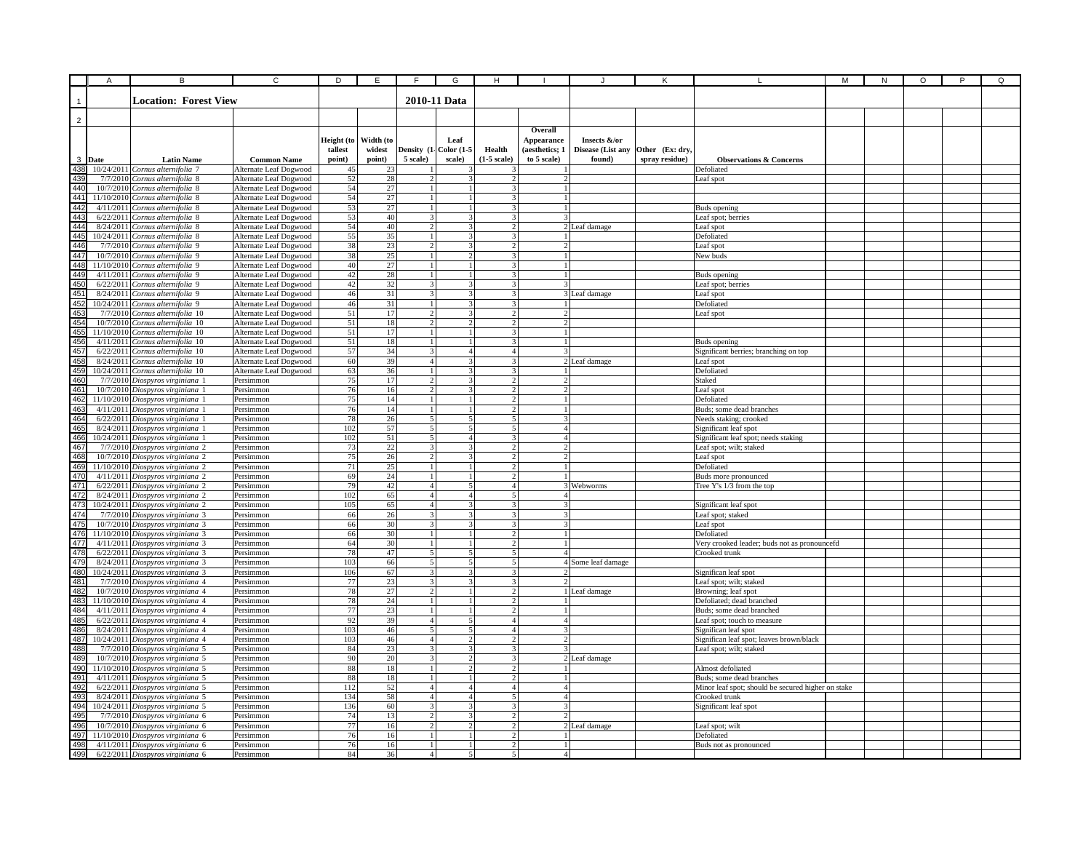|                                                             | $\overline{A}$ |                                                                       | C                                                | D                 | Ε                | F                                | G                                | н                                         |                               |                             |                                   |                                                                                | М | ${\sf N}$ | O | P | Q |
|-------------------------------------------------------------|----------------|-----------------------------------------------------------------------|--------------------------------------------------|-------------------|------------------|----------------------------------|----------------------------------|-------------------------------------------|-------------------------------|-----------------------------|-----------------------------------|--------------------------------------------------------------------------------|---|-----------|---|---|---|
|                                                             |                |                                                                       |                                                  |                   |                  |                                  |                                  |                                           |                               |                             |                                   |                                                                                |   |           |   |   |   |
|                                                             |                | <b>Location: Forest View</b>                                          |                                                  |                   |                  |                                  | 2010-11 Data                     |                                           |                               |                             |                                   |                                                                                |   |           |   |   |   |
|                                                             |                |                                                                       |                                                  |                   |                  |                                  |                                  |                                           |                               |                             |                                   |                                                                                |   |           |   |   |   |
| $\overline{2}$                                              |                |                                                                       |                                                  |                   |                  |                                  |                                  |                                           |                               |                             |                                   |                                                                                |   |           |   |   |   |
|                                                             |                |                                                                       |                                                  |                   |                  |                                  |                                  |                                           | Overall                       |                             |                                   |                                                                                |   |           |   |   |   |
|                                                             |                |                                                                       |                                                  | Height (to        | Width (to        |                                  | Leaf                             |                                           | Appearance                    | Insects &/or                |                                   |                                                                                |   |           |   |   |   |
| $\mathbf{3}$                                                | Date           | <b>Latin Name</b>                                                     | <b>Common Name</b>                               | tallest<br>point) | widest<br>point) | 5 scale)                         | Density (1- Color (1-5<br>scale) | Health<br>$(1-5)$ scale)                  | (aesthetics; 1<br>to 5 scale) | Disease (List any<br>found) | Other (Ex: dry,<br>spray residue) | <b>Observations &amp; Concerns</b>                                             |   |           |   |   |   |
| 438                                                         |                | 10/24/2011 Cornus alternifolia 7                                      | Alternate Leaf Dogwood                           | 45                | 23               |                                  |                                  |                                           |                               |                             |                                   | Defoliated                                                                     |   |           |   |   |   |
| 439                                                         |                | 7/7/2010 Cornus alternifolia 8                                        | Alternate Leaf Dogwood                           | 52                | 28               | $\overline{c}$                   |                                  | $\overline{c}$                            | $\overline{c}$                |                             |                                   | Leaf spot                                                                      |   |           |   |   |   |
|                                                             |                | 10/7/2010 Cornus alternifolia 8                                       | Alternate Leaf Dogwood                           | 54                | 27               |                                  |                                  |                                           |                               |                             |                                   |                                                                                |   |           |   |   |   |
|                                                             |                | 11/10/2010 Cornus alternifolia 8                                      | Alternate Leaf Dogwood                           | 54                | 27               | $\overline{1}$                   |                                  | 3                                         | $\mathbf{1}$                  |                             |                                   |                                                                                |   |           |   |   |   |
|                                                             |                | 4/11/2011 Cornus alternifolia 8                                       | Alternate Leaf Dogwood                           | 53                | 27               | $\overline{1}$                   |                                  | 3 <sup>1</sup>                            | $\mathbf{1}$                  |                             |                                   | Buds opening                                                                   |   |           |   |   |   |
|                                                             |                | 6/22/2011 Cornus alternifolia 8                                       | Alternate Leaf Dogwood                           | 53                | 40               | $\mathcal{E}$                    | 3                                | 31                                        | 3                             |                             |                                   | Leaf spot; berries                                                             |   |           |   |   |   |
|                                                             |                | 8/24/2011 Cornus alternifolia 8                                       | Alternate Leaf Dogwood                           | 54                | 40               | $\overline{2}$                   | $\mathbf{3}$                     | $\overline{2}$                            |                               | 2 Leaf damage               |                                   | Leaf spot                                                                      |   |           |   |   |   |
|                                                             |                | 10/24/2011 Cornus alternifolia 8                                      | Alternate Leaf Dogwood                           | 55                | 35               | 1 <sup>1</sup><br>$\overline{2}$ | $\mathbf{R}$<br>$\mathbf{3}$     | $\mathbf{3}$<br>$\mathcal{D}$             | $\gamma$                      |                             |                                   | Defoliated                                                                     |   |           |   |   |   |
|                                                             |                | 7/7/2010 Cornus alternifolia 9<br>10/7/2010 Cornus alternifolia 9     | Alternate Leaf Dogwood<br>Alternate Leaf Dogwood | 38<br>38          | 23<br>25         | $\mathbf{1}$                     | $\mathcal{L}$                    | 3                                         | $\mathbf{1}$                  |                             |                                   | Leaf spot<br>New buds                                                          |   |           |   |   |   |
|                                                             |                | 11/10/2010 Cornus alternifolia 9                                      | Alternate Leaf Dogwood                           | 40                | $\overline{27}$  |                                  |                                  |                                           |                               |                             |                                   |                                                                                |   |           |   |   |   |
| 440<br>441<br>443<br>444<br>445<br>446<br>448<br>448<br>448 |                | 4/11/2011 Cornus alternifolia 9                                       | Alternate Leaf Dogwood                           | 42                | 28               |                                  |                                  |                                           |                               |                             |                                   | Buds opening                                                                   |   |           |   |   |   |
|                                                             |                | 6/22/2011 Cornus alternifolia 9                                       | Alternate Leaf Dogwood                           | $42\,$            | 32               | 3                                |                                  |                                           |                               |                             |                                   | Leaf spot; berries                                                             |   |           |   |   |   |
|                                                             |                | 8/24/2011 Cornus alternifolia 9                                       | Alternate Leaf Dogwood                           | 46                | 31               | 3                                |                                  |                                           |                               | 3 Leaf damage               |                                   | ∟eaf spot                                                                      |   |           |   |   |   |
|                                                             |                | 10/24/2011 Cornus alternifolia 9                                      | Alternate Leaf Dogwood                           | 46                | 31               | $\overline{1}$                   | $\mathbf{3}$                     | 3                                         | 11                            |                             |                                   | Defoliated                                                                     |   |           |   |   |   |
|                                                             |                | 7/7/2010 Cornus alternifolia 10                                       | Alternate Leaf Dogwood                           | 51                | 17               | 2 <sub>1</sub>                   | $\overline{\mathbf{3}}$          | 2                                         | $\overline{2}$                |                             |                                   | Leaf spot                                                                      |   |           |   |   |   |
|                                                             |                | 10/7/2010 Cornus alternifolia 10                                      | Alternate Leaf Dogwood                           | 51                | 18               | $\mathcal{D}$                    | $\mathcal{D}$                    | $\overline{2}$                            | $\overline{2}$                |                             |                                   |                                                                                |   |           |   |   |   |
|                                                             |                | 11/10/2010 Cornus alternifolia 10<br>4/11/2011 Cornus alternifolia 10 | Alternate Leaf Dogwood                           | 51<br>51          | 17<br>18         | $\mathbf{1}$<br>$\mathbf{1}$     |                                  | 3<br>$\overline{3}$                       |                               |                             |                                   |                                                                                |   |           |   |   |   |
|                                                             |                | 6/22/2011 Cornus alternifolia 10                                      | Alternate Leaf Dogwood<br>Alternate Leaf Dogwood | 57                | 34               | $\overline{3}$                   | $\overline{A}$                   | 4 <sup>1</sup>                            | ٦I                            |                             |                                   | Buds opening<br>Significant berries; branching on top                          |   |           |   |   |   |
|                                                             |                | 8/24/2011 Cornus alternifolia 10                                      | Alternate Leaf Dogwood                           | 60                | 39               | $\overline{A}$                   | $\mathbf{R}$                     | 3                                         |                               | 2 Leaf damage               |                                   | Leaf spot                                                                      |   |           |   |   |   |
|                                                             |                | 10/24/2011 Cornus alternifolia 10                                     | Alternate Leaf Dogwood                           | 63                | 36               |                                  |                                  |                                           |                               |                             |                                   | Defoliated                                                                     |   |           |   |   |   |
|                                                             |                | 7/7/2010 Diospyros virginiana 1                                       | Persimmon                                        | 75                | 17               | 2                                |                                  |                                           | $\overline{2}$                |                             |                                   | Staked                                                                         |   |           |   |   |   |
|                                                             |                | 10/7/2010 Diospyros virginiana 1                                      | Persimmon                                        | 76                | 16               | $\overline{c}$                   |                                  |                                           | $\overline{2}$                |                             |                                   | Leaf spot                                                                      |   |           |   |   |   |
|                                                             |                | 11/10/2010 Diospyros virginiana 1                                     | Persimmon                                        | 75                | 14               |                                  |                                  |                                           |                               |                             |                                   | Defoliated                                                                     |   |           |   |   |   |
|                                                             |                | 4/11/2011 Diospyros virginiana 1                                      | Persimmon                                        | 76                | 14               | $1\vert$                         |                                  | $\mathcal{D}$                             | $\mathbf{1}$                  |                             |                                   | Buds; some dead branches                                                       |   |           |   |   |   |
|                                                             |                | 6/22/2011 Diospyros virginiana 1<br>8/24/2011 Diospyros virginiana 1  | Persimmon<br>Persimmon                           | 78<br>102         | 26<br>57         | 5 <sup>1</sup><br>5              | 5<br>$\overline{\phantom{0}}$    | 5 <sup>1</sup><br>5                       | 3<br>$\overline{4}$           |                             |                                   | Needs staking; crooked<br>Significant leaf spot                                |   |           |   |   |   |
|                                                             |                | 10/24/2011 Diospyros virginiana 1                                     | Persimmon                                        | 102               | 51               | $\varsigma$                      | $\overline{a}$                   | $\mathbf{3}$                              | $\Delta$                      |                             |                                   | Significant leaf spot; needs staking                                           |   |           |   |   |   |
|                                                             |                | 7/7/2010 Diospyros virginiana 2                                       | Persimmon                                        | 73                | 22               | 3 <sup>1</sup>                   | $\mathbf{3}$                     | $\overline{2}$                            | 2 <sup>1</sup>                |                             |                                   | Leaf spot; wilt; staked                                                        |   |           |   |   |   |
|                                                             |                | 10/7/2010 Diospyros virginiana 2                                      | Persimmon                                        | 75                | 26               | $\overline{2}$                   |                                  | $\overline{2}$                            | $\overline{2}$                |                             |                                   | Leaf spot                                                                      |   |           |   |   |   |
|                                                             |                | 11/10/2010 Diospyros virginiana 2                                     | Persimmon                                        | 71                | $\overline{25}$  | $\overline{1}$                   |                                  | $\overline{2}$                            | $\mathbf{1}$                  |                             |                                   | Defoliated                                                                     |   |           |   |   |   |
|                                                             |                | 4/11/2011 Diospyros virginiana 2                                      | Persimmon                                        | 69                | 24               |                                  |                                  |                                           |                               |                             |                                   | Buds more pronounced                                                           |   |           |   |   |   |
|                                                             |                | 6/22/2011 Diospyros virginiana 2                                      | Persimmon                                        | 79                | 42               |                                  |                                  | 4                                         |                               | 3 Webworms                  |                                   | Tree Y's 1/3 from the top                                                      |   |           |   |   |   |
|                                                             |                | 8/24/2011 Diospyros virginiana 2<br>10/24/2011 Diospyros virginiana 2 | Persimmon                                        | 102<br>105        | 65<br>65         | $\overline{4}$                   | $\Delta$                         |                                           | 4<br>3                        |                             |                                   |                                                                                |   |           |   |   |   |
|                                                             |                | 7/7/2010 Diospyros virginiana 3                                       | Persimmon<br>Persimmon                           | 66                | 26               | 3                                | 3                                | 3                                         | 3                             |                             |                                   | Significant leaf spot<br>Leaf spot; staked                                     |   |           |   |   |   |
|                                                             |                | 10/7/2010 Diospyros virginiana 3                                      | Persimmon                                        | 66                | 30               | $\mathcal{E}$                    | $\overline{\mathbf{3}}$          | 3 <sup>1</sup>                            | 3I                            |                             |                                   | Leaf spot                                                                      |   |           |   |   |   |
|                                                             |                | 11/10/2010 Diospyros virginiana 3                                     | Persimmon                                        | 66                | 30               | $\overline{1}$                   |                                  | $\overline{2}$                            | $\mathbf{1}$                  |                             |                                   | Defoliated                                                                     |   |           |   |   |   |
|                                                             |                | 4/11/2011 Diospyros virginiana 3                                      | Persimmon                                        | 64                | 30               | $\mathbf{1}$                     |                                  | $\overline{2}$                            | $\mathbf{1}$                  |                             |                                   | Very crooked leader; buds not as pronouncefd                                   |   |           |   |   |   |
|                                                             |                | 6/22/2011 Diospyros virginiana 3                                      | Persimmon                                        | 78                | 47               | 5 <sup>1</sup>                   | 5 <sup>1</sup>                   | 5 <sup>1</sup>                            | $\Delta$                      |                             |                                   | Crooked trunk                                                                  |   |           |   |   |   |
|                                                             |                | 8/24/2011 Diospyros virginiana 3                                      | Persimmon                                        | 103               | 66               | $\overline{5}$                   | $\varsigma$                      | $\varsigma$                               |                               | 4 Some leaf damage          |                                   |                                                                                |   |           |   |   |   |
|                                                             |                | 10/24/2011 Diospyros virginiana 3                                     | Persimmon                                        | 106               | 67               | $\overline{3}$                   | $\mathbf{R}$                     | $\mathbf{a}$                              | $\mathcal{L}$                 |                             |                                   | Significan leaf spot                                                           |   |           |   |   |   |
|                                                             |                | 7/7/2010 Diospyros virginiana 4<br>10/7/2010 Diospyros virginiana 4   | Persimmon<br>Persimmon                           | 77<br>78          | 23<br>27         | 3<br>$\mathfrak{D}$              | 3                                | 3<br>$\mathcal{P}$                        |                               | 1 Leaf damage               |                                   | Leaf spot; wilt; staked                                                        |   |           |   |   |   |
|                                                             |                | 11/10/2010 Diospyros virginiana 4                                     | Persimmon                                        | 78                | 24               | $\mathbf{1}$                     |                                  | $\mathcal{P}$                             |                               |                             |                                   | Browning; leaf spot<br>Defoliated: dead branched                               |   |           |   |   |   |
|                                                             |                | 4/11/2011 Diospyros virginiana 4                                      | Persimmon                                        | 77                | 23               | 1                                |                                  |                                           |                               |                             |                                   | Buds; some dead branched                                                       |   |           |   |   |   |
|                                                             |                | 6/22/2011 Diospyros virginiana 4                                      | Persimmon                                        | 92                | 39               | $\overline{4}$                   | 5                                | 4                                         | 4 <sup>1</sup>                |                             |                                   | Leaf spot; touch to measure                                                    |   |           |   |   |   |
|                                                             |                | 8/24/2011 Diospyros virginiana 4                                      | Persimmon                                        | 103               | 46               | $\mathfrak{S}$                   | 5                                | 4 <sup>1</sup>                            | 3                             |                             |                                   | Significan leaf spot                                                           |   |           |   |   |   |
|                                                             |                | 10/24/2011 Diospyros virginiana 4                                     | Persimmon                                        | 103               | 46               | 4 <sup>1</sup>                   | $\mathcal{D}$                    | $\overline{2}$                            | 21                            |                             |                                   | Significan leaf spot; leaves brown/black                                       |   |           |   |   |   |
|                                                             |                | 7/7/2010 Diospyros virginiana 5                                       | Persimmon                                        | 84                | 23               | $\overline{\mathbf{3}}$          | $\mathbf{3}$                     | $\mathcal{R}$                             | $\mathcal{R}$                 |                             |                                   | Leaf spot; wilt; staked                                                        |   |           |   |   |   |
|                                                             |                | 10/7/2010 Diospyros virginiana 5                                      | Persimmon                                        | 90                | $20\,$           | $\mathcal{R}$                    |                                  | $\overline{\mathbf{3}}$<br>$\overline{2}$ |                               | 2 Leaf damage               |                                   |                                                                                |   |           |   |   |   |
| 488<br>489<br>490<br>491<br>492<br>493                      |                | 11/10/2010 Diospyros virginiana 5                                     | Persimmon                                        | 88<br>88          | 18<br>18         | $\mathbf{1}$<br>$\mathbf{1}$     |                                  | $\mathcal{D}$                             | 1 <sup>1</sup>                |                             |                                   | Almost defoliated                                                              |   |           |   |   |   |
|                                                             |                | 4/11/2011 Diospyros virginiana 5<br>6/22/2011 Diospyros virginiana 5  | Persimmon<br>Persimmon                           | 112               | 52               | $\overline{4}$                   | $\overline{4}$                   | $\overline{4}$                            | $\overline{4}$                |                             |                                   | Buds; some dead branches<br>Minor leaf spot; should be secured higher on stake |   |           |   |   |   |
|                                                             |                | 8/24/2011 Diospyros virginiana 5                                      | Persimmon                                        | 134               | 58               | $\overline{4}$                   | $\overline{4}$                   |                                           | 4                             |                             |                                   | Crooked trunk                                                                  |   |           |   |   |   |
| 494                                                         |                | 10/24/2011 Diospyros virginiana 5                                     | Persimmon                                        | 136               | 60               | 3                                |                                  |                                           |                               |                             |                                   | Significant leaf spot                                                          |   |           |   |   |   |
| 495<br>496<br>497<br>498<br>499                             |                | 7/7/2010 Diospyros virginiana 6                                       | Persimmon                                        | 74                | 13               | $\overline{a}$                   |                                  |                                           |                               |                             |                                   |                                                                                |   |           |   |   |   |
|                                                             |                | 10/7/2010 Diospyros virginiana 6                                      | Persimmon                                        | 77                | 16               | $\overline{2}$                   | $\overline{2}$                   | $\overline{2}$                            |                               | 2 Leaf damage               |                                   | Leaf spot; wilt                                                                |   |           |   |   |   |
|                                                             |                | 11/10/2010 Diospyros virginiana 6                                     | Persimmon                                        | 76                | 16               | $\overline{1}$                   | $\mathbf{1}$                     | $\overline{2}$                            | $\overline{1}$                |                             |                                   | Defoliated                                                                     |   |           |   |   |   |
|                                                             |                | 4/11/2011 Diospyros virginiana 6                                      | Persimmon                                        | 76                | 16               | $\overline{1}$                   | $\mathbf{1}$                     | $\overline{2}$                            |                               |                             |                                   | Buds not as pronounced                                                         |   |           |   |   |   |
|                                                             |                | 6/22/2011 Diospyros virginiana 6                                      | Persimmon                                        | 84                | 36               | $\vert$                          | 5 <sup>1</sup>                   | $\mathbf{5}$                              | 4 <sup>1</sup>                |                             |                                   |                                                                                |   |           |   |   |   |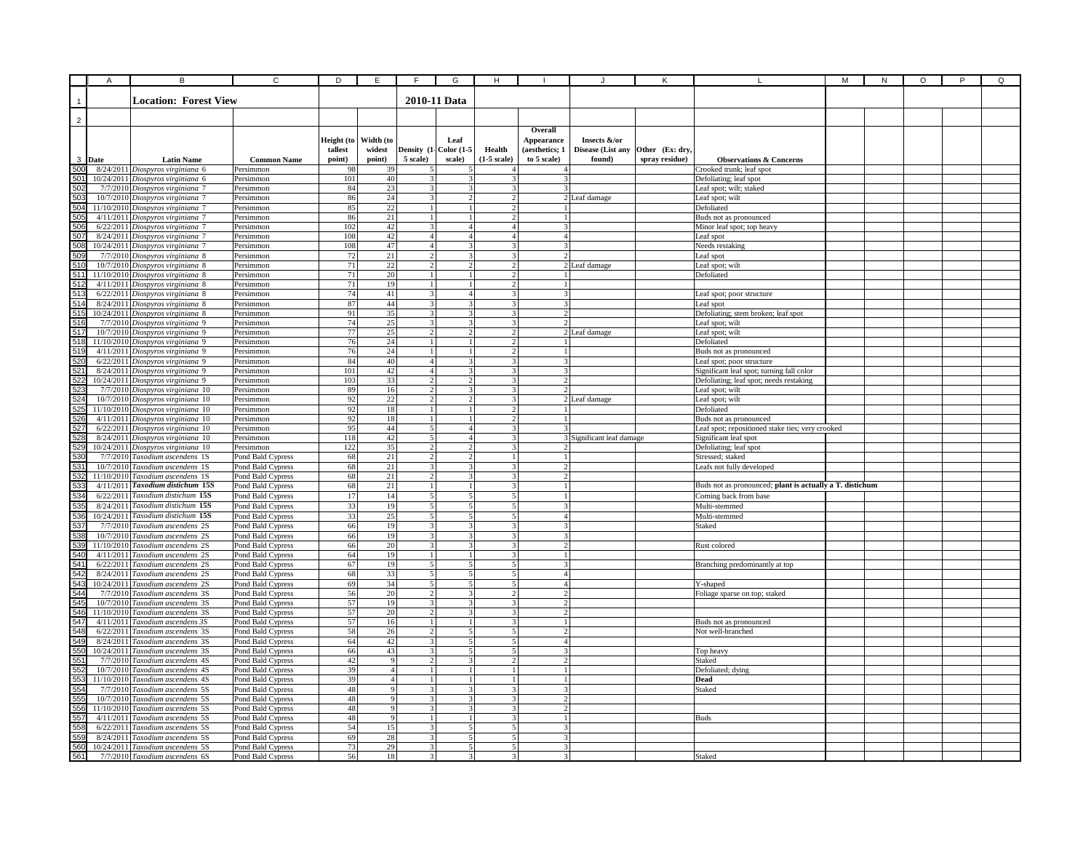|                        | Α    | B                                                                      | $\overline{c}$                         | D          | E              | F                                         | G                                | н                                |                               |                           |                 |                                                                                   | М | N | $\circ$ | $\overline{P}$ | Q |
|------------------------|------|------------------------------------------------------------------------|----------------------------------------|------------|----------------|-------------------------------------------|----------------------------------|----------------------------------|-------------------------------|---------------------------|-----------------|-----------------------------------------------------------------------------------|---|---|---------|----------------|---|
|                        |      |                                                                        |                                        |            |                |                                           |                                  |                                  |                               |                           |                 |                                                                                   |   |   |         |                |   |
|                        |      | <b>Location: Forest View</b>                                           |                                        |            |                |                                           | 2010-11 Data                     |                                  |                               |                           |                 |                                                                                   |   |   |         |                |   |
|                        |      |                                                                        |                                        |            |                |                                           |                                  |                                  |                               |                           |                 |                                                                                   |   |   |         |                |   |
| $\overline{2}$         |      |                                                                        |                                        |            |                |                                           |                                  |                                  |                               |                           |                 |                                                                                   |   |   |         |                |   |
|                        |      |                                                                        |                                        | Height (to | Width (to      |                                           | Leaf                             |                                  | Overall<br><b>Appearance</b>  | Insects &/or              |                 |                                                                                   |   |   |         |                |   |
|                        |      |                                                                        |                                        | tallest    | widest         |                                           | Density (1- Color (1-5           | Health                           | (aesthetics; 1                | Disease (List any         | Other (Ex: dry. |                                                                                   |   |   |         |                |   |
| 3                      | Date | <b>Latin Name</b>                                                      | <b>Common Name</b>                     | point)     | point)         | 5 scale)                                  | scale)                           | $(1-5 scale)$                    | to 5 scale)                   | found)                    | spray residue)  | <b>Observations &amp; Concerns</b>                                                |   |   |         |                |   |
| 500                    |      | 8/24/2011 Diospyros virginiana 6                                       | Persimmon                              | 98         | 39             |                                           |                                  |                                  |                               |                           |                 | Crooked trunk; leaf spot                                                          |   |   |         |                |   |
| 501                    |      | 10/24/2011 Diospyros virginiana 6                                      | Persimmon                              | 101        | 40             | 3                                         | 3                                | 3                                |                               |                           |                 | Defoliating; leaf spot                                                            |   |   |         |                |   |
| 502                    |      | 7/7/2010 Diospyros virginiana 7                                        | Persimmon                              | 84         | 23             | 3                                         | 3                                | 3                                |                               |                           |                 | Leaf spot; wilt; staked                                                           |   |   |         |                |   |
| 503<br>504             |      | 10/7/2010 Diospyros virginiana 7                                       | Persimmon                              | 86         | 24             | 3<br>$\mathbf{1}$                         | 2                                | $\overline{c}$<br>$\mathcal{P}$  |                               | 2 Leaf damage             |                 | Leaf spot; wilt                                                                   |   |   |         |                |   |
| 505                    |      | 11/10/2010 Diospyros virginiana 7<br>4/11/2011 Diospyros virginiana 7  | Persimmon<br>Persimmon                 | 85<br>86   | 22<br>21       | $\overline{1}$                            | 1<br>$\mathbf{1}$                | $\mathcal{D}$                    |                               |                           |                 | Defoliated<br>Buds not as pronounced                                              |   |   |         |                |   |
| 506                    |      | 6/22/2011 Diospyros virginiana 7                                       | Persimmon                              | 102        | 42             | 3 <sup>1</sup>                            | $\overline{4}$                   | $\overline{4}$                   | 3                             |                           |                 | Minor leaf spot; top heavy                                                        |   |   |         |                |   |
| 507                    |      | 8/24/2011 Diospyros virginiana 7                                       | Persimmon                              | 108        | 42             | 4 <sup>1</sup>                            | $\overline{a}$                   | $\mathbf{A}$                     | $\mathbf{A}$                  |                           |                 | Leaf spot                                                                         |   |   |         |                |   |
| 508                    |      | 10/24/2011 Diospyros virginiana 7                                      | Persimmon                              | 108        | 47             | $\overline{4}$                            | $\overline{3}$                   | $\overline{3}$                   | $\overline{\mathbf{3}}$       |                           |                 | Needs restaking                                                                   |   |   |         |                |   |
| 509                    |      | 7/7/2010 Diospyros virginiana 8                                        | Persimmon                              | 72         | 21             | $\overline{2}$                            | 3                                | 3                                |                               |                           |                 | Leaf spot                                                                         |   |   |         |                |   |
| 510                    |      | 10/7/2010 Diospyros virginiana 8                                       | Persimmon                              | 71         | 22             | $\overline{c}$                            | 2<br>$\mathbf{1}$                |                                  |                               | 2 Leaf damage             |                 | Leaf spot; wilt                                                                   |   |   |         |                |   |
| 511                    |      | 11/10/2010 Diospyros virginiana 8<br>4/11/2011 Diospyros virginiana 8  | Persimmon<br>Persimmon                 | 71<br>71   | 20<br>19       |                                           | $\mathbf{1}$                     | $\overline{c}$                   |                               |                           |                 | Defoliated                                                                        |   |   |         |                |   |
| 513                    |      | 6/22/2011 Diospyros virginiana 8                                       | Persimmon                              | 74         | 41             | 3                                         | $\overline{4}$                   |                                  |                               |                           |                 | Leaf spot; poor structure                                                         |   |   |         |                |   |
| 514                    |      | 8/24/2011 Diospyros virginiana 8                                       | Persimmon                              | 87         | 44             | $\overline{\mathbf{3}}$                   | 3                                | 3                                | $\mathbf{3}$                  |                           |                 | Leaf spot                                                                         |   |   |         |                |   |
| 51                     |      | 10/24/2011 Diospyros virginiana 8                                      | Persimmon                              | 91         | 35             | 3 <sup>1</sup>                            | $\overline{\mathbf{3}}$          | 3 <sup>1</sup>                   | $\mathcal{D}$                 |                           |                 | Defoliating; stem broken; leaf spot                                               |   |   |         |                |   |
|                        |      | 7/7/2010 Diospyros virginiana 9                                        | Persimmon                              | 74         | 25             | 3 <sup>1</sup>                            | $\overline{3}$                   | 3                                |                               |                           |                 | Leaf spot; wilt                                                                   |   |   |         |                |   |
|                        |      | 10/7/2010 Diospyros virginiana 9                                       | Persimmon                              | 77         | 25             | $\overline{2}$                            | $\overline{2}$                   | $\overline{2}$                   |                               | 2 Leaf damage             |                 | Leaf spot; wilt                                                                   |   |   |         |                |   |
|                        |      | 11/10/2010 Diospyros virginiana 9<br>4/11/2011 Diospyros virginiana 9  | Persimmon                              | 76<br>76   | 24<br>24       | $\mathbf{1}$<br>$\overline{1}$            | $\mathbf{1}$<br>$\overline{1}$   | $\overline{2}$<br>J              |                               |                           |                 | Defoliated                                                                        |   |   |         |                |   |
|                        |      | 6/22/2011 Diospyros virginiana 9                                       | Persimmon<br>Persimmon                 | 84         | 40             | $\overline{4}$                            | $\overline{\mathbf{3}}$          | 2                                | $\overline{\mathbf{3}}$       |                           |                 | Buds not as pronounced<br>Leaf spot; poor structure                               |   |   |         |                |   |
| 52 <sup>2</sup>        |      | 8/24/2011 Diospyros virginiana 9                                       | Persimmon                              | 101        | 42             | $\overline{4}$                            | 3                                | $\mathbf{R}$                     |                               |                           |                 | Significant leaf spot; turning fall color                                         |   |   |         |                |   |
|                        |      | 10/24/2011 Diospyros virginiana 9                                      | Persimmon                              | 103        | 33             | $\overline{2}$                            | $\overline{2}$                   | $\mathbf{3}$                     |                               |                           |                 | Defoliating; leaf spot; needs restaking                                           |   |   |         |                |   |
|                        |      | 7/7/2010 Diospyros virginiana 10                                       | Persimmon                              | 89         | 16             | $\overline{c}$                            | 3                                |                                  |                               |                           |                 | Leaf spot; wilt                                                                   |   |   |         |                |   |
| 52                     |      | 10/7/2010 Diospyros virginiana 10                                      | Persimmon                              | 92         | 22             | $\overline{2}$                            | $\mathbf{2}$                     | 3                                |                               | 2 Leaf damage             |                 | Leaf spot; wilt                                                                   |   |   |         |                |   |
| 52                     |      | 11/10/2010 Diospyros virginiana 10                                     | Persimmon                              | 92<br>92   | 18             | $\mathbf{1}$                              | $\mathbf{1}$                     | 2                                |                               |                           |                 | Defoliated                                                                        |   |   |         |                |   |
| 526<br>52              |      | 4/11/2011 Diospyros virginiana 10<br>6/22/2011 Diospyros virginiana 10 | Persimmon<br>Persimmon                 | 95         | 18<br>44       | 1<br>5 <sup>1</sup>                       | 1<br>4 <sup>1</sup>              | 2<br>3                           | 3                             |                           |                 | Buds not as pronounced<br>Leaf spot; repositioned stake ties; very crooked        |   |   |         |                |   |
| 528                    |      | 8/24/2011 Diospyros virginiana 10                                      | Persimmon                              | 118        | 42             | 5 <sup>1</sup>                            | 4 <sup>1</sup>                   | 3                                |                               | 3 Significant leaf damage |                 | Significant leaf spot                                                             |   |   |         |                |   |
|                        |      | 10/24/2011 Diospyros virginiana 10                                     | Persimmon                              | 122        | 35             | $\overline{2}$                            | $\overline{2}$                   | $\mathbf{R}$                     |                               |                           |                 | Defoliating; leaf spot                                                            |   |   |         |                |   |
|                        |      | 7/7/2010 Taxodium ascendens 1S                                         | Pond Bald Cypress                      | 68         | 21             | $\mathcal{D}$                             | $\mathcal{L}$                    | $\mathbf{1}$                     | $\mathbf{1}$                  |                           |                 | Stressed; staked                                                                  |   |   |         |                |   |
| 53 <sup>°</sup>        |      | 10/7/2010 Taxodium ascendens 1S                                        | Pond Bald Cypress                      | 68         | 21             | $\overline{\mathbf{3}}$                   | $\overline{\mathbf{3}}$          | $\overline{3}$                   | $\overline{2}$                |                           |                 | Leafs not fully developed                                                         |   |   |         |                |   |
| 532                    |      | 11/10/2010 Taxodium ascendens 1S                                       | Pond Bald Cypress                      | 68         | 21             | $\overline{2}$                            | 3                                | $\overline{3}$                   | $\overline{2}$                |                           |                 |                                                                                   |   |   |         |                |   |
| 53                     |      | 4/11/2011 Taxodium distichum 15S<br>6/22/2011 Taxodium distichum 15S   | Pond Bald Cypress                      | 68<br>17   | 21<br>14       | $\mathbf{1}$<br>5                         | $1\vert$<br>5                    | 3<br>5                           | $\mathbf{1}$                  |                           |                 | Buds not as pronounced; plant is actually a T. distichum<br>Coming back from base |   |   |         |                |   |
| 53                     |      | 8/24/2011 Taxodium distichum 15S                                       | Pond Bald Cypress<br>Pond Bald Cypress | 33         | 19             | 5                                         | 5                                | 5                                | 3                             |                           |                 | Multi-stemmed                                                                     |   |   |         |                |   |
|                        |      | 10/24/2011 Taxodium distichum 15S                                      | Pond Bald Cypress                      | 33         | 25             | 5 <sup>1</sup>                            | $\mathbf{5}$                     | 5                                | 4 <sup>1</sup>                |                           |                 | Multi-stemmed                                                                     |   |   |         |                |   |
|                        |      | 7/7/2010 Taxodium ascendens 2S                                         | Pond Bald Cypress                      | 66         | 19             | $\overline{\mathbf{3}}$                   | 3                                | $\mathbf{R}$                     | $\mathbf{3}$                  |                           |                 | Staked                                                                            |   |   |         |                |   |
|                        |      | 10/7/2010 Taxodium ascendens 2S                                        | Pond Bald Cypress                      | 66         | 19             | $\overline{3}$                            | $\overline{\mathbf{3}}$          | $\mathbf{a}$                     | $\overline{3}$                |                           |                 |                                                                                   |   |   |         |                |   |
|                        |      | 11/10/2010 Taxodium ascendens 2S                                       | Pond Bald Cypress                      | 66         | 20             |                                           | $\overline{\mathbf{3}}$          | 3                                | $\overline{2}$                |                           |                 | Rust colored                                                                      |   |   |         |                |   |
| 540                    |      | 4/11/2011 Taxodium ascendens 2S                                        | Pond Bald Cypress                      | 64         | 19             | $\mathbf{1}$                              | $\mathbf{1}$                     |                                  |                               |                           |                 |                                                                                   |   |   |         |                |   |
| 54 <sup>°</sup><br>542 |      | 6/22/2011 Taxodium ascendens 2S<br>8/24/2011 Taxodium ascendens 2S     | Pond Bald Cypress<br>Pond Bald Cypress | 67<br>68   | 19<br>33       | 5<br>5                                    | 5<br>5                           | 5<br>5                           | 3<br>$\overline{4}$           |                           |                 | Branching predominantly at top                                                    |   |   |         |                |   |
| 54                     |      | 10/24/2011 Taxodium ascendens 2S                                       | Pond Bald Cypress                      | 69         | 34             | 5                                         | 5                                | 5                                | $\overline{4}$                |                           |                 | Y-shaped                                                                          |   |   |         |                |   |
| 544                    |      | 7/7/2010 Taxodium ascendens 3S                                         | Pond Bald Cypress                      | 56         | 20             | $\overline{2}$                            | 3                                | $\overline{2}$                   | $\overline{2}$                |                           |                 | Foliage sparse on top; staked                                                     |   |   |         |                |   |
| 545                    |      | 10/7/2010 Taxodium ascendens 3S                                        | Pond Bald Cypress                      | 57         | 19             | $\overline{\mathbf{3}}$                   | 3                                | 3                                | $\overline{c}$                |                           |                 |                                                                                   |   |   |         |                |   |
| 546                    |      | 11/10/2010 Taxodium ascendens 3S                                       | Pond Bald Cypress                      | 57         | 20             | $\overline{2}$                            | 3                                | 3                                | $\overline{2}$                |                           |                 |                                                                                   |   |   |         |                |   |
| 54                     |      | 4/11/2011 Taxodium ascendens 3S                                        | Pond Bald Cypress                      | 57         | 16             | $\mathbf{1}$                              | $\mathbf{1}$                     | 3                                |                               |                           |                 | Buds not as pronounced                                                            |   |   |         |                |   |
| 548                    |      | 6/22/2011 Taxodium ascendens 3S                                        | Pond Bald Cypress                      | 58         | 26             | $\overline{2}$<br>$\overline{\mathbf{3}}$ | 5 <sup>1</sup><br>$\overline{5}$ | $\mathfrak{S}$<br>5 <sup>1</sup> | $\mathfrak{D}$<br>4           |                           |                 | Not well-branched                                                                 |   |   |         |                |   |
| 549<br>550             |      | 8/24/2011 Taxodium ascendens 3S<br>10/24/2011 Taxodium ascendens 3S    | Pond Bald Cypress<br>Pond Bald Cypress | 64<br>66   | 42<br>43       | $\overline{3}$                            | $\overline{5}$                   | $\overline{5}$                   | $\overline{3}$                |                           |                 | Top heavy                                                                         |   |   |         |                |   |
| 551                    |      | 7/7/2010 Taxodium ascendens 4S                                         | Pond Bald Cypress                      | 42         | 9              | $\overline{2}$                            | 3                                | $\mathcal{D}$                    | 2                             |                           |                 | Staked                                                                            |   |   |         |                |   |
|                        |      | 10/7/2010 Taxodium ascendens 4S                                        | Pond Bald Cypress                      | 39         | 4 <sup>1</sup> | $\mathbf{1}$                              | $\mathbf{1}$                     |                                  |                               |                           |                 | Defoliated; dying                                                                 |   |   |         |                |   |
| 55                     |      | 11/10/2010 Taxodium ascendens 4S                                       | Pond Bald Cypress                      | 39         | 4 <sup>1</sup> | $\mathbf{1}$                              | 1 <sup>1</sup>                   | $\mathbf{1}$                     |                               |                           |                 | <b>Dead</b>                                                                       |   |   |         |                |   |
|                        |      | 7/7/2010 Taxodium ascendens 5S                                         | Pond Bald Cypress                      | 48         | 9              | 3                                         | 3                                | 3                                | 3                             |                           |                 | Staked                                                                            |   |   |         |                |   |
| 555                    |      | 10/7/2010 Taxodium ascendens 5S                                        | Pond Bald Cypress                      | 48         | $\overline{9}$ | $\overline{3}$                            | 3                                | 3                                | $\overline{2}$                |                           |                 |                                                                                   |   |   |         |                |   |
| 556<br>557             |      | 11/10/2010 Taxodium ascendens 5S<br>4/11/2011 Taxodium ascendens 5S    | Pond Bald Cypress<br>Pond Bald Cypress | 48<br>48   | 9<br>9         | $\mathbf{3}$<br>$\mathbf{1}$              | 3<br>$\mathbf{1}$                | 3<br>$\mathbf{R}$                | $\mathcal{P}$<br>$\mathbf{1}$ |                           |                 | <b>Buds</b>                                                                       |   |   |         |                |   |
| 558                    |      | 6/22/2011 Taxodium ascendens 5S                                        | Pond Bald Cypress                      | 54         | 15             | 3 <sup>1</sup>                            | $\mathbf{5}$                     | 5                                | 3                             |                           |                 |                                                                                   |   |   |         |                |   |
|                        |      | 8/24/2011 Taxodium ascendens 5S                                        | Pond Bald Cypress                      | 69         | 28             | $\overline{3}$                            | 5                                | 5                                | 3                             |                           |                 |                                                                                   |   |   |         |                |   |
| 560                    |      | 10/24/2011 Taxodium ascendens 5S                                       | Pond Bald Cypress                      | 73         | 29             | $\overline{3}$                            | $\overline{5}$                   | 5                                | $\mathbf{3}$                  |                           |                 |                                                                                   |   |   |         |                |   |
| 561                    |      | 7/7/2010 Taxodium ascendens 6S                                         | Pond Bald Cypress                      | 56         | 18             | $\mathcal{R}$                             | $\overline{3}$                   | $\mathbf{a}$                     |                               |                           |                 | Staked                                                                            |   |   |         |                |   |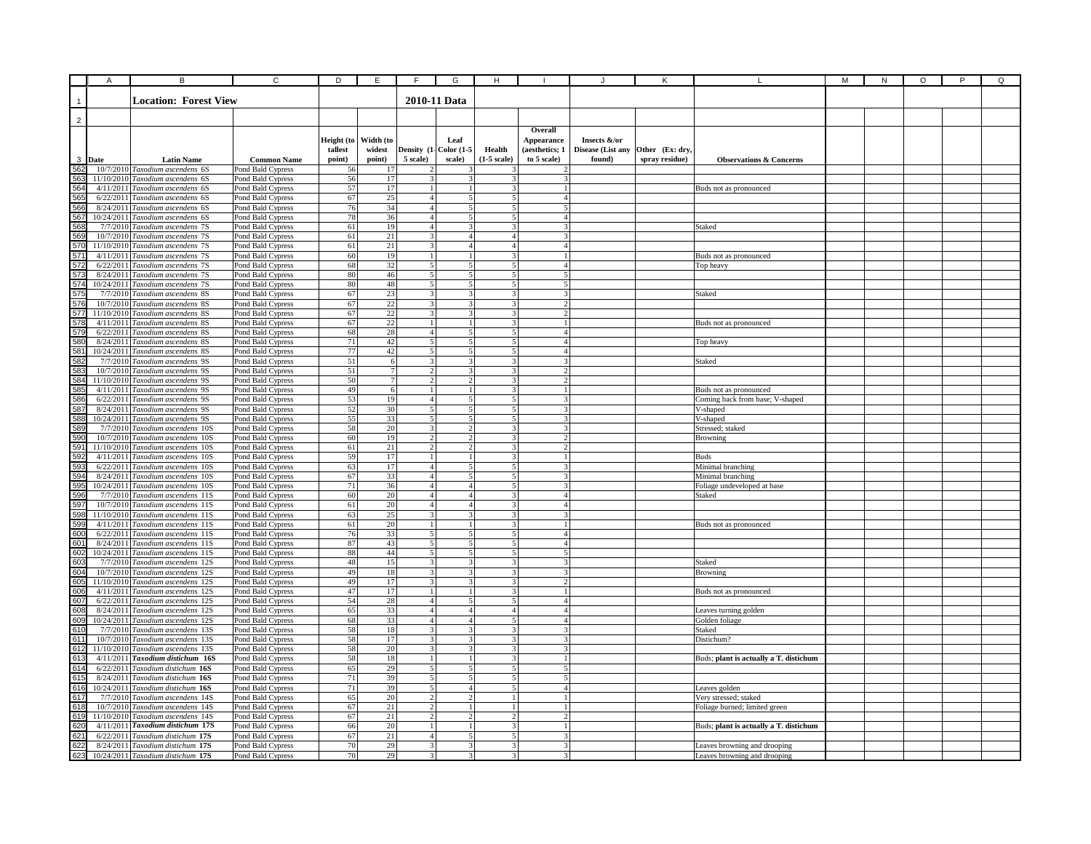|                                                                | Α      | в                                                                     | $\overline{c}$                         | D          | E               | E                                | G                                | н             |                         |                   |                |                                        | М | ${\sf N}$ | O | P | Q |
|----------------------------------------------------------------|--------|-----------------------------------------------------------------------|----------------------------------------|------------|-----------------|----------------------------------|----------------------------------|---------------|-------------------------|-------------------|----------------|----------------------------------------|---|-----------|---|---|---|
|                                                                |        |                                                                       |                                        |            |                 |                                  |                                  |               |                         |                   |                |                                        |   |           |   |   |   |
|                                                                |        | <b>Location: Forest View</b>                                          |                                        |            |                 |                                  | 2010-11 Data                     |               |                         |                   |                |                                        |   |           |   |   |   |
|                                                                |        |                                                                       |                                        |            |                 |                                  |                                  |               |                         |                   |                |                                        |   |           |   |   |   |
| $\overline{2}$                                                 |        |                                                                       |                                        |            |                 |                                  |                                  |               |                         |                   |                |                                        |   |           |   |   |   |
|                                                                |        |                                                                       |                                        |            |                 |                                  |                                  |               | Overall                 |                   |                |                                        |   |           |   |   |   |
|                                                                |        |                                                                       |                                        | Height (to | Width (to       |                                  | Leaf                             |               | Appearance              | Insects &/or      |                |                                        |   |           |   |   |   |
|                                                                |        |                                                                       |                                        | tallest    | widest          | Density (1-                      | Color $(1-5)$                    | Health        | (aesthetics; 1          | Disease (List any | Other (Ex: dry |                                        |   |           |   |   |   |
|                                                                | 3 Date | <b>Latin Name</b>                                                     | <b>Common Name</b>                     | point)     | point)          | 5 scale)                         | scale)                           | $(1-5 scale)$ | to 5 scale)             | found)            | spray residue) | <b>Observations &amp; Concerns</b>     |   |           |   |   |   |
| $rac{6}{562}$                                                  |        | 10/7/2010 Taxodium ascendens 6S                                       | Pond Bald Cypress                      | 56         | 17              | 2                                |                                  |               |                         |                   |                |                                        |   |           |   |   |   |
| 563                                                            |        | 11/10/2010 Taxodium ascendens 6S                                      | Pond Bald Cypress                      | 56         | 17              |                                  |                                  |               |                         |                   |                |                                        |   |           |   |   |   |
|                                                                |        | 4/11/2011 Taxodium ascendens 6S                                       | Pond Bald Cypress                      | 57         | 17              | $\mathbf{1}$                     |                                  |               |                         |                   |                | Buds not as pronounced                 |   |           |   |   |   |
|                                                                |        | 6/22/2011 Taxodium ascendens 6S                                       | Pond Bald Cypress                      | 67         | $25\,$          | 4 <sup>1</sup><br>$\overline{4}$ | 5<br>5                           |               | $\overline{4}$          |                   |                |                                        |   |           |   |   |   |
|                                                                |        | 8/24/2011 Taxodium ascendens 6S<br>10/24/2011 Taxodium ascendens 6S   | Pond Bald Cypress                      | 76<br>78   | 34<br>36        | 4 <sup>1</sup>                   | $\sim$                           |               | $\boldsymbol{\Delta}$   |                   |                |                                        |   |           |   |   |   |
|                                                                |        | 7/7/2010 Taxodium ascendens 7S                                        | Pond Bald Cypress<br>Pond Bald Cypress | $61\,$     | 19              | 4 <sup>1</sup>                   | 3                                |               | 3                       |                   |                | Staked                                 |   |           |   |   |   |
|                                                                |        | 10/7/2010 Taxodium ascendens 7S                                       | Pond Bald Cypress                      | 61         | 21              | $\overline{3}$                   | $\overline{4}$                   |               | 2                       |                   |                |                                        |   |           |   |   |   |
|                                                                |        | 11/10/2010 Taxodium ascendens 7S                                      | Pond Bald Cypress                      | $61\,$     | 21              | $\overline{\mathbf{3}}$          | $\overline{a}$                   |               | $\overline{a}$          |                   |                |                                        |   |           |   |   |   |
|                                                                |        | 4/11/2011 Taxodium ascendens 7S                                       | Pond Bald Cypress                      | 60         | 19              | $\mathbf{1}$                     |                                  |               |                         |                   |                | Buds not as pronounced                 |   |           |   |   |   |
|                                                                |        | 6/22/2011 Taxodium ascendens 7S                                       | Pond Bald Cypress                      | 68         | 32              | 5                                |                                  |               |                         |                   |                | Top heavy                              |   |           |   |   |   |
|                                                                |        | 8/24/2011 Taxodium ascendens 7S                                       | Pond Bald Cypress                      | 80         | 46              | 5                                | 5                                |               |                         |                   |                |                                        |   |           |   |   |   |
|                                                                |        | 10/24/2011 Taxodium ascendens 7S                                      | Pond Bald Cypress                      | 80         | 48              | $\overline{5}$                   | 5                                |               |                         |                   |                |                                        |   |           |   |   |   |
|                                                                |        | 7/7/2010 Taxodium ascendens 8S                                        | Pond Bald Cypress                      | 67         | 23              | 3                                | 3                                |               | 3                       |                   |                | Staked                                 |   |           |   |   |   |
|                                                                |        | 10/7/2010 Taxodium ascendens 8S                                       | Pond Bald Cypress                      | 67         | 22              | $\overline{\mathbf{3}}$          | 3                                |               | $\gamma$                |                   |                |                                        |   |           |   |   |   |
|                                                                |        | 11/10/2010 Taxodium ascendens 8S                                      | Pond Bald Cypress                      | 67         | 22              | $\overline{\mathbf{3}}$          | 3                                |               |                         |                   |                |                                        |   |           |   |   |   |
|                                                                |        | 4/11/2011 Taxodium ascendens 8S                                       | Pond Bald Cypress                      | 67         | 22              | 1 <sup>1</sup>                   | $\mathbf{1}$                     |               |                         |                   |                | Buds not as pronounced                 |   |           |   |   |   |
|                                                                |        | 6/22/2011 Taxodium ascendens 8S                                       | Pond Bald Cypress                      | 68         | 28              | $\overline{4}$<br>$\overline{5}$ | 5 <sup>1</sup><br>$\overline{5}$ |               | $\overline{4}$          |                   |                |                                        |   |           |   |   |   |
| <u>ងូន និង និង និង និង និង ដែល ដែល ដែល ដែល ដែល ដែល ដែល ដែល</u> |        | 8/24/2011 Taxodium ascendens 8S<br>10/24/2011 Taxodium ascendens 8S   | Pond Bald Cypress<br>Pond Bald Cypress | 71<br>77   | 42<br>42        | $\overline{5}$                   | $\overline{\mathbf{5}}$          |               | $\overline{4}$          |                   |                | Top heavy                              |   |           |   |   |   |
|                                                                |        | 7/7/2010 Taxodium ascendens 9S                                        | Pond Bald Cypress                      | 51         | 6               | $\overline{\mathbf{3}}$          | $\overline{\mathbf{3}}$          |               |                         |                   |                | Staked                                 |   |           |   |   |   |
|                                                                |        | 10/7/2010 Taxodium ascendens 9S                                       | Pond Bald Cypress                      | 51         | $7\phantom{.0}$ | $\overline{c}$                   |                                  |               |                         |                   |                |                                        |   |           |   |   |   |
|                                                                |        | 11/10/2010 Taxodium ascendens 9S                                      | Pond Bald Cypress                      | 50         | $7\phantom{.0}$ | $\overline{2}$                   | $\overline{2}$                   |               | $\mathfrak{D}$          |                   |                |                                        |   |           |   |   |   |
|                                                                |        | 4/11/2011 Taxodium ascendens 9S                                       | Pond Bald Cypress                      | 49         | 6               | $\mathbf{1}$                     |                                  |               |                         |                   |                | Buds not as pronounced                 |   |           |   |   |   |
|                                                                |        | 6/22/2011 Taxodium ascendens 9S                                       | Pond Bald Cypress                      | 53         | 19              | $\overline{4}$                   | 5                                |               | 3                       |                   |                | Coming back from base; V-shaped        |   |           |   |   |   |
|                                                                |        | 8/24/2011 Taxodium ascendens 9S                                       | Pond Bald Cypress                      | 52         | 30              | 5 <sub>l</sub>                   | 5                                |               | 3                       |                   |                | V-shaped                               |   |           |   |   |   |
|                                                                |        | 10/24/2011 Taxodium ascendens 9S                                      | Pond Bald Cypress                      | 55         | 33              | 5 <sup>1</sup>                   | 5 <sup>1</sup>                   |               | 3                       |                   |                | V-shaped                               |   |           |   |   |   |
|                                                                |        | 7/7/2010 Taxodium ascendens 10S                                       | Pond Bald Cypress                      | 58         | 20              | 3                                | $\overline{2}$                   |               | 3                       |                   |                | Stressed; staked                       |   |           |   |   |   |
|                                                                |        | 10/7/2010 Taxodium ascendens 10S                                      | Pond Bald Cypress                      | 60         | 19              | $\overline{2}$                   | $\overline{2}$                   |               |                         |                   |                | Browning                               |   |           |   |   |   |
|                                                                |        | 11/10/2010 Taxodium ascendens 10S                                     | Pond Bald Cypress                      | 61         | $21\,$          | $\overline{2}$                   | $\overline{2}$                   |               | $\mathfrak{D}$          |                   |                |                                        |   |           |   |   |   |
|                                                                |        | 4/11/2011 Taxodium ascendens 10S                                      | Pond Bald Cypress                      | 59         | 17              | $\overline{1}$                   | $\mathbf{1}$                     |               | $\mathbf{1}$            |                   |                | <b>Buds</b>                            |   |           |   |   |   |
|                                                                |        | 6/22/2011 Taxodium ascendens 10S                                      | Pond Bald Cypress                      | 63         | 17              | $\overline{4}$                   | $\overline{5}$                   |               | 3                       |                   |                | Minimal branching                      |   |           |   |   |   |
|                                                                |        | 8/24/2011 Taxodium ascendens 10S<br>10/24/2011 Taxodium ascendens 10S | Pond Bald Cypress                      | 67<br>71   | 33<br>36        | $\overline{4}$<br>$\vert$        | 5<br>4                           |               |                         |                   |                | Minimal branching                      |   |           |   |   |   |
|                                                                |        | 7/7/2010 Taxodium ascendens 11S                                       | Pond Bald Cypress<br>Pond Bald Cypress | 60         | 20              | $\overline{4}$                   | 4                                |               |                         |                   |                | Foliage undeveloped at base<br>Staked  |   |           |   |   |   |
|                                                                |        | 10/7/2010 Taxodium ascendens 11S                                      | Pond Bald Cypress                      | 61         | 20              | $\overline{4}$                   | $\overline{4}$                   |               | 4                       |                   |                |                                        |   |           |   |   |   |
|                                                                |        | 11/10/2010 Taxodium ascendens 11S                                     | Pond Bald Cypress                      | 63         | 25              | 3                                | 3                                |               | $\mathbf{3}$            |                   |                |                                        |   |           |   |   |   |
| <u> 986868686868688888888888</u>                               |        | 4/11/2011 Taxodium ascendens 11S                                      | Pond Bald Cypress                      | 61         | $20\,$          | 1 <sup>1</sup>                   | $\mathbf{1}$                     |               |                         |                   |                | Buds not as pronounced                 |   |           |   |   |   |
|                                                                |        | 6/22/2011 Taxodium ascendens 11S                                      | Pond Bald Cypress                      | 76         | 33              | 5 <sub>l</sub>                   | 5 <sup>1</sup>                   |               | $\overline{4}$          |                   |                |                                        |   |           |   |   |   |
|                                                                |        | 8/24/2011 Taxodium ascendens 11S                                      | Pond Bald Cypress                      | 87         | 43              | 5 <sup>1</sup>                   | $\mathbf{5}$                     |               | $\mathbf{A}$            |                   |                |                                        |   |           |   |   |   |
|                                                                |        | 10/24/2011 Taxodium ascendens 11S                                     | Pond Bald Cypress                      | $88\,$     | 44              | 5 <sup>1</sup>                   | 5 <sup>1</sup>                   |               | 5                       |                   |                |                                        |   |           |   |   |   |
|                                                                |        | 7/7/2010 Taxodium ascendens 12S                                       | Pond Bald Cypress                      | 48         | 15              | $\overline{3}$                   | $\overline{3}$                   |               | $\mathbf{3}$            |                   |                | Staked                                 |   |           |   |   |   |
|                                                                |        | 10/7/2010 Taxodium ascendens 12S                                      | Pond Bald Cypress                      | 49         | 18              |                                  | $\overline{\mathbf{3}}$          |               | $\overline{\mathbf{3}}$ |                   |                | Browning                               |   |           |   |   |   |
|                                                                |        | 11/10/2010 Taxodium ascendens 12S                                     | Pond Bald Cypress                      | 49         | 17              | 3                                | $\mathbf{3}$                     |               |                         |                   |                |                                        |   |           |   |   |   |
|                                                                |        | 4/11/2011 Taxodium ascendens 12S                                      | Pond Bald Cypress                      | 47         | 17              | $\mathbf{1}$                     |                                  |               |                         |                   |                | Buds not as pronounced                 |   |           |   |   |   |
|                                                                |        | 6/22/2011 Taxodium ascendens 12S                                      | Pond Bald Cypress                      | 54         | 28              | $\overline{4}$                   | 5                                |               | $\overline{4}$          |                   |                |                                        |   |           |   |   |   |
|                                                                |        | 8/24/2011 Taxodium ascendens 12S                                      | Pond Bald Cypress                      | 65         | 33              | $\overline{4}$                   | $\overline{4}$                   |               | $\overline{A}$          |                   |                | Leaves turning golden                  |   |           |   |   |   |
|                                                                |        | 10/24/2011 Taxodium ascendens 12S                                     | Pond Bald Cypress                      | 68<br>58   | 33              | $\overline{4}$<br>$\overline{3}$ | $\overline{4}$                   |               | 4<br>3                  |                   |                | Golden foliage                         |   |           |   |   |   |
|                                                                |        | 7/7/2010 Taxodium ascendens 13S<br>10/7/2010 Taxodium ascendens 13S   | Pond Bald Cypress<br>Pond Bald Cypress | 58         | 18<br>17        | $\overline{\mathbf{3}}$          | 3<br>3                           |               |                         |                   |                | Staked<br>Distichum?                   |   |           |   |   |   |
|                                                                |        | 11/10/2010 Taxodium ascendens 13S                                     | Pond Bald Cypress                      | 58         | $20\,$          | $\overline{\mathbf{3}}$          | $\mathbf{3}$                     |               | $\mathbf{3}$            |                   |                |                                        |   |           |   |   |   |
|                                                                |        | 4/11/2011 Taxodium distichum 16S                                      | Pond Bald Cypress                      | 58         | $18\,$          | $\mathbf{1}$                     | $\mathbf{1}$                     |               | $\mathbf{1}$            |                   |                | Buds; plant is actually a T. distichum |   |           |   |   |   |
|                                                                |        | 6/22/2011 Taxodium distichum 16S                                      | Pond Bald Cypress                      | 65         | 29              | $\overline{5}$                   | 5                                |               | 5                       |                   |                |                                        |   |           |   |   |   |
|                                                                |        | 8/24/2011 Taxodium distichum 16S                                      | Pond Bald Cypress                      | 71         | 39              | 5                                | 5                                |               |                         |                   |                |                                        |   |           |   |   |   |
|                                                                |        | 10/24/2011 Taxodium distichum 16S                                     | Pond Bald Cypress                      | 71         | 39              | 5                                | 4                                |               |                         |                   |                | Leaves golden                          |   |           |   |   |   |
|                                                                |        | 7/7/2010 Taxodium ascendens 14S                                       | Pond Bald Cypress                      | 65         | 20              | $\overline{c}$                   |                                  |               |                         |                   |                | Very stressed; staked                  |   |           |   |   |   |
|                                                                |        | 10/7/2010 Taxodium ascendens 14S                                      | Pond Bald Cypress                      | 67         | 21              | $\overline{2}$                   |                                  |               |                         |                   |                | Foliage burned; limited green          |   |           |   |   |   |
|                                                                |        | 11/10/2010 Taxodium ascendens 14S                                     | Pond Bald Cypress                      | 67         | 21              | $\overline{2}$                   | $\overline{2}$                   |               | $\mathcal{D}$           |                   |                |                                        |   |           |   |   |   |
|                                                                |        | 4/11/2011 Taxodium distichum 17S                                      | Pond Bald Cypress                      | 66         | $20\,$          | $\mathbf{1}$                     | 1                                |               | $\mathbf{1}$            |                   |                | Buds; plant is actually a T. distichum |   |           |   |   |   |
|                                                                |        | 6/22/2011 Taxodium distichum 17S                                      | Pond Bald Cypress                      | 67         | 21              | $\overline{4}$                   | $\mathbf{5}$                     |               | $\mathbf{3}$            |                   |                |                                        |   |           |   |   |   |
|                                                                |        | 8/24/2011 Taxodium distichum 17S                                      | Pond Bald Cypress                      | 70         | 29              | $\overline{\mathbf{3}}$          | $\overline{\mathbf{3}}$          |               |                         |                   |                | Leaves browning and drooping           |   |           |   |   |   |
|                                                                |        | 10/24/2011 Taxodium distichum 17S                                     | Pond Bald Cypress                      | 70         | 29              | $\overline{\mathbf{3}}$          | $\overline{\mathbf{3}}$          |               |                         |                   |                | Leaves browning and drooping           |   |           |   |   |   |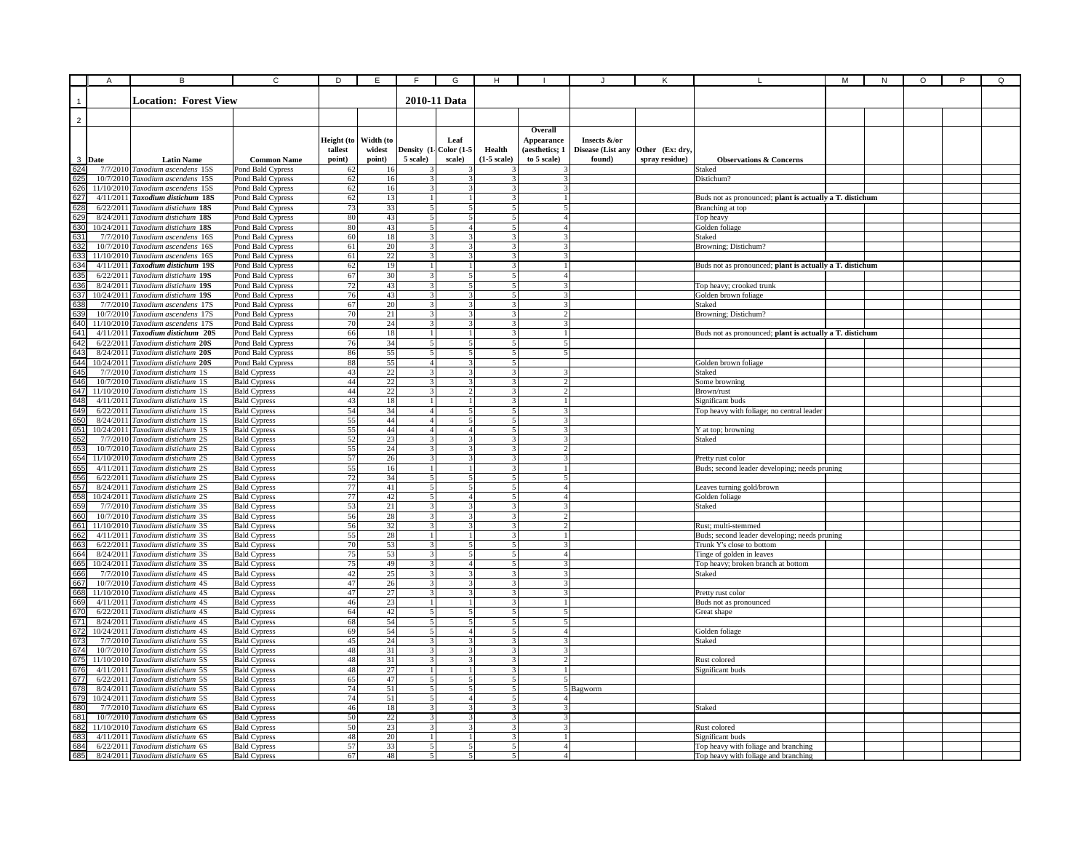|                 | Α      | В                                                                     | C                                          | D          | E         | F                        | G                        | н                        |                               |                   |                 |                                                          | M | N | O | P | Q |
|-----------------|--------|-----------------------------------------------------------------------|--------------------------------------------|------------|-----------|--------------------------|--------------------------|--------------------------|-------------------------------|-------------------|-----------------|----------------------------------------------------------|---|---|---|---|---|
|                 |        |                                                                       |                                            |            |           |                          |                          |                          |                               |                   |                 |                                                          |   |   |   |   |   |
|                 |        | <b>Location: Forest View</b>                                          |                                            |            |           |                          | 2010-11 Data             |                          |                               |                   |                 |                                                          |   |   |   |   |   |
|                 |        |                                                                       |                                            |            |           |                          |                          |                          |                               |                   |                 |                                                          |   |   |   |   |   |
| $\overline{2}$  |        |                                                                       |                                            |            |           |                          |                          |                          |                               |                   |                 |                                                          |   |   |   |   |   |
|                 |        |                                                                       |                                            |            |           |                          |                          |                          | Overall                       |                   |                 |                                                          |   |   |   |   |   |
|                 |        |                                                                       |                                            | Height (to | Width (to |                          | Leaf                     |                          | Appearance                    | Insects &/or      |                 |                                                          |   |   |   |   |   |
|                 |        |                                                                       |                                            | tallest    | widest    |                          | Density (1- Color (1-5   | Health                   | (aesthetics; 1                | Disease (List any | Other (Ex: dry, |                                                          |   |   |   |   |   |
|                 | 3 Date | <b>Latin Name</b>                                                     | <b>Common Name</b>                         | point)     | point)    | 5 scale)                 | scale)                   | (1-5 scale)              | to 5 scale)                   | found)            | spray residue)  | <b>Observations &amp; Concerns</b>                       |   |   |   |   |   |
| 624             |        | 7/7/2010 Taxodium ascendens 15S                                       | Pond Bald Cypress                          | 62         | 16        |                          |                          |                          |                               |                   |                 | Staked                                                   |   |   |   |   |   |
| 626             |        | 10/7/2010 Taxodium ascendens 15S                                      | Pond Bald Cypress                          | 62         | 16        |                          |                          |                          |                               |                   |                 | Distichum?                                               |   |   |   |   |   |
| 627             |        | 11/10/2010 Taxodium ascendens 15S<br>4/11/2011 Taxodium distichum 18S | Pond Bald Cypress                          | 62<br>62   | 16<br>13  | -1                       |                          | 3                        |                               |                   |                 | Buds not as pronounced; plant is actually a T. distichum |   |   |   |   |   |
|                 |        | 6/22/2011 Taxodium distichum 18S                                      | Pond Bald Cypress<br>Pond Bald Cypress     | 73         | 33        | 5                        | 5                        | $\mathbf{5}$             | .5 I                          |                   |                 | Branching at top                                         |   |   |   |   |   |
| 628<br>62       |        | 8/24/2011 Taxodium distichum 18S                                      | Pond Bald Cypress                          | 80         | 43        | 5                        |                          | $\overline{\mathbf{5}}$  | $\overline{a}$                |                   |                 | Top heavy                                                |   |   |   |   |   |
| 63              |        | 10/24/2011 Taxodium distichum 18S                                     | Pond Bald Cypress                          | 80         | 43        | 5                        | $\overline{A}$           | 5 <sup>1</sup>           | $\overline{4}$                |                   |                 | Golden foliage                                           |   |   |   |   |   |
| 63 <sup>°</sup> |        | 7/7/2010 Taxodium ascendens 16S                                       | Pond Bald Cypress                          | 60         | 18        | $\overline{\mathbf{3}}$  |                          | $\mathbf{3}$             | $\mathbf{3}$                  |                   |                 | Staked                                                   |   |   |   |   |   |
|                 |        | 10/7/2010 Taxodium ascendens 16S                                      | Pond Bald Cypress                          | 61         | 20        | $\overline{\mathcal{R}}$ |                          | $\overline{\mathcal{L}}$ | $\mathbf{R}$                  |                   |                 | Browning; Distichum?                                     |   |   |   |   |   |
| 632<br>633      |        | 11/10/2010 Taxodium ascendens 16S                                     | Pond Bald Cypress                          | 61         | 22        |                          |                          |                          |                               |                   |                 |                                                          |   |   |   |   |   |
| 63              |        | 4/11/2011 Taxodium distichum 19S                                      | Pond Bald Cypress                          | 62         | 19        |                          |                          |                          |                               |                   |                 | Buds not as pronounced; plant is actually a T. distichum |   |   |   |   |   |
| 63              |        | 6/22/2011 Taxodium distichum 19S                                      | Pond Bald Cypress                          | 67         | 30        | $\mathcal{R}$            |                          | 5                        | 4                             |                   |                 |                                                          |   |   |   |   |   |
| 636             |        | 8/24/2011 Taxodium distichum 19S                                      | Pond Bald Cypress                          | 72         | 43        | 3                        | 5                        | 5                        | 3                             |                   |                 | Top heavy; crooked trunk                                 |   |   |   |   |   |
| 637             |        | 10/24/2011 Taxodium distichum 19S                                     | Pond Bald Cypress                          | 76         | 43        | $\mathcal{E}$            | $\mathbf{3}$             | 5 <sup>1</sup>           | 3                             |                   |                 | Golden brown foliage                                     |   |   |   |   |   |
|                 |        | 7/7/2010 Taxodium ascendens 17S                                       | Pond Bald Cypress                          | 67         | 20        | $\mathcal{E}$            | 3                        | 31                       | 3I                            |                   |                 | Staked                                                   |   |   |   |   |   |
|                 |        | 10/7/2010 Taxodium ascendens 17S                                      | Pond Bald Cypress                          | 70         | 21        | $\mathbf{3}$             |                          | $\mathbf{3}$             | 2                             |                   |                 | Browning; Distichum?                                     |   |   |   |   |   |
| 640             |        | 11/10/2010 Taxodium ascendens 17S                                     | Pond Bald Cypress                          | 70         | 24        | $\mathbf{3}$             |                          | $\overline{\mathbf{3}}$  |                               |                   |                 |                                                          |   |   |   |   |   |
| 64              |        | $4/11/201$ <sup>1</sup> Taxodium distichum 20S                        | Pond Bald Cypress                          | 66         | 18        | $\mathbf{1}$             |                          | $\mathbf{3}$             |                               |                   |                 | Buds not as pronounced; plant is actually a T. distichum |   |   |   |   |   |
| 642             |        | 6/22/2011 Taxodium distichum 20S                                      | Pond Bald Cypress                          | 76         | 34        |                          |                          |                          | 5                             |                   |                 |                                                          |   |   |   |   |   |
| 643             |        | 8/24/2011 Taxodium distichum 20S                                      | Pond Bald Cypress                          | 86         | 55        |                          |                          |                          | 5                             |                   |                 |                                                          |   |   |   |   |   |
| 64              |        | 10/24/2011 Taxodium distichum 20S                                     | Pond Bald Cypress                          | 88         | 55        | $\overline{4}$           |                          | 5                        |                               |                   |                 | Golden brown foliage                                     |   |   |   |   |   |
| 64              |        | 7/7/2010 Taxodium distichum 1S                                        | <b>Bald Cypress</b>                        | 43         | $22\,$    | 3                        |                          | 3                        | ٩                             |                   |                 | Staked                                                   |   |   |   |   |   |
| 646             |        | 10/7/2010 Taxodium distichum 1S                                       | <b>Bald Cypress</b>                        | 44         | 22        | 3                        |                          | 3                        | 2                             |                   |                 | Some browning                                            |   |   |   |   |   |
| 647<br>648      |        | 11/10/2010 Taxodium distichum 1S                                      | <b>Bald Cypress</b>                        | 44         | 22        | 3<br>$\mathbf{1}$        | $\mathcal{P}$            | 3 <sup>1</sup><br>31     | $\mathcal{D}$<br>$\mathbf{1}$ |                   |                 | Brown/rust                                               |   |   |   |   |   |
|                 |        | 4/11/2011 Taxodium distichum 1S<br>6/22/2011 Taxodium distichum 1S    | <b>Bald Cypress</b>                        | 43<br>54   | 18<br>34  | 4 <sup>1</sup>           | $\overline{\phantom{0}}$ | $\overline{\mathbf{5}}$  | $\overline{3}$                |                   |                 | Significant buds                                         |   |   |   |   |   |
| 649<br>650      |        | 8/24/2011 Taxodium distichum 1S                                       | <b>Bald Cypress</b><br><b>Bald Cypress</b> | 55         | 44        | $\overline{4}$           | 5                        | 5 <sup>1</sup>           | $\overline{3}$                |                   |                 | Top heavy with foliage; no central leader                |   |   |   |   |   |
| 65 <sup>°</sup> |        | 10/24/2011 Taxodium distichum 1S                                      | <b>Bald Cypress</b>                        | 55         | 44        | $\overline{4}$           | $\overline{A}$           | 5 <sup>1</sup>           | $\overline{3}$                |                   |                 | Y at top; browning                                       |   |   |   |   |   |
| 652             |        | 7/7/2010 Taxodium distichum 2S                                        | <b>Bald Cypress</b>                        | 52         | 23        | $\overline{3}$           |                          | $\overline{\mathbf{3}}$  | 3 I                           |                   |                 | Staked                                                   |   |   |   |   |   |
| 653             |        | 10/7/2010 Taxodium distichum 2S                                       | <b>Bald Cypress</b>                        | 55         | 24        | 3                        |                          | $\overline{3}$           | <sup>2</sup>                  |                   |                 |                                                          |   |   |   |   |   |
| 65              |        | 11/10/2010 Taxodium distichum 2S                                      | <b>Bald Cypress</b>                        | 57         | 26        | $\overline{\mathbf{3}}$  |                          |                          |                               |                   |                 | Pretty rust color                                        |   |   |   |   |   |
| 65              |        | 4/11/2011 Taxodium distichum 2S                                       | <b>Bald Cypress</b>                        | 55         | 16        |                          |                          |                          |                               |                   |                 | Buds; second leader developing; needs pruning            |   |   |   |   |   |
| 656             |        | 6/22/2011 Taxodium distichum 2S                                       | <b>Bald Cypress</b>                        | $72\,$     | 34        | 5                        |                          |                          | 5                             |                   |                 |                                                          |   |   |   |   |   |
| 657             |        | 8/24/2011 Taxodium distichum 2S                                       | <b>Bald Cypress</b>                        | 77         | 41        | $\mathfrak{S}$           | 5                        | 5.                       | 4                             |                   |                 | Leaves turning gold/brown                                |   |   |   |   |   |
| 658             |        | 10/24/2011 Taxodium distichum 2S                                      | <b>Bald Cypress</b>                        | 77         | 42        | 5 <sub>l</sub>           | 4 <sup>1</sup>           | 5 <sup>1</sup>           | 4 <sup>1</sup>                |                   |                 | Golden foliage                                           |   |   |   |   |   |
| 659             |        | 7/7/2010 Taxodium distichum 3S                                        | <b>Bald Cypress</b>                        | 53         | 21        | 3                        | 3                        | 31                       | 3                             |                   |                 | Staked                                                   |   |   |   |   |   |
| 66              |        | 10/7/2010 Taxodium distichum 3S                                       | <b>Bald Cypress</b>                        | 56         | 28        | 3                        | 3                        | 31                       | $\overline{2}$                |                   |                 |                                                          |   |   |   |   |   |
| 66              |        | 11/10/2010 Taxodium distichum 3S                                      | <b>Bald Cypress</b>                        | 56         | 32        | $\mathbf{3}$             |                          | $\overline{\mathbf{3}}$  |                               |                   |                 | Rust; multi-stemmed                                      |   |   |   |   |   |
| 66              |        | 4/11/2011 Taxodium distichum 3S                                       | <b>Bald Cypress</b>                        | 55         | 28        | $\mathbf{1}$             |                          | $\overline{\mathbf{3}}$  |                               |                   |                 | Buds; second leader developing; needs pruning            |   |   |   |   |   |
| 66              |        | 6/22/2011 Taxodium distichum 3S                                       | <b>Bald Cypress</b>                        | 70         | 53        | $\overline{\mathbf{3}}$  | $\overline{\phantom{a}}$ | 5                        | $\mathbf{3}$                  |                   |                 | Trunk Y's close to bottom                                |   |   |   |   |   |
| 664             |        | 8/24/2011 Taxodium distichum 3S                                       | <b>Bald Cypress</b>                        | 75         | 53        | 3                        | 5                        | $\overline{5}$           | $\Delta$                      |                   |                 | Tinge of golden in leaves                                |   |   |   |   |   |
| 665             |        | 10/24/2011 Taxodium distichum 3S<br>7/7/2010 Taxodium distichum 4S    | <b>Bald Cypress</b>                        | 75         | 49        | 3                        |                          | 5                        | 3                             |                   |                 | Top heavy; broken branch at bottom                       |   |   |   |   |   |
| 666<br>667      |        | 10/7/2010 Taxodium distichum 4S                                       | <b>Bald Cypress</b>                        | 42<br>47   | 25<br>26  | 3<br>3                   |                          | ٩                        | 3<br>٩                        |                   |                 | Staked                                                   |   |   |   |   |   |
| 668             |        | 11/10/2010 Taxodium distichum 4S                                      | <b>Bald Cypress</b><br><b>Bald Cypress</b> | 47         | 27        | 3                        |                          | 3                        | 3                             |                   |                 |                                                          |   |   |   |   |   |
| 669             |        | 4/11/2011 Taxodium distichum 4S                                       | <b>Bald Cypress</b>                        | 46         | 23        | $\mathbf{1}$             |                          | 3 <sup>1</sup>           | $\mathbf{1}$                  |                   |                 | Pretty rust color<br>Buds not as pronounced              |   |   |   |   |   |
| 670             |        | 6/22/2011 Taxodium distichum 4S                                       | <b>Bald Cypress</b>                        | 64         | 42        | $\sim$                   | 5                        | 5 <sup>1</sup>           | 5 <sup>1</sup>                |                   |                 | Great shape                                              |   |   |   |   |   |
| 671             |        | 8/24/2011 Taxodium distichum 4S                                       | <b>Bald Cypress</b>                        | 68         | 54        | 5                        | 5                        | 5 <sup>1</sup>           | 5 <sup>1</sup>                |                   |                 |                                                          |   |   |   |   |   |
|                 |        | 10/24/2011 Taxodium distichum 4S                                      | <b>Bald Cypress</b>                        | 69         | 54        | $\overline{5}$           | $\overline{4}$           | 5 <sup>1</sup>           | 4 <sup>1</sup>                |                   |                 | Golden foliage                                           |   |   |   |   |   |
| 67              |        | 7/7/2010 Taxodium distichum 5S                                        | <b>Bald Cypress</b>                        | 45         | 24        | $\overline{3}$           |                          | $\overline{\mathbf{3}}$  | $\overline{\mathbf{3}}$       |                   |                 | Staked                                                   |   |   |   |   |   |
| 674             |        | 10/7/2010 Taxodium distichum 5S                                       | <b>Bald Cypress</b>                        | 48         | 31        | $\overline{3}$           | $\mathbf{R}$             | $\mathbf{3}$             | $\overline{3}$                |                   |                 |                                                          |   |   |   |   |   |
| 675             |        | 11/10/2010 Taxodium distichum 5S                                      | <b>Bald Cypress</b>                        | 48         | 31        | $\mathbf{z}$             |                          | $\mathbf{3}$             |                               |                   |                 | Rust colored                                             |   |   |   |   |   |
| 676             |        | 4/11/2011 Taxodium distichum 5S                                       | <b>Bald Cypress</b>                        | 48         | 27        |                          |                          |                          |                               |                   |                 | Significant buds                                         |   |   |   |   |   |
| 677             |        | 6/22/2011 Taxodium distichum 5S                                       | <b>Bald Cypress</b>                        | 65         | 47        | 5                        |                          |                          |                               |                   |                 |                                                          |   |   |   |   |   |
| 678             |        | 8/24/2011 Taxodium distichum 5S                                       | <b>Bald Cypress</b>                        | 74         | 51        | 5                        | 5                        | 5                        |                               | 5 Bagworm         |                 |                                                          |   |   |   |   |   |
| 679             |        | 10/24/2011 Taxodium distichum 5S                                      | <b>Bald Cypress</b>                        | 74         | 51        | $\mathfrak{S}$           | $\overline{4}$           | 5                        | 41                            |                   |                 |                                                          |   |   |   |   |   |
| 680             |        | 7/7/2010 Taxodium distichum 6S                                        | <b>Bald Cypress</b>                        | 46         | 18        | $\overline{\mathbf{3}}$  | 3                        | 3                        | 3                             |                   |                 | Staked                                                   |   |   |   |   |   |
| 681             |        | 10/7/2010 Taxodium distichum 6S                                       | <b>Bald Cypress</b>                        | 50         | $22\,$    | 3                        | 3                        | 3                        | 3                             |                   |                 |                                                          |   |   |   |   |   |
| 682             |        | 11/10/2010 Taxodium distichum 6S                                      | <b>Bald Cypress</b>                        | 50         | 23        | 3                        | 3                        | $\overline{\mathbf{3}}$  | 31                            |                   |                 | Rust colored                                             |   |   |   |   |   |
| 68              |        | 4/11/2011 Taxodium distichum 6S                                       | <b>Bald Cypress</b>                        | 48         | 20        | $\mathbf{1}$             |                          | $\mathbf{3}$             |                               |                   |                 | Significant buds                                         |   |   |   |   |   |
| 684             |        | 6/22/2011 Taxodium distichum 6S                                       | <b>Bald Cypress</b>                        | 57         | 33        | $\varsigma$              | $\varsigma$              | 5                        |                               |                   |                 | Top heavy with foliage and branching                     |   |   |   |   |   |
| 685             |        | 8/24/2011 Taxodium distichum 6S                                       | <b>Bald Cypress</b>                        | 67         | 48        | $\leq$                   | $\leq$                   | $\mathbf{I}$             |                               |                   |                 | Top heavy with foliage and branching                     |   |   |   |   |   |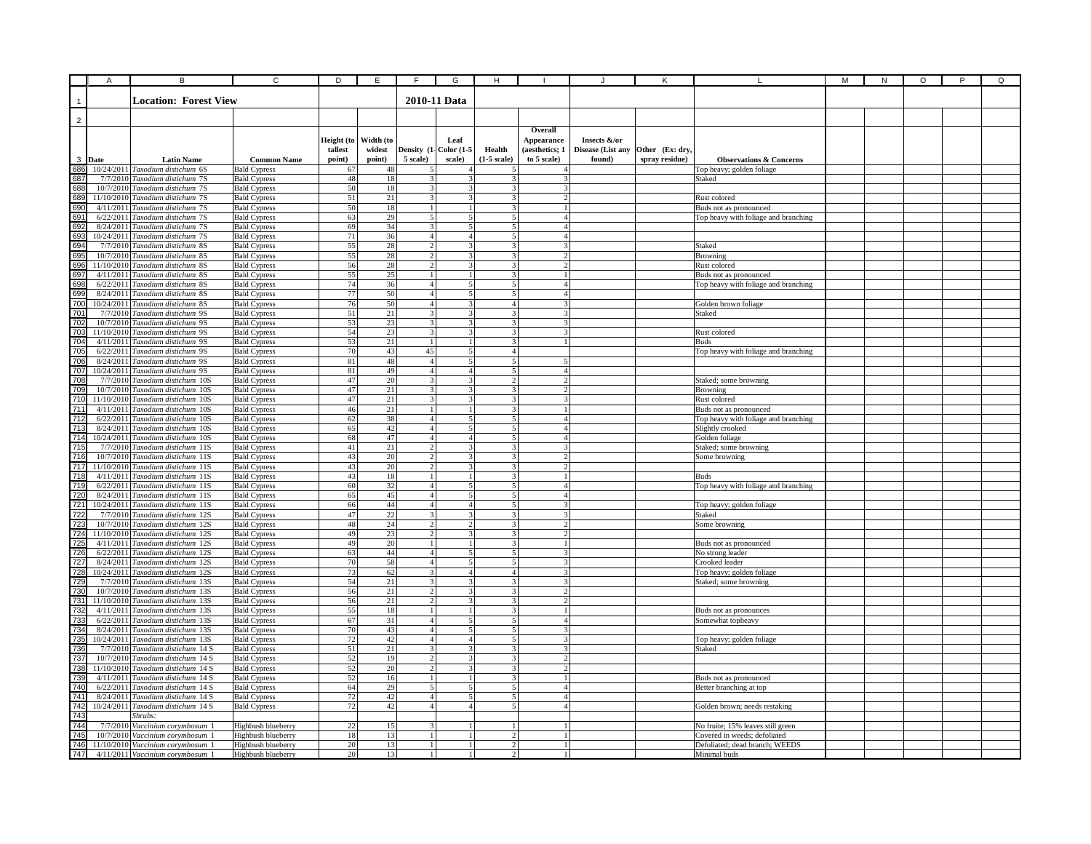|                                                            | A      | B                                                                     | C                                          | D          | Ε         | F                                         | G                                          | н                                |                                  |                   |                 |                                                                | М | ${\sf N}$ | O | P | Q |
|------------------------------------------------------------|--------|-----------------------------------------------------------------------|--------------------------------------------|------------|-----------|-------------------------------------------|--------------------------------------------|----------------------------------|----------------------------------|-------------------|-----------------|----------------------------------------------------------------|---|-----------|---|---|---|
|                                                            |        |                                                                       |                                            |            |           |                                           |                                            |                                  |                                  |                   |                 |                                                                |   |           |   |   |   |
|                                                            |        | <b>Location: Forest View</b>                                          |                                            |            |           |                                           | 2010-11 Data                               |                                  |                                  |                   |                 |                                                                |   |           |   |   |   |
|                                                            |        |                                                                       |                                            |            |           |                                           |                                            |                                  |                                  |                   |                 |                                                                |   |           |   |   |   |
| $\overline{c}$                                             |        |                                                                       |                                            |            |           |                                           |                                            |                                  |                                  |                   |                 |                                                                |   |           |   |   |   |
|                                                            |        |                                                                       |                                            | Height (to | Width (to |                                           | Leaf                                       |                                  | Overall                          | Insects &/or      |                 |                                                                |   |           |   |   |   |
|                                                            |        |                                                                       |                                            | tallest    | widest    |                                           | Density (1- Color (1-5                     | Health                           | Appearance<br>(aesthetics; 1     | Disease (List any | Other (Ex: dry, |                                                                |   |           |   |   |   |
|                                                            | 3 Date | <b>Latin Name</b>                                                     | <b>Common Name</b>                         | point)     | point)    | 5 scale)                                  | scale)                                     | (1-5 scale)                      | to 5 scale)                      | found)            | spray residue)  | <b>Observations &amp; Concerns</b>                             |   |           |   |   |   |
| 686                                                        |        | 10/24/2011 Taxodium distichum 6S                                      | <b>Bald Cypress</b>                        | 67         | 48        |                                           |                                            |                                  |                                  |                   |                 | Top heavy; golden foliage                                      |   |           |   |   |   |
| 687                                                        |        | 7/7/2010 Taxodium distichum 7S                                        | <b>Bald Cypress</b>                        | 48         | 18        | 3                                         |                                            |                                  |                                  |                   |                 | Staked                                                         |   |           |   |   |   |
|                                                            |        | 10/7/2010 Taxodium distichum 7S                                       | <b>Bald Cypress</b>                        | 50         | 18        | 3                                         |                                            |                                  |                                  |                   |                 |                                                                |   |           |   |   |   |
|                                                            |        | 11/10/2010 Taxodium distichum 7S                                      | <b>Bald Cypress</b>                        | 51         | 21        | 3                                         | 3                                          | 3                                | $\overline{2}$                   |                   |                 | Rust colored                                                   |   |           |   |   |   |
|                                                            |        | 4/11/2011 Taxodium distichum 7S                                       | <b>Bald Cypress</b>                        | 50         | 18        | $\overline{1}$                            |                                            | 3 <sup>1</sup>                   | $\mathbf{1}$                     |                   |                 | Buds not as pronounced                                         |   |           |   |   |   |
|                                                            |        | 6/22/2011 Taxodium distichum 7S                                       | <b>Bald Cypress</b>                        | 63         | 29        | 5 <sup>1</sup>                            | 5 <sup>1</sup>                             | 5                                | 4 <sup>1</sup>                   |                   |                 | Top heavy with foliage and branching                           |   |           |   |   |   |
|                                                            |        | 8/24/2011 Taxodium distichum 7S                                       | <b>Bald Cypress</b>                        | 69         | 34<br>36  | $\mathcal{R}$                             | 5<br>4 <sup>1</sup>                        | $\sim$<br>$\overline{5}$         | $\Delta$<br>41                   |                   |                 |                                                                |   |           |   |   |   |
|                                                            |        | 10/24/2011 Taxodium distichum 7S<br>7/7/2010 Taxodium distichum 8S    | <b>Bald Cypress</b><br><b>Bald Cypress</b> | 71<br>55   | 28        | 4<br>$\overline{2}$                       | $\mathbf{3}$                               | $\mathcal{R}$                    | $\overline{3}$                   |                   |                 | Staked                                                         |   |           |   |   |   |
|                                                            |        | 10/7/2010 Taxodium distichum 8S                                       | <b>Bald Cypress</b>                        | 55         | 28        | $\overline{2}$                            | $\mathbf{3}$                               | 3                                | $\overline{2}$                   |                   |                 | Browning                                                       |   |           |   |   |   |
|                                                            |        | 11/10/2010 Taxodium distichum 8S                                      | <b>Bald Cypress</b>                        | 56         | 28        | $\mathcal{D}$                             |                                            |                                  | $\mathcal{P}$                    |                   |                 | Rust colored                                                   |   |           |   |   |   |
|                                                            |        | 4/11/2011 Taxodium distichum 8S                                       | <b>Bald Cypress</b>                        | 55         | 25        |                                           |                                            |                                  |                                  |                   |                 | Buds not as pronounced                                         |   |           |   |   |   |
|                                                            |        | 6/22/2011 Taxodium distichum 8S                                       | <b>Bald Cypress</b>                        | 74         | 36        | $\overline{4}$                            |                                            |                                  | 4                                |                   |                 | Top heavy with foliage and branching                           |   |           |   |   |   |
|                                                            |        | 8/24/2011 Taxodium distichum 8S                                       | <b>Bald Cypress</b>                        | 77         | 50        | $\overline{4}$                            |                                            |                                  | 4                                |                   |                 |                                                                |   |           |   |   |   |
| 700                                                        |        | 10/24/2011 Taxodium distichum 8S                                      | <b>Bald Cypress</b>                        | 76         | 50        | $\overline{4}$                            | 3                                          | $\overline{4}$                   | 31                               |                   |                 | Golden brown foliage                                           |   |           |   |   |   |
| 701                                                        |        | 7/7/2010 Taxodium distichum 9S                                        | <b>Bald Cypress</b>                        | 51         | 21        | $\overline{\mathbf{3}}$                   | $\overline{\mathbf{3}}$                    | 3                                | 3I                               |                   |                 | Staked                                                         |   |           |   |   |   |
|                                                            |        | 10/7/2010 Taxodium distichum 9S<br>11/10/2010 Taxodium distichum 9S   | <b>Bald Cypress</b><br><b>Bald Cypress</b> | 53<br>54   | 23<br>23  | 3<br>3                                    | 3<br>3                                     | $\mathcal{F}$<br>3               | 3I<br>3                          |                   |                 | Rust colored                                                   |   |           |   |   |   |
|                                                            |        | 4/11/2011 Taxodium distichum 9S                                       | <b>Bald Cypress</b>                        | 53         | 21        | $\mathbf{1}$                              |                                            | $\overline{3}$                   | $\mathbf{1}$                     |                   |                 | Buds                                                           |   |           |   |   |   |
| 702<br>703<br>704<br>705<br>706<br>707                     |        | 6/22/2011 Taxodium distichum 9S                                       | <b>Bald Cypress</b>                        | 70         | 43        | 45                                        | $\overline{\phantom{0}}$                   | 4 <sup>1</sup>                   |                                  |                   |                 | Top heavy with foliage and branching                           |   |           |   |   |   |
|                                                            |        | 8/24/2011 Taxodium distichum 9S                                       | <b>Bald Cypress</b>                        | 81         | 48        | $\overline{4}$                            | $\overline{\phantom{a}}$                   | 5 <sup>1</sup>                   | $\overline{\phantom{0}}$         |                   |                 |                                                                |   |           |   |   |   |
|                                                            |        | 10/24/2011 Taxodium distichum 9S                                      | <b>Bald Cypress</b>                        | 81         | 49        | $\overline{4}$                            | $\overline{4}$                             | 5                                | 4                                |                   |                 |                                                                |   |           |   |   |   |
| 708<br>709<br>710                                          |        | 7/7/2010 Taxodium distichum 10S                                       | <b>Bald Cypress</b>                        | 47         | 20        | 3                                         |                                            | $\overline{c}$                   | $\mathfrak{D}$                   |                   |                 | Staked; some browning                                          |   |           |   |   |   |
|                                                            |        | 10/7/2010 Taxodium distichum 10S                                      | <b>Bald Cypress</b>                        | 47         | 21        | 3                                         |                                            |                                  | $\overline{2}$                   |                   |                 | <b>Browning</b>                                                |   |           |   |   |   |
|                                                            |        | 11/10/2010 Taxodium distichum 10S                                     | <b>Bald Cypress</b>                        | 47         | 21        | 3                                         |                                            |                                  |                                  |                   |                 | Rust colored                                                   |   |           |   |   |   |
|                                                            |        | 4/11/2011 Taxodium distichum 10S<br>6/22/2011 Taxodium distichum 10S  | <b>Bald Cypress</b><br><b>Bald Cypress</b> | 46<br>62   | 21<br>38  | $1\vert$<br>$\overline{4}$                | 5                                          | 3<br>5 <sup>1</sup>              | $\mathbf{1}$<br>4 <sup>1</sup>   |                   |                 | Buds not as pronounced<br>Top heavy with foliage and branching |   |           |   |   |   |
| $\frac{711}{712}$<br>$\frac{712}{713}$                     |        | 8/24/2011 Taxodium distichum 10S                                      | <b>Bald Cypress</b>                        | 65         | 42        | $\overline{4}$                            | 5                                          | 5 <sup>1</sup>                   | 4 <sup>1</sup>                   |                   |                 | Slightly crooked                                               |   |           |   |   |   |
| $\frac{714}{715}$                                          |        | 10/24/2011 Taxodium distichum 10S                                     | <b>Bald Cypress</b>                        | 68         | 47        | $\Delta$                                  | $\overline{a}$                             | $\mathbf{I}$                     | $\Delta$                         |                   |                 | Golden foliage                                                 |   |           |   |   |   |
|                                                            |        | 7/7/2010 Taxodium distichum 11S                                       | <b>Bald Cypress</b>                        | 41         | 21        | 2 <sup>1</sup>                            | 3                                          | $\overline{3}$                   | $\overline{3}$                   |                   |                 | Staked; some browning                                          |   |           |   |   |   |
| $\frac{716}{717}$ $\frac{717}{718}$                        |        | 10/7/2010 Taxodium distichum 11S                                      | <b>Bald Cypress</b>                        | 43         | 20        | $\overline{2}$                            | $\overline{a}$                             | $\overline{\mathbf{3}}$          | $\overline{2}$                   |                   |                 | Some browning                                                  |   |           |   |   |   |
|                                                            |        | 11/10/2010 Taxodium distichum 11S                                     | <b>Bald Cypress</b>                        | 43         | 20        | $\overline{2}$                            | $\overline{\mathbf{3}}$                    | $\mathbf{3}$                     | $\overline{\phantom{a}}$         |                   |                 |                                                                |   |           |   |   |   |
| 719                                                        |        | 4/11/2011 Taxodium distichum 11S                                      | <b>Bald Cypress</b>                        | 43         | 18        | $\mathbf{1}$                              |                                            |                                  | 4                                |                   |                 | <b>Buds</b>                                                    |   |           |   |   |   |
|                                                            |        | 6/22/2011 Taxodium distichum 11S<br>8/24/2011 Taxodium distichum 11S  | <b>Bald Cypress</b><br><b>Bald Cypress</b> | 60<br>65   | 32<br>45  | $\overline{4}$                            |                                            |                                  |                                  |                   |                 | Top heavy with foliage and branching                           |   |           |   |   |   |
|                                                            |        | 10/24/2011 Taxodium distichum 11S                                     | <b>Bald Cypress</b>                        | 66         | 44        | 4 <sup>1</sup>                            | $\Delta$                                   |                                  | 3                                |                   |                 | Top heavy; golden foliage                                      |   |           |   |   |   |
| 720 721 722 723 724 725 726 727 82 730 731 732 733 734 735 |        | 7/7/2010 Taxodium distichum 12S                                       | <b>Bald Cypress</b>                        | 47         | 22        | 3                                         | 3                                          | 3                                | 3                                |                   |                 | Staked                                                         |   |           |   |   |   |
|                                                            |        | 10/7/2010 Taxodium distichum 12S                                      | <b>Bald Cypress</b>                        | 48         | 24        | $\overline{2}$                            | 2                                          | 3 <sup>1</sup>                   | 2                                |                   |                 | Some browning                                                  |   |           |   |   |   |
|                                                            |        | 11/10/2010 Taxodium distichum 12S                                     | <b>Bald Cypress</b>                        | 49         | 23        | $\overline{c}$                            | 3                                          | $\mathcal{F}$                    | $\mathfrak{D}$                   |                   |                 |                                                                |   |           |   |   |   |
|                                                            |        | 4/11/2011 Taxodium distichum 12S                                      | <b>Bald Cypress</b>                        | 49         | 20        | $\mathbf{1}$                              |                                            | $\mathbf{3}$                     | $\mathbf{1}$                     |                   |                 | Buds not as pronounced                                         |   |           |   |   |   |
|                                                            |        | 6/22/2011 Taxodium distichum 12S                                      | <b>Bald Cypress</b>                        | 63         | 44        | $\overline{4}$<br>$\overline{4}$          | 5 <sup>1</sup><br>$\overline{\phantom{0}}$ | $\overline{5}$<br>$\overline{5}$ | $\overline{3}$<br>$\overline{3}$ |                   |                 | No strong leader                                               |   |           |   |   |   |
|                                                            |        | 8/24/2011 Taxodium distichum 12S<br>10/24/2011 Taxodium distichum 12S | <b>Bald Cypress</b><br><b>Bald Cypress</b> | 70<br>73   | 58<br>62  | $\overline{3}$                            | $\Delta$                                   | 4 <sup>1</sup>                   | $\overline{3}$                   |                   |                 | Crooked leader<br>Top heavy; golden foliage                    |   |           |   |   |   |
|                                                            |        | 7/7/2010 Taxodium distichum 13S                                       | <b>Bald Cypress</b>                        | 54         | 21        | 3                                         | 3                                          | $\overline{\mathbf{3}}$          | $\overline{\mathbf{3}}$          |                   |                 | Staked; some browning                                          |   |           |   |   |   |
|                                                            |        | 10/7/2010 Taxodium distichum 13S                                      | <b>Bald Cypress</b>                        | 56         | 21        | $\mathcal{D}$                             |                                            |                                  | $\mathcal{L}$                    |                   |                 |                                                                |   |           |   |   |   |
|                                                            |        | 11/10/2010 Taxodium distichum 13S                                     | <b>Bald Cypress</b>                        | 56         | 21        | $\overline{2}$                            |                                            |                                  | $\overline{2}$                   |                   |                 |                                                                |   |           |   |   |   |
|                                                            |        | 4/11/2011 Taxodium distichum 13S                                      | <b>Bald Cypress</b>                        | 55         | 18        | $\mathbf{1}$                              |                                            |                                  |                                  |                   |                 | Buds not as pronounces                                         |   |           |   |   |   |
|                                                            |        | 6/22/2011 Taxodium distichum 13S                                      | <b>Bald Cypress</b>                        | 67         | 31        | $\overline{4}$                            | 5                                          | 5                                | 4 <sup>1</sup>                   |                   |                 | Somewhat topheavy                                              |   |           |   |   |   |
|                                                            |        | 8/24/2011 Taxodium distichum 13S                                      | <b>Bald Cypress</b>                        | 70         | 43        | $\overline{4}$                            | 5                                          | 5 <sup>1</sup>                   | 3                                |                   |                 |                                                                |   |           |   |   |   |
|                                                            |        | 10/24/2011 Taxodium distichum 13S                                     | <b>Bald Cypress</b>                        | 72         | 42        | 4 <sup>1</sup><br>$\overline{\mathbf{3}}$ | $\overline{4}$<br>$\mathbf{3}$             | 5 <sup>1</sup><br>$\mathcal{R}$  | 31<br>$\mathcal{R}$              |                   |                 | Top heavy; golden foliage                                      |   |           |   |   |   |
|                                                            |        | 7/7/2010 Taxodium distichum 14 S<br>10/7/2010 Taxodium distichum 14 S | <b>Bald Cypress</b>                        | 51<br>52   | 21<br>19  | $\mathfrak{D}$                            |                                            | $\overline{\mathbf{3}}$          | $\mathcal{L}$                    |                   |                 | Staked                                                         |   |           |   |   |   |
|                                                            |        | 11/10/2010 Taxodium distichum 14 S                                    | <b>Bald Cypress</b><br><b>Bald Cypress</b> | 52         | 20        | $\overline{2}$                            | $\mathbf{3}$                               | $\overline{\mathcal{L}}$         | $\mathcal{D}$                    |                   |                 |                                                                |   |           |   |   |   |
|                                                            |        | 4/11/2011 Taxodium distichum 14 S                                     | <b>Bald Cypress</b>                        | 52         | 16        | $\mathbf{1}$                              |                                            | $\mathcal{R}$                    | 1 <sup>1</sup>                   |                   |                 | Buds not as pronounced                                         |   |           |   |   |   |
| 736<br>737<br>738<br>739<br>740                            |        | 6/22/2011 Taxodium distichum 14 S                                     | <b>Bald Cypress</b>                        | 64         | 29        | 5                                         | 5                                          | 5                                | 4 <sup>1</sup>                   |                   |                 | Better branching at top                                        |   |           |   |   |   |
| 741                                                        |        | 8/24/2011 Taxodium distichum 14 S                                     | <b>Bald Cypress</b>                        | 72         | 42        | $\overline{4}$                            |                                            |                                  | 4                                |                   |                 |                                                                |   |           |   |   |   |
| 742                                                        |        | 10/24/2011 Taxodium distichum 14 S                                    | <b>Bald Cypress</b>                        | 72         | 42        | $\overline{a}$                            | $\overline{a}$                             |                                  | $\overline{a}$                   |                   |                 | Golden brown; needs restaking                                  |   |           |   |   |   |
| $\frac{1}{743}$                                            |        | Shrubs:                                                               |                                            |            |           |                                           |                                            |                                  |                                  |                   |                 |                                                                |   |           |   |   |   |
| 744<br>745<br>746                                          |        | 7/7/2010 Vaccinium corymbosum 1<br>10/7/2010 Vaccinium corymbosum 1   | Highbush blueberry                         | 22<br>18   | 15<br>13  | 3<br>$\overline{1}$                       | $\mathbf{1}$                               | $\mathbf{1}$<br>$\overline{2}$   | $\mathbf{1}$                     |                   |                 | No fruite; 15% leaves still green                              |   |           |   |   |   |
|                                                            |        | 11/10/2010 Vaccinium corymbosum 1                                     | Highbush blueberry<br>Highbush blueberry   | 20         | 13        | $\overline{1}$                            | $\mathbf{1}$                               | $\overline{2}$                   | $\frac{1}{2}$                    |                   |                 | Covered in weeds; defoliated<br>Defoliated; dead branch; WEEDS |   |           |   |   |   |
| $\frac{1}{747}$                                            |        | 4/11/2011 Vaccinium corymbosum 1                                      | Highbush blueberry                         | 20         | 13        | $\overline{1}$                            |                                            | $\overline{2}$                   |                                  |                   |                 | Minimal buds                                                   |   |           |   |   |   |
|                                                            |        |                                                                       |                                            |            |           |                                           |                                            |                                  |                                  |                   |                 |                                                                |   |           |   |   |   |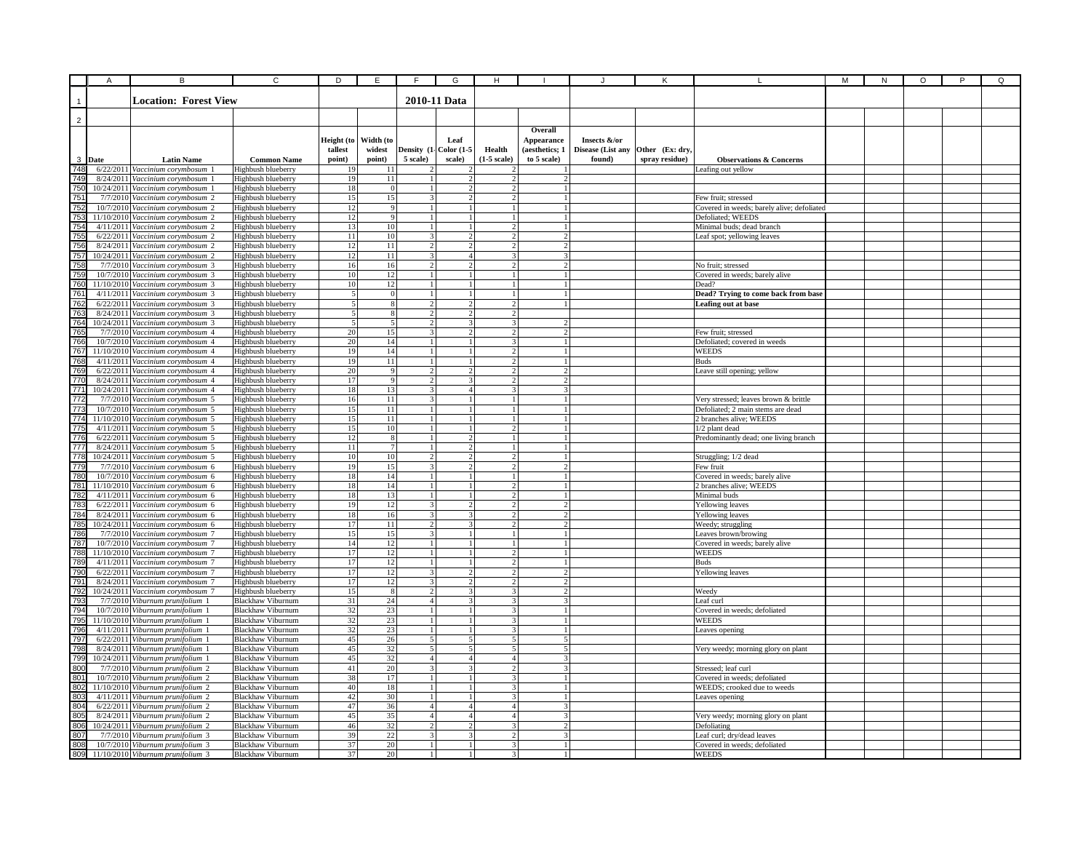|                | Α      | B                                                                     | C                                                    | D                     | Ε                             | F                                        | G                               | н                               |                                |                   |                 |                                                            | М | N | O | P | Q |
|----------------|--------|-----------------------------------------------------------------------|------------------------------------------------------|-----------------------|-------------------------------|------------------------------------------|---------------------------------|---------------------------------|--------------------------------|-------------------|-----------------|------------------------------------------------------------|---|---|---|---|---|
|                |        |                                                                       |                                                      |                       |                               |                                          |                                 |                                 |                                |                   |                 |                                                            |   |   |   |   |   |
|                |        | <b>Location: Forest View</b>                                          |                                                      |                       |                               |                                          | 2010-11 Data                    |                                 |                                |                   |                 |                                                            |   |   |   |   |   |
|                |        |                                                                       |                                                      |                       |                               |                                          |                                 |                                 |                                |                   |                 |                                                            |   |   |   |   |   |
| $\overline{2}$ |        |                                                                       |                                                      |                       |                               |                                          |                                 |                                 |                                |                   |                 |                                                            |   |   |   |   |   |
|                |        |                                                                       |                                                      |                       |                               |                                          |                                 |                                 | Overall                        |                   |                 |                                                            |   |   |   |   |   |
|                |        |                                                                       |                                                      | Height (to            | Width (to                     |                                          | Leaf                            |                                 | Appearance                     | Insects &/or      |                 |                                                            |   |   |   |   |   |
|                |        |                                                                       |                                                      | tallest               | widest                        |                                          | Density (1- Color (1-5          | Health                          | (aesthetics; 1                 | Disease (List any | Other (Ex: dry, |                                                            |   |   |   |   |   |
|                | 3 Date | <b>Latin Name</b>                                                     | <b>Common Name</b>                                   | point)                | point)                        | 5 scale)                                 | scale)                          | $(1-5)$ scale)                  | to 5 scale)                    | found)            | spray residue)  | <b>Observations &amp; Concerns</b>                         |   |   |   |   |   |
| 748            |        | 6/22/2011 Vaccinium corymbosum 1                                      | Highbush blueberry                                   | 19                    | 11                            |                                          |                                 |                                 |                                |                   |                 | Leafing out yellow                                         |   |   |   |   |   |
| 749<br>750     |        | 8/24/2011 Vaccinium corvmbosum 1<br>10/24/2011 Vaccinium corymbosum 1 | Highbush blueberry                                   | 19<br>18              | 11<br>$\Omega$                |                                          |                                 | $\overline{2}$<br>$\mathcal{P}$ | $\overline{2}$                 |                   |                 |                                                            |   |   |   |   |   |
| 751            |        | 7/7/2010 Vaccinium corymbosum 2                                       | Highbush blueberry<br>Highbush blueberry             | 15                    | 15                            | 3                                        |                                 | $\overline{2}$                  | $\mathbf{1}$                   |                   |                 | Few fruit; stressed                                        |   |   |   |   |   |
| 752            |        | 10/7/2010 Vaccinium corymbosum 2                                      | Highbush blueberry                                   | 12                    | 9                             | 1                                        |                                 | $\frac{1}{2}$                   | $\mathbf{1}$                   |                   |                 | Covered in weeds; barely alive; defoliated                 |   |   |   |   |   |
| 753            |        | 11/10/2010 Vaccinium corymbosum 2                                     | Highbush blueberry                                   | 12                    | 9                             | $\overline{1}$                           |                                 | 11                              | $\frac{1}{2}$                  |                   |                 | Defoliated; WEEDS                                          |   |   |   |   |   |
| 754            |        | 4/11/2011 Vaccinium corymbosum 2                                      | Highbush blueberry                                   | 13                    | 10                            | $\mathbf{1}$                             |                                 | $\overline{2}$                  | $\mathbf{1}$                   |                   |                 | Minimal buds; dead branch                                  |   |   |   |   |   |
| 755            |        | 6/22/2011 Vaccinium corymbosum 2                                      | Highbush blueberry                                   | 11                    | 10                            | $\mathbf{3}$                             | $\mathcal{L}$                   | $\mathcal{L}$                   | $\mathcal{L}$                  |                   |                 | Leaf spot; yellowing leaves                                |   |   |   |   |   |
| 756            |        | 8/24/2011 Vaccinium corymbosum 2                                      | Highbush blueberry                                   | 12                    | 11                            | $\overline{2}$                           | $\mathcal{D}$                   | $\overline{2}$                  | $\overline{2}$                 |                   |                 |                                                            |   |   |   |   |   |
| 757            |        | 10/24/2011 Vaccinium corymbosum 2                                     | Highbush blueberry                                   | 12                    | 11                            | $\overline{\mathbf{3}}$                  | $\Delta$                        | $\overline{3}$                  | $\overline{3}$                 |                   |                 |                                                            |   |   |   |   |   |
| 758            |        | 7/7/2010 Vaccinium corymbosum 3                                       | Highbush blueberry                                   | 16                    | 16                            |                                          |                                 | $\mathcal{P}$                   |                                |                   |                 | No fruit; stressed                                         |   |   |   |   |   |
| 759            |        | 10/7/2010 Vaccinium corymbosum 3                                      | Highbush blueberry                                   | 10 <sup>1</sup>       | 12                            |                                          |                                 |                                 |                                |                   |                 | Covered in weeds; barely alive                             |   |   |   |   |   |
| 760            |        | 11/10/2010 Vaccinium corymbosum 3                                     | Highbush blueberry                                   | 10                    | 12                            |                                          |                                 | 1                               |                                |                   |                 | Dead?                                                      |   |   |   |   |   |
| 761            |        | 4/11/2011 Vaccinium corymbosum 3                                      | Highbush blueberry                                   | 5                     | $^{\circ}$                    |                                          |                                 | 1.                              |                                |                   |                 | Dead? Trying to come back from base                        |   |   |   |   |   |
| 762            |        | 6/22/2011 Vaccinium corymbosum 3                                      | Highbush blueberry                                   | 5                     | 8                             | $\overline{2}$                           | $\mathcal{P}$                   | $\overline{2}$                  |                                |                   |                 | Leafing out at base                                        |   |   |   |   |   |
| 763<br>764     |        | 8/24/2011 Vaccinium corymbosum 3<br>10/24/2011 Vaccinium corymbosum 3 | Highbush blueberry<br>Highbush blueberry             | 5                     | 8<br>$\overline{\phantom{0}}$ | $\overline{2}$<br>$\overline{2}$         | $\overline{2}$<br>3             | $\overline{2}$<br>31            |                                |                   |                 |                                                            |   |   |   |   |   |
| 765            |        | 7/7/2010 Vaccinium corymbosum 4                                       | Highbush blueberry                                   | 20                    | 15                            | $\mathcal{E}$                            | $\overline{2}$                  | $\overline{2}$                  | $\mathfrak{D}$                 |                   |                 | Few fruit; stressed                                        |   |   |   |   |   |
| 766            |        | 10/7/2010 Vaccinium corymbosum 4                                      | Highbush blueberry                                   | 20                    | 14                            | $\mathbf{1}$                             |                                 | 3                               |                                |                   |                 | Defoliated; covered in weeds                               |   |   |   |   |   |
| 767            |        | 11/10/2010 Vaccinium corymbosum 4                                     | Highbush blueberry                                   | 19                    | 14                            | $\mathbf{I}$                             |                                 | $\mathcal{L}$                   |                                |                   |                 | <b>WEEDS</b>                                               |   |   |   |   |   |
| 768            |        | 4/11/2011 Vaccinium corymbosum 4                                      | Highbush blueberry                                   | 19                    | 11                            | $\mathbf{1}$                             |                                 | $\overline{2}$                  | $\mathbf{1}$                   |                   |                 | <b>Buds</b>                                                |   |   |   |   |   |
| 769            |        | 6/22/2011 Vaccinium corymbosum 4                                      | Highbush blueberry                                   | 20                    | $\mathbf Q$                   |                                          |                                 | <sup>2</sup>                    | $\mathcal{D}$                  |                   |                 | Leave still opening; yellow                                |   |   |   |   |   |
| 770            |        | 8/24/2011 Vaccinium corymbosum 4                                      | Highbush blueberry                                   | 17                    | $\mathbf{q}$                  |                                          |                                 | 2                               | $\overline{c}$                 |                   |                 |                                                            |   |   |   |   |   |
| 771            |        | 10/24/2011 Vaccinium corymbosum 4                                     | Highbush blueberry                                   | 18                    | 13                            | 3                                        | $\overline{4}$                  | 3                               | 3                              |                   |                 |                                                            |   |   |   |   |   |
| 772            |        | 7/7/2010 Vaccinium corymbosum 5                                       | Highbush blueberry                                   | 16                    | 11                            | 3                                        |                                 | $\mathbf{1}$                    | 11                             |                   |                 | Very stressed; leaves brown & brittle                      |   |   |   |   |   |
| 773            |        | 10/7/2010 Vaccinium corymbosum 5                                      | Highbush blueberry                                   | 15                    | $11\,$                        | 1                                        |                                 | $\frac{1}{2}$                   | 1                              |                   |                 | Defoliated; 2 main stems are dead                          |   |   |   |   |   |
| 774            |        | 11/10/2010 Vaccinium corymbosum 5                                     | Highbush blueberry                                   | 15                    | 11                            | $\overline{1}$                           | 1                               | 11                              | -1 <b>1</b>                    |                   |                 | 2 branches alive; WEEDS                                    |   |   |   |   |   |
| 775            |        | 4/11/2011 Vaccinium corymbosum 5                                      | Highbush blueberry                                   | 15                    | 10                            | $\mathbf{1}$                             |                                 | $\overline{2}$                  | $\mathbf{1}$                   |                   |                 | 1/2 plant dead                                             |   |   |   |   |   |
| 776            |        | 6/22/2011 Vaccinium corvmbosum 5                                      | Highbush blueberry                                   | 12                    | 8                             | $\mathbf{1}$                             | $\mathcal{D}$                   | $\mathbf{1}$                    | $\mathbf{1}$                   |                   |                 | Predominantly dead; one living branch                      |   |   |   |   |   |
| 777<br>778     |        | 8/24/2011 Vaccinium corymbosum 5                                      | Highbush blueberry                                   | 11                    | $\overline{7}$                | $\mathbf{1}$<br>$\overline{2}$           | $\mathcal{D}$<br>$\mathcal{D}$  | $\mathbf{1}$<br>$2\sqrt{ }$     | $\mathbf{1}$                   |                   |                 |                                                            |   |   |   |   |   |
| 779            |        | 10/24/2011 Vaccinium corymbosum 5                                     | Highbush blueberry                                   | 10 <sup>1</sup><br>19 | 10<br>15                      | $\overline{3}$                           |                                 | $\overline{2}$                  | $\frac{1}{2}$<br>$\mathcal{D}$ |                   |                 | Struggling; 1/2 dead                                       |   |   |   |   |   |
| <b>780</b>     |        | 7/7/2010 Vaccinium corymbosum 6<br>10/7/2010 Vaccinium corymbosum 6   | Highbush blueberry<br>Highbush blueberry             | 18                    | 14                            |                                          |                                 | $\mathbf{1}$                    |                                |                   |                 | Few fruit<br>Covered in weeds; barely alive                |   |   |   |   |   |
| 78             |        | 11/10/2010 Vaccinium corymbosum 6                                     | Highbush blueberry                                   | 18                    | 14                            |                                          |                                 | $\overline{2}$                  |                                |                   |                 | 2 branches alive; WEEDS                                    |   |   |   |   |   |
| 78             |        | 4/11/2011 Vaccinium corymbosum 6                                      | Highbush blueberry                                   | 18                    | 13                            |                                          |                                 | $\overline{2}$                  |                                |                   |                 | Minimal buds                                               |   |   |   |   |   |
| 783            |        | 6/22/2011 Vaccinium corymbosum 6                                      | Highbush blueberry                                   | 19                    | 12                            | 3                                        |                                 |                                 | 2                              |                   |                 | Yellowing leaves                                           |   |   |   |   |   |
| 784            |        | 8/24/2011 Vaccinium corymbosum 6                                      | Highbush blueberry                                   | 18                    | 16                            | 3                                        | з                               | 2                               | 2                              |                   |                 | Yellowing leaves                                           |   |   |   |   |   |
| 785            |        | 10/24/2011 Vaccinium corymbosum 6                                     | Highbush blueberry                                   | 17                    | 11                            | $\overline{2}$                           | 3                               | $\overline{2}$                  | $\overline{2}$                 |                   |                 | Weedy; struggling                                          |   |   |   |   |   |
| 786            |        | 7/7/2010 Vaccinium corymbosum 7                                       | Highbush blueberry                                   | 15                    | 15                            | 3                                        |                                 | 11                              | $\frac{1}{2}$                  |                   |                 | Leaves brown/browing                                       |   |   |   |   |   |
| 78             |        | 10/7/2010 Vaccinium corvmbosum 7                                      | Highbush blueberry                                   | 14                    | 12                            |                                          |                                 | $\mathbf{1}$                    |                                |                   |                 | Covered in weeds; barely alive                             |   |   |   |   |   |
| 78             |        | 11/10/2010 Vaccinium corymbosum 7                                     | Highbush blueberry                                   | 17                    | 12                            | $\mathbf{1}$                             |                                 | $\overline{2}$                  |                                |                   |                 | <b>WEEDS</b>                                               |   |   |   |   |   |
| 78             |        | 4/11/2011 Vaccinium corymbosum 7                                      | Highbush blueberry                                   | 17                    | 12                            |                                          |                                 | $\mathfrak{p}$                  |                                |                   |                 | <b>Buds</b>                                                |   |   |   |   |   |
| 790            |        | 6/22/2011 Vaccinium corymbosum 7                                      | Highbush blueberry                                   | 17                    | 12<br>12                      | 3                                        |                                 | $\mathcal{D}$<br><sup>2</sup>   | $\mathcal{L}$<br><sup>2</sup>  |                   |                 | Yellowing leaves                                           |   |   |   |   |   |
| 791<br>792     |        | 8/24/2011 Vaccinium corymbosum 7<br>10/24/2011 Vaccinium corymbosum 7 | Highbush blueberry                                   | 17<br>15              |                               | 3<br>C                                   |                                 |                                 | $\mathcal{L}$                  |                   |                 |                                                            |   |   |   |   |   |
| 793            |        | 7/7/2010 Viburnum prunifolium 1                                       | Highbush blueberry<br><b>Blackhaw Viburnum</b>       | 31                    | 24                            | $\overline{4}$                           |                                 |                                 | 3                              |                   |                 | Weedy<br>Leaf curl                                         |   |   |   |   |   |
| 794            |        | 10/7/2010 Viburnum prunifolium 1                                      | <b>Blackhaw Viburnum</b>                             | 32                    | 23                            |                                          |                                 |                                 |                                |                   |                 | Covered in weeds; defoliated                               |   |   |   |   |   |
| 795            |        | 11/10/2010 Viburnum prunifolium 1                                     | <b>Blackhaw Viburnum</b>                             | 32                    | 23                            | -1                                       |                                 | 3                               | 1                              |                   |                 | <b>WEEDS</b>                                               |   |   |   |   |   |
| 796            |        | 4/11/2011 Viburnum prunifolium 1                                      | <b>Blackhaw Viburnum</b>                             | 32                    | 23                            | $\overline{1}$                           |                                 | 3 <sup>1</sup>                  | -1 <b>1</b>                    |                   |                 | Leaves opening                                             |   |   |   |   |   |
| 797            |        | $6/22/2011$ Viburnum prunifolium                                      | <b>Blackhaw Viburnum</b>                             | 45                    | 26                            | 5                                        | 5                               | 5 <sup>1</sup>                  | 5 <sup>1</sup>                 |                   |                 |                                                            |   |   |   |   |   |
| 798            |        | 8/24/2011 Viburnum prunifolium                                        | <b>Blackhaw Viburnum</b>                             | 45                    | 32                            | $\varsigma$                              |                                 | $\mathbf{I}$                    | $\overline{5}$                 |                   |                 | Very weedy; morning glory on plant                         |   |   |   |   |   |
| 79             |        | 10/24/2011 Viburnum prunifolium                                       | <b>Blackhaw Viburnum</b>                             | 45                    | 32                            | $\overline{4}$                           | $\overline{A}$                  | 4 <sup>1</sup>                  | ٩l                             |                   |                 |                                                            |   |   |   |   |   |
| 800            |        | 7/7/2010 Viburnum prunifolium 2                                       | <b>Blackhaw Viburnum</b>                             | 41                    | 20                            | $\overline{\mathbf{3}}$                  | $\mathbf{3}$                    | $\overline{2}$                  | $\overline{3}$                 |                   |                 | Stressed; leaf curl                                        |   |   |   |   |   |
| 801            |        | 10/7/2010 Viburnum prunifolium 2                                      | <b>Blackhaw Viburnum</b>                             | 38                    | 17                            | $\mathbf{1}$                             |                                 | $\overline{3}$                  | $\frac{1}{2}$                  |                   |                 | Covered in weeds; defoliated                               |   |   |   |   |   |
| 802            |        | 11/10/2010 Viburnum prunifolium 2                                     | <b>Blackhaw Viburnum</b>                             | 40                    | 18                            |                                          |                                 | 3                               | $\mathbf{1}$                   |                   |                 | WEEDS; crooked due to weeds                                |   |   |   |   |   |
| 803            |        | 4/11/2011 Viburnum prunifolium 2                                      | <b>Blackhaw Viburnum</b>                             | 42                    | 30                            | $\mathbf{1}$                             |                                 |                                 | $\mathbf{1}$                   |                   |                 | Leaves opening                                             |   |   |   |   |   |
| 804            |        | 6/22/2011 Viburnum prunifolium 2                                      | Blackhaw Viburnum                                    | 47                    | 36                            | $\overline{\mathbf{4}}$                  | $\overline{A}$                  |                                 | 3                              |                   |                 |                                                            |   |   |   |   |   |
| 805            |        | 8/24/2011 Viburnum prunifolium 2                                      | <b>Blackhaw Viburnum</b>                             | 45                    | 35<br>32                      | $\overline{\mathbf{4}}$<br>$\mathcal{D}$ | $\overline{a}$<br>$\mathcal{D}$ | 4                               | $\gamma$                       |                   |                 | Very weedy; morning glory on plant                         |   |   |   |   |   |
| 806<br>807     |        | 10/24/2011 Viburnum prunifolium 2                                     | <b>Blackhaw Viburnum</b><br><b>Blackhaw Viburnum</b> | 46<br>39              | 22                            | 3                                        | 3                               | 3<br>2 <sub>1</sub>             | 3                              |                   |                 | Defoliating                                                |   |   |   |   |   |
|                |        | 7/7/2010 Viburnum prunifolium 3<br>10/7/2010 Viburnum prunifolium 3   | <b>Blackhaw Viburnum</b>                             | 37                    | 20                            |                                          |                                 | 31                              |                                |                   |                 | Leaf curl; dry/dead leaves<br>Covered in weeds; defoliated |   |   |   |   |   |
| 808<br>809     |        | 11/10/2010 Viburnum prunifolium 3                                     | <b>Blackhaw Viburnum</b>                             | 37                    | 20                            |                                          |                                 | 31                              |                                |                   |                 | <b>WEEDS</b>                                               |   |   |   |   |   |
|                |        |                                                                       |                                                      |                       |                               |                                          |                                 |                                 |                                |                   |                 |                                                            |   |   |   |   |   |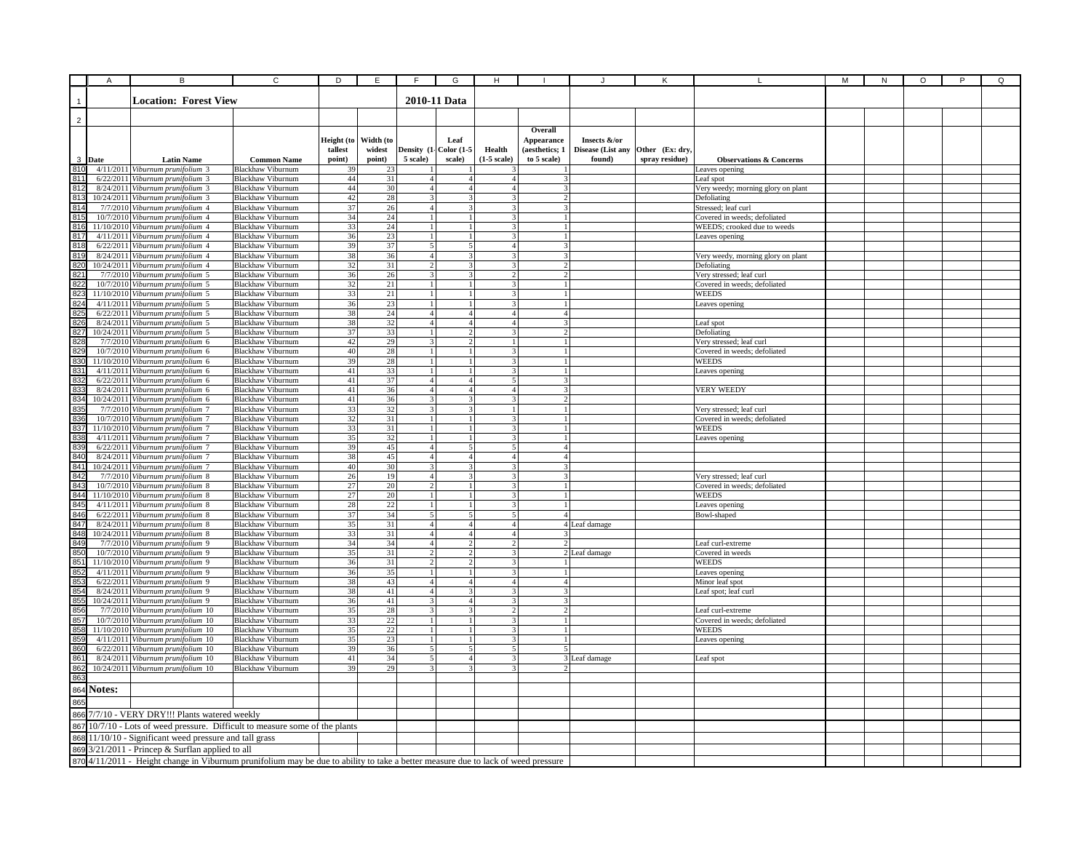|                                                                                                                                                                                                                                      | A                 | B                                                                       | $\overline{c}$                                       | D                                     | E                                   | F                                | G                                        | H                                         |                                                        |                                             |                                   |                                                          | М | ${\sf N}$ | O | P | Q |
|--------------------------------------------------------------------------------------------------------------------------------------------------------------------------------------------------------------------------------------|-------------------|-------------------------------------------------------------------------|------------------------------------------------------|---------------------------------------|-------------------------------------|----------------------------------|------------------------------------------|-------------------------------------------|--------------------------------------------------------|---------------------------------------------|-----------------------------------|----------------------------------------------------------|---|-----------|---|---|---|
|                                                                                                                                                                                                                                      |                   | <b>Location: Forest View</b>                                            |                                                      |                                       |                                     |                                  | 2010-11 Data                             |                                           |                                                        |                                             |                                   |                                                          |   |           |   |   |   |
| $\overline{2}$                                                                                                                                                                                                                       |                   |                                                                         |                                                      |                                       |                                     |                                  |                                          |                                           |                                                        |                                             |                                   |                                                          |   |           |   |   |   |
| 810                                                                                                                                                                                                                                  | 3 Date            | <b>Latin Name</b><br>4/11/2011 Viburnum prunifolium 3                   | <b>Common Name</b><br><b>Blackhaw Viburnum</b>       | Height (to<br>tallest<br>point)<br>39 | Width (to<br>widest<br>point)<br>23 | 5 scale)                         | Leaf<br>Density (1- Color (1-5<br>scale) | Health<br>$(1-5 \text{ scale})$           | Overall<br>Appearance<br>(aesthetics; 1<br>to 5 scale) | Insects &/or<br>Disease (List any<br>found) | Other (Ex: dry.<br>spray residue) | <b>Observations &amp; Concerns</b>                       |   |           |   |   |   |
| 811                                                                                                                                                                                                                                  |                   | 6/22/2011 Viburnum prunifolium 3                                        | <b>Blackhaw Viburnum</b>                             | 44                                    | 31                                  | $\mathbf{A}$                     | $\overline{4}$                           | $\overline{4}$                            |                                                        |                                             |                                   | eaves opening<br>Leaf spot                               |   |           |   |   |   |
| $\frac{812}{813}$                                                                                                                                                                                                                    |                   | 8/24/2011 Viburnum prunifolium 3                                        | <b>Blackhaw Viburnum</b>                             | $44\,$                                | 30                                  |                                  | $\overline{A}$                           | 4                                         |                                                        |                                             |                                   | Very weedy; morning glory on plant                       |   |           |   |   |   |
|                                                                                                                                                                                                                                      |                   | 10/24/2011 Viburnum prunifolium 3                                       | <b>Blackhaw Viburnum</b>                             | 42                                    | 28                                  |                                  |                                          |                                           | $\mathcal{L}$                                          |                                             |                                   | Defoliating                                              |   |           |   |   |   |
|                                                                                                                                                                                                                                      |                   | 7/7/2010 Viburnum prunifolium 4<br>10/7/2010 Viburnum prunifolium 4     | <b>Blackhaw Viburnum</b><br><b>Blackhaw Viburnum</b> | $37\,$<br>34                          | $26\,$<br>24                        | $\overline{\mathbf{4}}$          |                                          |                                           | 3                                                      |                                             |                                   | Stressed; leaf curl<br>Covered in weeds; defoliated      |   |           |   |   |   |
|                                                                                                                                                                                                                                      |                   | 11/10/2010 Viburnum prunifolium 4                                       | <b>Blackhaw Viburnum</b>                             | 33                                    | 24                                  | 1                                |                                          |                                           |                                                        |                                             |                                   | WEEDS; crooked due to weeds                              |   |           |   |   |   |
|                                                                                                                                                                                                                                      |                   | 4/11/2011 Viburnum prunifolium 4                                        | <b>Blackhaw Viburnum</b>                             | 36                                    | 23                                  | $1\vert$                         |                                          | 3                                         | $\mathbf{1}$                                           |                                             |                                   | Leaves opening                                           |   |           |   |   |   |
|                                                                                                                                                                                                                                      |                   | 6/22/2011 Viburnum prunifolium 4                                        | Blackhaw Viburnum                                    | 39                                    | 37                                  | 5 <sub>5</sub>                   | 5                                        | 4                                         | 3                                                      |                                             |                                   |                                                          |   |           |   |   |   |
|                                                                                                                                                                                                                                      |                   | 8/24/2011 Viburnum prunifolium 4<br>10/24/2011 Viburnum prunifolium 4   | <b>Blackhaw Viburnum</b><br><b>Blackhaw Viburnum</b> | 38<br>32                              | 36<br>31                            | $\overline{4}$<br>$\mathcal{D}$  | 3<br>$\mathbf{3}$                        | 31<br>$\mathbf{3}$                        | 3<br>$\mathcal{D}$                                     |                                             |                                   | Very weedy, morning glory on plant<br>Defoliating        |   |           |   |   |   |
|                                                                                                                                                                                                                                      |                   | 7/7/2010 Viburnum prunifolium 5                                         | <b>Blackhaw Viburnum</b>                             | 36                                    | 26                                  | 3                                | $\mathbf{3}$                             | $\overline{2}$                            | 2 <sup>1</sup>                                         |                                             |                                   | Very stressed; leaf curl                                 |   |           |   |   |   |
|                                                                                                                                                                                                                                      |                   | 10/7/2010 Viburnum prunifolium 5                                        | <b>Blackhaw Viburnum</b>                             | 32                                    | $21\,$                              | $\mathbf{1}$                     |                                          | $\overline{\mathbf{3}}$                   | $\mathbf{1}$                                           |                                             |                                   | Covered in weeds; defoliated                             |   |           |   |   |   |
|                                                                                                                                                                                                                                      |                   | 11/10/2010 Viburnum prunifolium 5                                       | <b>Blackhaw</b> Viburnum                             | 33                                    | 21                                  | $\overline{1}$                   |                                          | $\overline{\mathcal{L}}$                  | $\mathbf{1}$                                           |                                             |                                   | WEEDS                                                    |   |           |   |   |   |
|                                                                                                                                                                                                                                      |                   | 4/11/2011 Viburnum prunifolium 5                                        | Blackhaw Viburnum                                    | 36<br>38                              | 23<br>24                            | $\overline{1}$<br>$\overline{4}$ | $\boldsymbol{\Delta}$                    | $\mathbf{3}$<br>4 <sup>1</sup>            | 1 <sup>1</sup><br>$\overline{4}$                       |                                             |                                   | Leaves opening                                           |   |           |   |   |   |
|                                                                                                                                                                                                                                      |                   | 6/22/2011 Viburnum prunifolium 5<br>8/24/2011 Viburnum prunifolium 5    | Blackhaw Viburnum<br><b>Blackhaw Viburnum</b>        | 38                                    | 32                                  | $\overline{A}$                   | $\overline{a}$                           | $\overline{a}$                            |                                                        |                                             |                                   | Leaf spot                                                |   |           |   |   |   |
|                                                                                                                                                                                                                                      |                   | 10/24/2011 Viburnum prunifolium 5                                       | <b>Blackhaw Viburnum</b>                             | 37                                    | 33                                  | $\mathbf{1}$                     |                                          | 3                                         |                                                        |                                             |                                   | Defoliating                                              |   |           |   |   |   |
|                                                                                                                                                                                                                                      |                   | 7/7/2010 Viburnum prunifolium 6                                         | <b>Blackhaw Viburnum</b>                             | 42                                    | 29                                  |                                  |                                          |                                           |                                                        |                                             |                                   | Very stressed; leaf curl                                 |   |           |   |   |   |
|                                                                                                                                                                                                                                      |                   | 10/7/2010 Viburnum prunifolium 6                                        | <b>Blackhaw Viburnum</b>                             | 40                                    | $28\,$                              |                                  |                                          |                                           |                                                        |                                             |                                   | Covered in weeds; defoliated                             |   |           |   |   |   |
|                                                                                                                                                                                                                                      |                   | 11/10/2010 Viburnum prunifolium 6<br>4/11/2011 Viburnum prunifolium 6   | <b>Blackhaw Viburnum</b><br><b>Blackhaw Viburnum</b> | 39<br>41                              | 28<br>33                            | $\mathbf{1}$                     |                                          |                                           |                                                        |                                             |                                   | WEEDS<br>Leaves opening                                  |   |           |   |   |   |
|                                                                                                                                                                                                                                      |                   | 6/22/2011 Viburnum prunifolium 6                                        | <b>Blackhaw Viburnum</b>                             | 41                                    | 37                                  | $\overline{4}$                   | $\overline{4}$                           | $\mathbf{5}$                              | 3                                                      |                                             |                                   |                                                          |   |           |   |   |   |
|                                                                                                                                                                                                                                      |                   | 8/24/2011 Viburnum prunifolium 6                                        | <b>Blackhaw Viburnum</b>                             | 41                                    | 36                                  | $\overline{4}$                   | 4 <sup>1</sup>                           | 4 <sup>1</sup>                            | 3                                                      |                                             |                                   | <b>VERY WEEDY</b>                                        |   |           |   |   |   |
|                                                                                                                                                                                                                                      |                   | 10/24/2011 Viburnum prunifolium 6                                       | <b>Blackhaw Viburnum</b>                             | 41                                    | 36                                  | 3                                | $\mathbf{R}$                             | 3 <sup>1</sup>                            |                                                        |                                             |                                   |                                                          |   |           |   |   |   |
|                                                                                                                                                                                                                                      |                   | 7/7/2010 Viburnum prunifolium 7<br>10/7/2010 Viburnum prunifolium 7     | <b>Blackhaw Viburnum</b><br><b>Blackhaw Viburnum</b> | 33<br>32                              | 32<br>31                            | 3 <br>1 <sup>1</sup>             | $\mathbf{3}$                             | $\frac{1}{2}$<br>3 <sup>1</sup>           | $\frac{1}{2}$<br>$\mathbf{1}$                          |                                             |                                   | Very stressed; leaf curl<br>Covered in weeds; defoliated |   |           |   |   |   |
|                                                                                                                                                                                                                                      |                   | 11/10/2010 Viburnum prunifolium 7                                       | <b>Blackhaw Viburnum</b>                             | 33                                    | 31                                  | $\mathbf{1}$                     | $\mathbf{1}$                             | 3                                         |                                                        |                                             |                                   | <b>WEEDS</b>                                             |   |           |   |   |   |
|                                                                                                                                                                                                                                      |                   | 4/11/2011 Viburnum prunifolium 7                                        | <b>Blackhaw Viburnum</b>                             | 35                                    | 32                                  | $\mathbf{1}$                     |                                          | $\overline{\mathbf{3}}$                   |                                                        |                                             |                                   | Leaves opening                                           |   |           |   |   |   |
|                                                                                                                                                                                                                                      |                   | 6/22/2011 Viburnum prunifolium 7                                        | <b>Blackhaw Viburnum</b>                             | 39                                    | 45                                  | $\overline{4}$                   | $\overline{\phantom{a}}$                 | $\overline{5}$                            | 4 <sup>1</sup>                                         |                                             |                                   |                                                          |   |           |   |   |   |
|                                                                                                                                                                                                                                      |                   | 8/24/2011 Viburnum prunifolium 7                                        | Blackhaw Viburnum                                    | 38                                    | 45<br>30                            | $\overline{4}$                   | $\overline{4}$                           | 4 <sup>1</sup>                            | 4                                                      |                                             |                                   |                                                          |   |           |   |   |   |
|                                                                                                                                                                                                                                      |                   | 10/24/2011 Viburnum prunifolium 7<br>7/7/2010 Viburnum prunifolium 8    | <b>Blackhaw Viburnum</b><br><b>Blackhaw Viburnum</b> | 40<br>26                              | 19                                  | $\overline{4}$                   |                                          | 3                                         | 3                                                      |                                             |                                   | Very stressed; leaf curl                                 |   |           |   |   |   |
|                                                                                                                                                                                                                                      |                   | 10/7/2010 Viburnum prunifolium 8                                        | <b>Blackhaw Viburnum</b>                             | $27\,$                                | 20                                  |                                  |                                          |                                           |                                                        |                                             |                                   | Covered in weeds; defoliated                             |   |           |   |   |   |
|                                                                                                                                                                                                                                      |                   | 11/10/2010 Viburnum prunifolium 8                                       | <b>Blackhaw Viburnum</b>                             | $27\,$                                | 20                                  | 1                                |                                          | 3                                         | $\mathbf{1}$                                           |                                             |                                   | <b>WEEDS</b>                                             |   |           |   |   |   |
|                                                                                                                                                                                                                                      |                   | 4/11/2011 Viburnum prunifolium 8                                        | Blackhaw Viburnum                                    | $28\,$                                | $22\,$                              | $\mathbf{1}$                     |                                          | 3                                         |                                                        |                                             |                                   | Leaves opening                                           |   |           |   |   |   |
|                                                                                                                                                                                                                                      |                   | 6/22/2011 Viburnum prunifolium 8<br>8/24/2011 Viburnum prunifolium 8    | Blackhaw Viburnum<br><b>Blackhaw Viburnum</b>        | 37<br>35                              | 34<br>31                            | $\mathcal{F}$<br>4               | 5<br>4 <sup>1</sup>                      | 5<br>4 <sup>1</sup>                       | 4                                                      |                                             |                                   | Bowl-shaped                                              |   |           |   |   |   |
|                                                                                                                                                                                                                                      |                   | 10/24/2011 Viburnum prunifolium 8                                       | <b>Blackhaw Viburnum</b>                             | 33                                    | 31                                  | $\overline{4}$                   | $\overline{4}$                           | 4                                         | $\overline{\mathbf{3}}$                                | 4 Leaf damage                               |                                   |                                                          |   |           |   |   |   |
|                                                                                                                                                                                                                                      |                   | 7/7/2010 Viburnum prunifolium 9                                         | <b>Blackhaw Viburnum</b>                             | 34                                    | 34                                  | 4 <sup>1</sup>                   | $\overline{2}$                           | $\overline{2}$                            | 2                                                      |                                             |                                   | Leaf curl-extreme                                        |   |           |   |   |   |
|                                                                                                                                                                                                                                      |                   | 10/7/2010 Viburnum prunifolium 9                                        | <b>Blackhaw Viburnum</b>                             | 35                                    | 31                                  | $\overline{2}$                   | 2                                        | 3 <sup>1</sup>                            |                                                        | 2 Leaf damage                               |                                   | Covered in weeds                                         |   |           |   |   |   |
| 씦쁺늡찊틦덣뉞벓얣챓씷삟쭯첧졣첧펋씷꼟컒쎪쎪쎪ė<br>ਜ਼∺ਜ਼ਸ਼ਜ਼ਸ਼                                                                                                                                                                                              |                   | 11/10/2010 Viburnum prunifolium 9<br>4/11/2011 Viburnum prunifolium 9   | <b>Blackhaw Viburnum</b><br>Blackhaw Viburnum        | 36<br>36                              | 31<br>35                            | $\overline{2}$<br>$\bar{1}$      | $\mathcal{D}$                            | $\overline{3}$<br>$\overline{\mathbf{3}}$ |                                                        |                                             |                                   | <b>WEEDS</b>                                             |   |           |   |   |   |
|                                                                                                                                                                                                                                      |                   | 6/22/2011 Viburnum prunifolium 9                                        | Blackhaw Viburnum                                    | 38                                    | 43                                  | $\overline{4}$                   | $\Delta$                                 | 4 <sup>1</sup>                            | 4 <sup>1</sup>                                         |                                             |                                   | eaves opening<br>Minor leaf spot                         |   |           |   |   |   |
|                                                                                                                                                                                                                                      |                   | 8/24/2011 Viburnum prunifolium 9                                        | <b>Blackhaw Viburnum</b>                             | 38                                    | 41                                  | $\overline{4}$                   | $\mathbf{3}$                             | 3                                         | $\mathbf{3}$                                           |                                             |                                   | Leaf spot; leaf curl                                     |   |           |   |   |   |
|                                                                                                                                                                                                                                      |                   | 10/24/2011 Viburnum prunifolium 9                                       | <b>Blackhaw Viburnum</b>                             | 36                                    | 41                                  | 3                                | $\overline{4}$                           | 3                                         | 3                                                      |                                             |                                   |                                                          |   |           |   |   |   |
|                                                                                                                                                                                                                                      |                   | 7/7/2010 Viburnum prunifolium 10                                        | <b>Blackhaw Viburnum</b><br><b>Blackhaw Viburnum</b> | 35<br>33                              | 28<br>22                            |                                  |                                          |                                           |                                                        |                                             |                                   | Leaf curl-extreme                                        |   |           |   |   |   |
|                                                                                                                                                                                                                                      |                   | 10/7/2010 Viburnum prunifolium 10<br>11/10/2010 Viburnum prunifolium 10 | <b>Blackhaw Viburnum</b>                             | 35                                    | 22                                  | $\mathbf{1}$                     |                                          |                                           |                                                        |                                             |                                   | Covered in weeds; defoliated<br>WEEDS                    |   |           |   |   |   |
|                                                                                                                                                                                                                                      |                   | 4/11/2011 Viburnum prunifolium 10                                       | <b>Blackhaw Viburnum</b>                             | 35                                    | 23                                  | 1                                |                                          |                                           |                                                        |                                             |                                   | Leaves opening                                           |   |           |   |   |   |
|                                                                                                                                                                                                                                      |                   | 6/22/2011 Viburnum prunifolium 10                                       | <b>Blackhaw Viburnum</b>                             | 39                                    | 36                                  | 5                                | 5                                        |                                           |                                                        |                                             |                                   |                                                          |   |           |   |   |   |
|                                                                                                                                                                                                                                      |                   | 8/24/2011 Viburnum prunifolium 10                                       | <b>Blackhaw Viburnum</b>                             | 41                                    | 34                                  | 5                                | $\overline{4}$                           |                                           |                                                        | 3 Leaf damage                               |                                   | Leaf spot                                                |   |           |   |   |   |
|                                                                                                                                                                                                                                      |                   | 10/24/2011 Viburnum prunifolium 10                                      | <b>Blackhaw Viburnum</b>                             | 39                                    | 29                                  | 3                                | 3                                        | 3                                         | $\mathcal{D}$                                          |                                             |                                   |                                                          |   |           |   |   |   |
|                                                                                                                                                                                                                                      | <b>864 Notes:</b> |                                                                         |                                                      |                                       |                                     |                                  |                                          |                                           |                                                        |                                             |                                   |                                                          |   |           |   |   |   |
|                                                                                                                                                                                                                                      |                   |                                                                         |                                                      |                                       |                                     |                                  |                                          |                                           |                                                        |                                             |                                   |                                                          |   |           |   |   |   |
|                                                                                                                                                                                                                                      |                   |                                                                         |                                                      |                                       |                                     |                                  |                                          |                                           |                                                        |                                             |                                   |                                                          |   |           |   |   |   |
|                                                                                                                                                                                                                                      |                   |                                                                         |                                                      |                                       |                                     |                                  |                                          |                                           |                                                        |                                             |                                   |                                                          |   |           |   |   |   |
| 866 7/7/10 - VERY DRY!!! Plants watered weekly<br>867 10/7/10 - Lots of weed pressure. Difficult to measure some of the plants                                                                                                       |                   |                                                                         |                                                      |                                       |                                     |                                  |                                          |                                           |                                                        |                                             |                                   |                                                          |   |           |   |   |   |
| 868 11/10/10 - Significant weed pressure and tall grass<br>869 3/21/2011 - Princep & Surflan applied to all<br>870 4/11/2011 - Height change in Viburnum prunifolium may be due to ability to take a better measure due to lack of w |                   |                                                                         |                                                      |                                       |                                     |                                  |                                          |                                           |                                                        |                                             |                                   |                                                          |   |           |   |   |   |
|                                                                                                                                                                                                                                      |                   |                                                                         |                                                      |                                       |                                     |                                  |                                          |                                           |                                                        |                                             |                                   |                                                          |   |           |   |   |   |
|                                                                                                                                                                                                                                      |                   |                                                                         |                                                      |                                       |                                     |                                  |                                          |                                           |                                                        |                                             |                                   |                                                          |   |           |   |   |   |